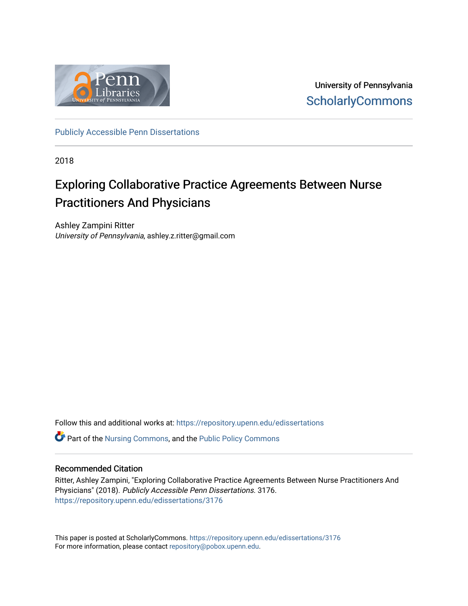

University of Pennsylvania **ScholarlyCommons** 

[Publicly Accessible Penn Dissertations](https://repository.upenn.edu/edissertations)

2018

# Exploring Collaborative Practice Agreements Between Nurse Practitioners And Physicians

Ashley Zampini Ritter University of Pennsylvania, ashley.z.ritter@gmail.com

Follow this and additional works at: [https://repository.upenn.edu/edissertations](https://repository.upenn.edu/edissertations?utm_source=repository.upenn.edu%2Fedissertations%2F3176&utm_medium=PDF&utm_campaign=PDFCoverPages) 

 $\bullet$  Part of the [Nursing Commons,](http://network.bepress.com/hgg/discipline/718?utm_source=repository.upenn.edu%2Fedissertations%2F3176&utm_medium=PDF&utm_campaign=PDFCoverPages) and the Public Policy Commons

## Recommended Citation

Ritter, Ashley Zampini, "Exploring Collaborative Practice Agreements Between Nurse Practitioners And Physicians" (2018). Publicly Accessible Penn Dissertations. 3176. [https://repository.upenn.edu/edissertations/3176](https://repository.upenn.edu/edissertations/3176?utm_source=repository.upenn.edu%2Fedissertations%2F3176&utm_medium=PDF&utm_campaign=PDFCoverPages) 

This paper is posted at ScholarlyCommons.<https://repository.upenn.edu/edissertations/3176> For more information, please contact [repository@pobox.upenn.edu.](mailto:repository@pobox.upenn.edu)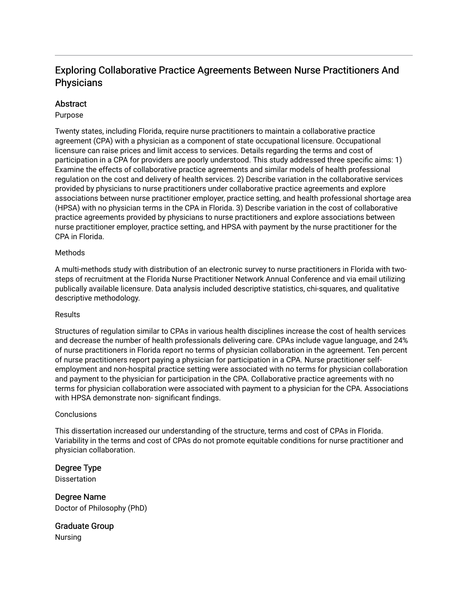# Exploring Collaborative Practice Agreements Between Nurse Practitioners And **Physicians**

## **Abstract**

## Purpose

Twenty states, including Florida, require nurse practitioners to maintain a collaborative practice agreement (CPA) with a physician as a component of state occupational licensure. Occupational licensure can raise prices and limit access to services. Details regarding the terms and cost of participation in a CPA for providers are poorly understood. This study addressed three specific aims: 1) Examine the effects of collaborative practice agreements and similar models of health professional regulation on the cost and delivery of health services. 2) Describe variation in the collaborative services provided by physicians to nurse practitioners under collaborative practice agreements and explore associations between nurse practitioner employer, practice setting, and health professional shortage area (HPSA) with no physician terms in the CPA in Florida. 3) Describe variation in the cost of collaborative practice agreements provided by physicians to nurse practitioners and explore associations between nurse practitioner employer, practice setting, and HPSA with payment by the nurse practitioner for the CPA in Florida.

## Methods

A multi-methods study with distribution of an electronic survey to nurse practitioners in Florida with twosteps of recruitment at the Florida Nurse Practitioner Network Annual Conference and via email utilizing publically available licensure. Data analysis included descriptive statistics, chi-squares, and qualitative descriptive methodology.

## Results

Structures of regulation similar to CPAs in various health disciplines increase the cost of health services and decrease the number of health professionals delivering care. CPAs include vague language, and 24% of nurse practitioners in Florida report no terms of physician collaboration in the agreement. Ten percent of nurse practitioners report paying a physician for participation in a CPA. Nurse practitioner selfemployment and non-hospital practice setting were associated with no terms for physician collaboration and payment to the physician for participation in the CPA. Collaborative practice agreements with no terms for physician collaboration were associated with payment to a physician for the CPA. Associations with HPSA demonstrate non- significant findings.

## **Conclusions**

This dissertation increased our understanding of the structure, terms and cost of CPAs in Florida. Variability in the terms and cost of CPAs do not promote equitable conditions for nurse practitioner and physician collaboration.

## Degree Type

**Dissertation** 

Degree Name Doctor of Philosophy (PhD)

Graduate Group Nursing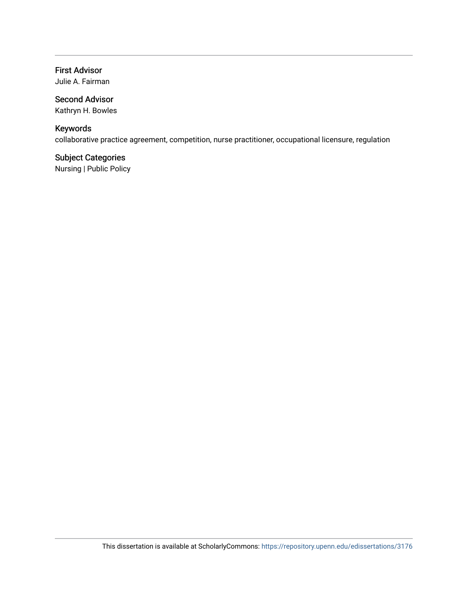# First Advisor

Julie A. Fairman

# Second Advisor

Kathryn H. Bowles

# Keywords

collaborative practice agreement, competition, nurse practitioner, occupational licensure, regulation

# Subject Categories

Nursing | Public Policy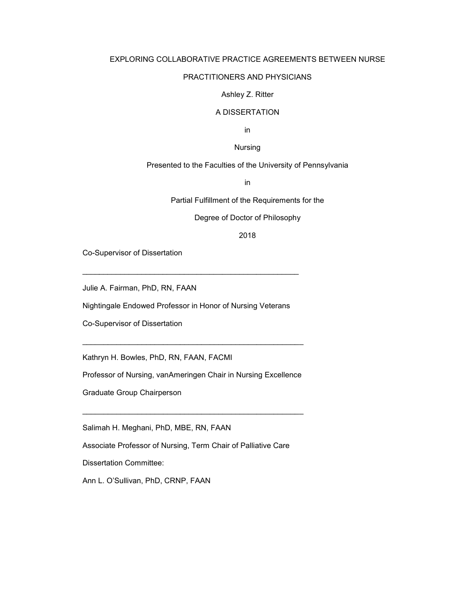### EXPLORING COLLABORATIVE PRACTICE AGREEMENTS BETWEEN NURSE

### PRACTITIONERS AND PHYSICIANS

#### Ashley Z. Ritter

### A DISSERTATION

in

### Nursing

## Presented to the Faculties of the University of Pennsylvania

in

Partial Fulfillment of the Requirements for the

Degree of Doctor of Philosophy

### 2018

Co-Supervisor of Dissertation

Julie A. Fairman, PhD, RN, FAAN

Nightingale Endowed Professor in Honor of Nursing Veterans

\_\_\_\_*\_\_\_\_\_\_\_\_\_\_\_\_\_\_\_\_\_\_\_\_\_\_\_\_\_\_\_\_\_\_\_\_\_\_\_\_\_\_\_\_\_\_\_\_\_\_\_* 

Co-Supervisor of Dissertation

Kathryn H. Bowles, PhD, RN, FAAN, FACMI

Professor of Nursing, vanAmeringen Chair in Nursing Excellence

 $\_$  , and the set of the set of the set of the set of the set of the set of the set of the set of the set of the set of the set of the set of the set of the set of the set of the set of the set of the set of the set of th

\_\_\_\_\_\_\_\_\_\_\_\_\_\_\_\_\_\_\_\_\_\_\_\_\_\_\_\_\_\_\_\_\_\_\_\_\_\_\_\_\_\_\_\_\_\_\_\_\_\_\_\_

Graduate Group Chairperson

Salimah H. Meghani, PhD, MBE, RN, FAAN

Associate Professor of Nursing, Term Chair of Palliative Care

Dissertation Committee:

Ann L. O'Sullivan, PhD, CRNP, FAAN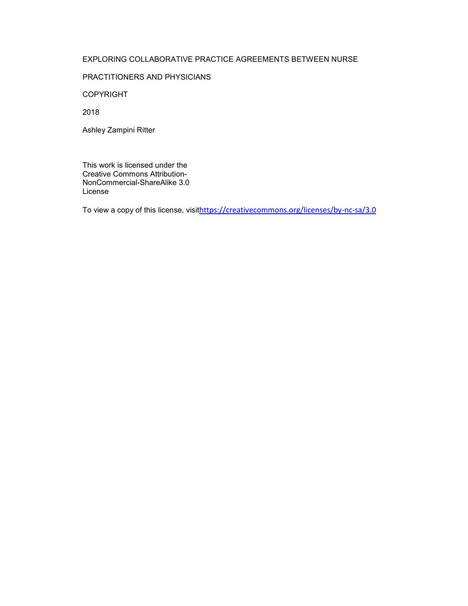## EXPLORING COLLABORATIVE PRACTICE AGREEMENTS BETWEEN NURSE

### PRACTITIONERS AND PHYSICIANS

COPYRIGHT

2018

Ashley Zampini Ritter

This work is licensed under the Creative Commons Attribution-NonCommercial-ShareAlike 3.0 License

To view a copy of this license, visithttps://creativecommons.org/licenses/by-nc-sa/3.0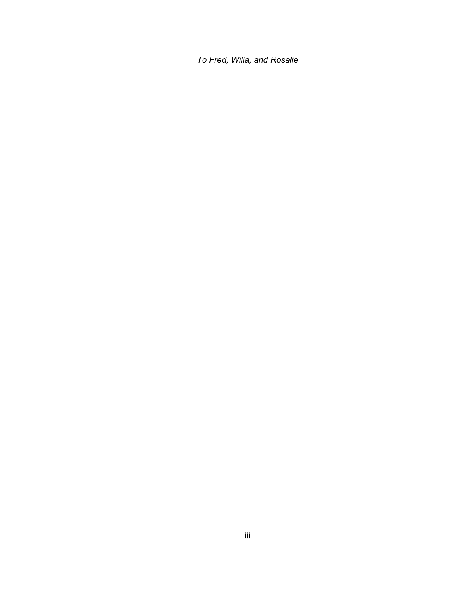*To Fred, Willa, and Rosalie*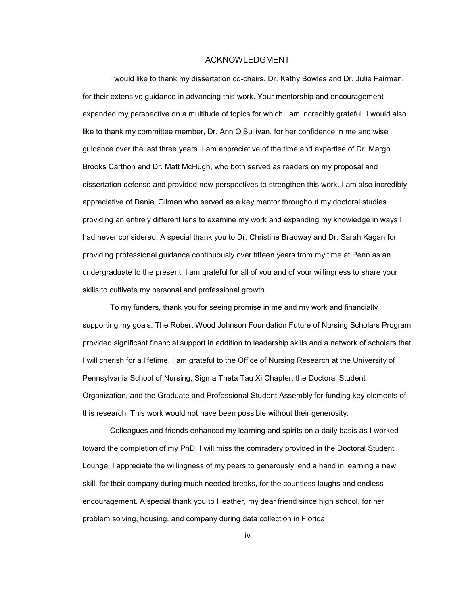#### ACKNOWLEDGMENT

 I would like to thank my dissertation co-chairs, Dr. Kathy Bowles and Dr. Julie Fairman, for their extensive guidance in advancing this work. Your mentorship and encouragement expanded my perspective on a multitude of topics for which I am incredibly grateful. I would also like to thank my committee member, Dr. Ann O'Sullivan, for her confidence in me and wise guidance over the last three years. I am appreciative of the time and expertise of Dr. Margo Brooks Carthon and Dr. Matt McHugh, who both served as readers on my proposal and dissertation defense and provided new perspectives to strengthen this work. I am also incredibly appreciative of Daniel Gilman who served as a key mentor throughout my doctoral studies providing an entirely different lens to examine my work and expanding my knowledge in ways I had never considered. A special thank you to Dr. Christine Bradway and Dr. Sarah Kagan for providing professional guidance continuously over fifteen years from my time at Penn as an undergraduate to the present. I am grateful for all of you and of your willingness to share your skills to cultivate my personal and professional growth.

 To my funders, thank you for seeing promise in me and my work and financially supporting my goals. The Robert Wood Johnson Foundation Future of Nursing Scholars Program provided significant financial support in addition to leadership skills and a network of scholars that I will cherish for a lifetime. I am grateful to the Office of Nursing Research at the University of Pennsylvania School of Nursing, Sigma Theta Tau Xi Chapter, the Doctoral Student Organization, and the Graduate and Professional Student Assembly for funding key elements of this research. This work would not have been possible without their generosity.

 Colleagues and friends enhanced my learning and spirits on a daily basis as I worked toward the completion of my PhD. I will miss the comradery provided in the Doctoral Student Lounge. I appreciate the willingness of my peers to generously lend a hand in learning a new skill, for their company during much needed breaks, for the countless laughs and endless encouragement. A special thank you to Heather, my dear friend since high school, for her problem solving, housing, and company during data collection in Florida.

iv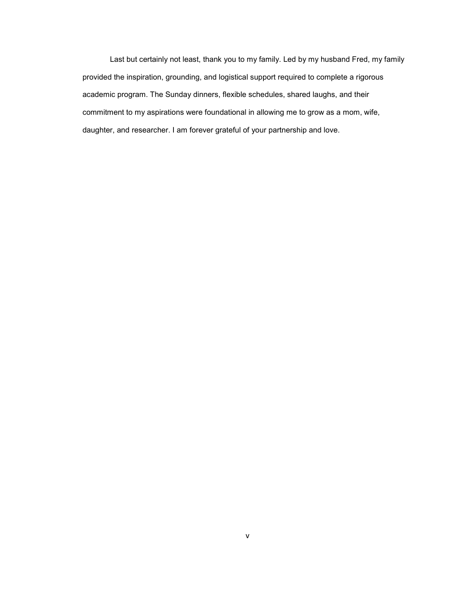Last but certainly not least, thank you to my family. Led by my husband Fred, my family provided the inspiration, grounding, and logistical support required to complete a rigorous academic program. The Sunday dinners, flexible schedules, shared laughs, and their commitment to my aspirations were foundational in allowing me to grow as a mom, wife, daughter, and researcher. I am forever grateful of your partnership and love.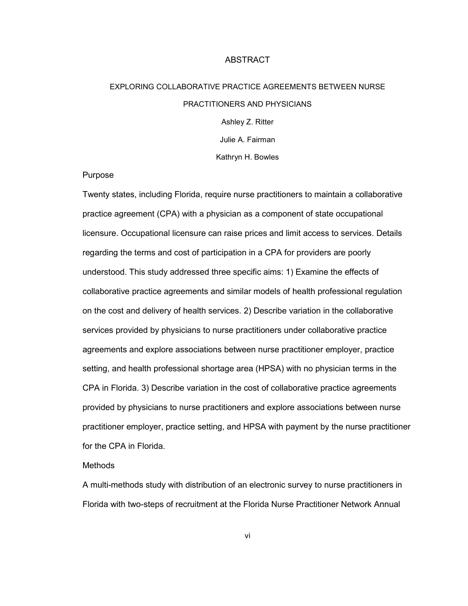### ABSTRACT

# EXPLORING COLLABORATIVE PRACTICE AGREEMENTS BETWEEN NURSE PRACTITIONERS AND PHYSICIANS Ashley Z. Ritter Julie A. Fairman

Kathryn H. Bowles

### Purpose

Twenty states, including Florida, require nurse practitioners to maintain a collaborative practice agreement (CPA) with a physician as a component of state occupational licensure. Occupational licensure can raise prices and limit access to services. Details regarding the terms and cost of participation in a CPA for providers are poorly understood. This study addressed three specific aims: 1) Examine the effects of collaborative practice agreements and similar models of health professional regulation on the cost and delivery of health services. 2) Describe variation in the collaborative services provided by physicians to nurse practitioners under collaborative practice agreements and explore associations between nurse practitioner employer, practice setting, and health professional shortage area (HPSA) with no physician terms in the CPA in Florida. 3) Describe variation in the cost of collaborative practice agreements provided by physicians to nurse practitioners and explore associations between nurse practitioner employer, practice setting, and HPSA with payment by the nurse practitioner for the CPA in Florida.

### Methods

A multi-methods study with distribution of an electronic survey to nurse practitioners in Florida with two-steps of recruitment at the Florida Nurse Practitioner Network Annual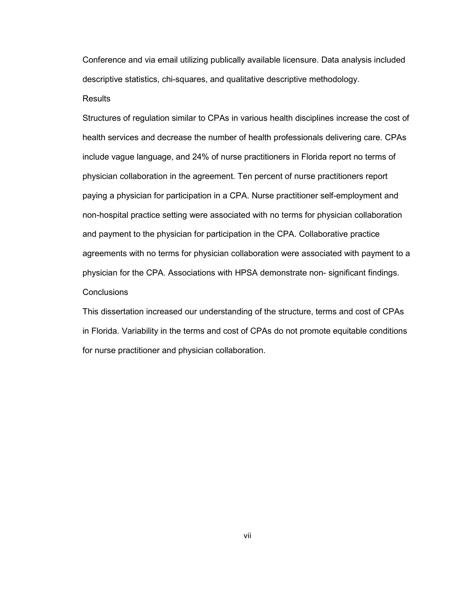Conference and via email utilizing publically available licensure. Data analysis included descriptive statistics, chi-squares, and qualitative descriptive methodology.

## Results

Structures of regulation similar to CPAs in various health disciplines increase the cost of health services and decrease the number of health professionals delivering care. CPAs include vague language, and 24% of nurse practitioners in Florida report no terms of physician collaboration in the agreement. Ten percent of nurse practitioners report paying a physician for participation in a CPA. Nurse practitioner self-employment and non-hospital practice setting were associated with no terms for physician collaboration and payment to the physician for participation in the CPA. Collaborative practice agreements with no terms for physician collaboration were associated with payment to a physician for the CPA. Associations with HPSA demonstrate non- significant findings. **Conclusions** 

This dissertation increased our understanding of the structure, terms and cost of CPAs in Florida. Variability in the terms and cost of CPAs do not promote equitable conditions for nurse practitioner and physician collaboration.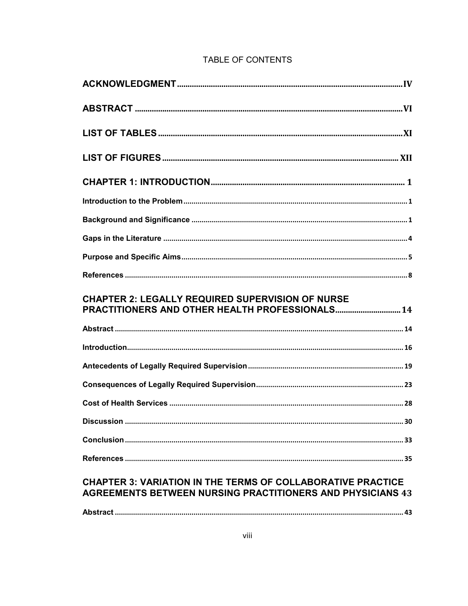| <b>CHAPTER 2: LEGALLY REQUIRED SUPERVISION OF NURSE</b> |
|---------------------------------------------------------|
|                                                         |
|                                                         |
|                                                         |
|                                                         |
|                                                         |
| . 30                                                    |
|                                                         |
|                                                         |

# **AGREEMENTS BETWEEN NURSING PRACTITIONERS AND PHYSICIANS 43**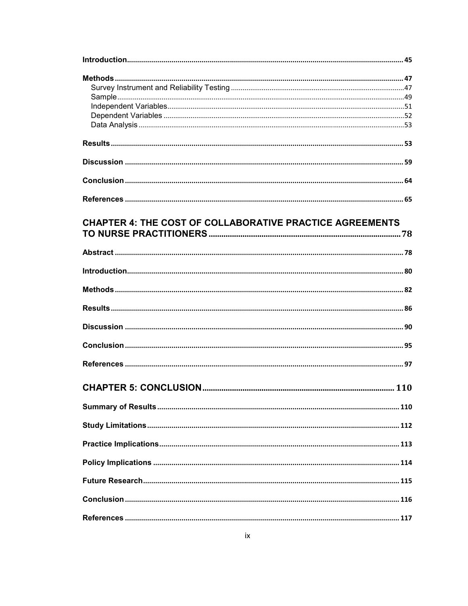| <b>CHAPTER 4: THE COST OF COLLABORATIVE PRACTICE AGREEMENTS</b> |  |
|-----------------------------------------------------------------|--|
|                                                                 |  |
|                                                                 |  |
|                                                                 |  |
|                                                                 |  |
|                                                                 |  |
|                                                                 |  |
|                                                                 |  |
|                                                                 |  |
|                                                                 |  |
|                                                                 |  |
|                                                                 |  |
|                                                                 |  |
|                                                                 |  |
|                                                                 |  |
|                                                                 |  |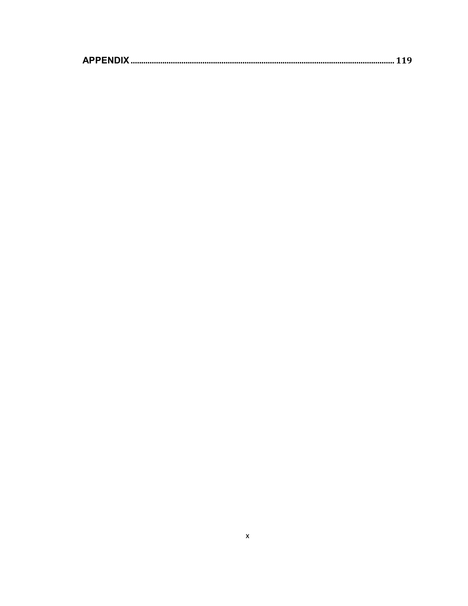|--|--|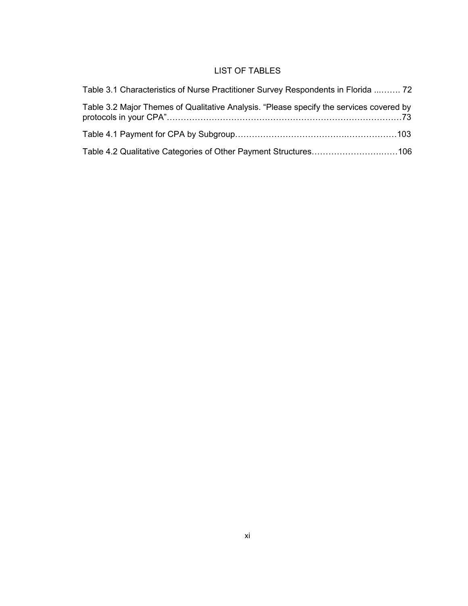# LIST OF TABLES

| Table 3.1 Characteristics of Nurse Practitioner Survey Respondents in Florida  72       |
|-----------------------------------------------------------------------------------------|
| Table 3.2 Major Themes of Qualitative Analysis. "Please specify the services covered by |
|                                                                                         |
| Table 4.2 Qualitative Categories of Other Payment Structures106                         |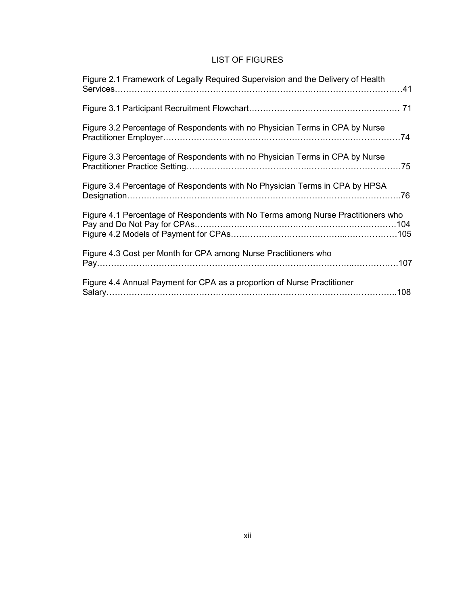# LIST OF FIGURES

| Figure 2.1 Framework of Legally Required Supervision and the Delivery of Health  |
|----------------------------------------------------------------------------------|
|                                                                                  |
| Figure 3.2 Percentage of Respondents with no Physician Terms in CPA by Nurse     |
| Figure 3.3 Percentage of Respondents with no Physician Terms in CPA by Nurse     |
| Figure 3.4 Percentage of Respondents with No Physician Terms in CPA by HPSA      |
| Figure 4.1 Percentage of Respondents with No Terms among Nurse Practitioners who |
| Figure 4.3 Cost per Month for CPA among Nurse Practitioners who                  |
| Figure 4.4 Annual Payment for CPA as a proportion of Nurse Practitioner          |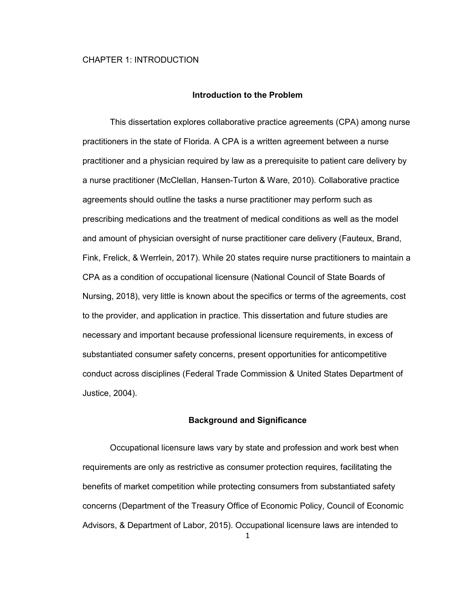#### **Introduction to the Problem**

This dissertation explores collaborative practice agreements (CPA) among nurse practitioners in the state of Florida. A CPA is a written agreement between a nurse practitioner and a physician required by law as a prerequisite to patient care delivery by a nurse practitioner (McClellan, Hansen-Turton & Ware, 2010). Collaborative practice agreements should outline the tasks a nurse practitioner may perform such as prescribing medications and the treatment of medical conditions as well as the model and amount of physician oversight of nurse practitioner care delivery (Fauteux, Brand, Fink, Frelick, & Werrlein, 2017). While 20 states require nurse practitioners to maintain a CPA as a condition of occupational licensure (National Council of State Boards of Nursing, 2018), very little is known about the specifics or terms of the agreements, cost to the provider, and application in practice. This dissertation and future studies are necessary and important because professional licensure requirements, in excess of substantiated consumer safety concerns, present opportunities for anticompetitive conduct across disciplines (Federal Trade Commission & United States Department of Justice, 2004).

### **Background and Significance**

1 Occupational licensure laws vary by state and profession and work best when requirements are only as restrictive as consumer protection requires, facilitating the benefits of market competition while protecting consumers from substantiated safety concerns (Department of the Treasury Office of Economic Policy, Council of Economic Advisors, & Department of Labor, 2015). Occupational licensure laws are intended to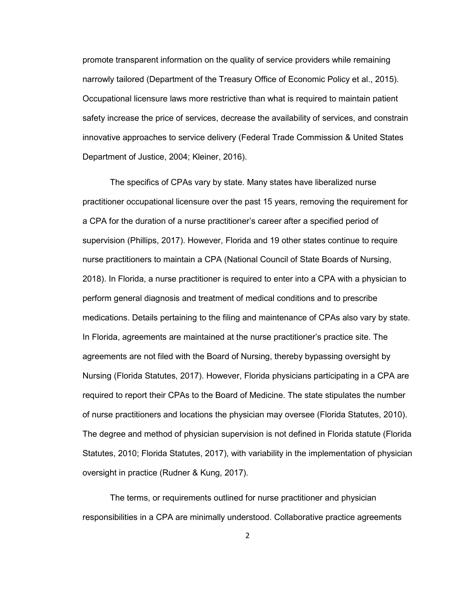promote transparent information on the quality of service providers while remaining narrowly tailored (Department of the Treasury Office of Economic Policy et al., 2015). Occupational licensure laws more restrictive than what is required to maintain patient safety increase the price of services, decrease the availability of services, and constrain innovative approaches to service delivery (Federal Trade Commission & United States Department of Justice, 2004; Kleiner, 2016).

The specifics of CPAs vary by state. Many states have liberalized nurse practitioner occupational licensure over the past 15 years, removing the requirement for a CPA for the duration of a nurse practitioner's career after a specified period of supervision (Phillips, 2017). However, Florida and 19 other states continue to require nurse practitioners to maintain a CPA (National Council of State Boards of Nursing, 2018). In Florida, a nurse practitioner is required to enter into a CPA with a physician to perform general diagnosis and treatment of medical conditions and to prescribe medications. Details pertaining to the filing and maintenance of CPAs also vary by state. In Florida, agreements are maintained at the nurse practitioner's practice site. The agreements are not filed with the Board of Nursing, thereby bypassing oversight by Nursing (Florida Statutes, 2017). However, Florida physicians participating in a CPA are required to report their CPAs to the Board of Medicine. The state stipulates the number of nurse practitioners and locations the physician may oversee (Florida Statutes, 2010). The degree and method of physician supervision is not defined in Florida statute (Florida Statutes, 2010; Florida Statutes, 2017), with variability in the implementation of physician oversight in practice (Rudner & Kung, 2017).

The terms, or requirements outlined for nurse practitioner and physician responsibilities in a CPA are minimally understood. Collaborative practice agreements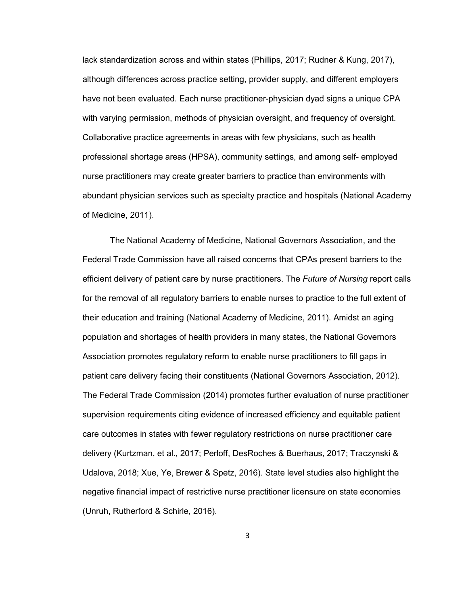lack standardization across and within states (Phillips, 2017; Rudner & Kung, 2017), although differences across practice setting, provider supply, and different employers have not been evaluated. Each nurse practitioner-physician dyad signs a unique CPA with varying permission, methods of physician oversight, and frequency of oversight. Collaborative practice agreements in areas with few physicians, such as health professional shortage areas (HPSA), community settings, and among self- employed nurse practitioners may create greater barriers to practice than environments with abundant physician services such as specialty practice and hospitals (National Academy of Medicine, 2011).

The National Academy of Medicine, National Governors Association, and the Federal Trade Commission have all raised concerns that CPAs present barriers to the efficient delivery of patient care by nurse practitioners. The *Future of Nursing* report calls for the removal of all regulatory barriers to enable nurses to practice to the full extent of their education and training (National Academy of Medicine, 2011). Amidst an aging population and shortages of health providers in many states, the National Governors Association promotes regulatory reform to enable nurse practitioners to fill gaps in patient care delivery facing their constituents (National Governors Association, 2012). The Federal Trade Commission (2014) promotes further evaluation of nurse practitioner supervision requirements citing evidence of increased efficiency and equitable patient care outcomes in states with fewer regulatory restrictions on nurse practitioner care delivery (Kurtzman, et al., 2017; Perloff, DesRoches & Buerhaus, 2017; Traczynski & Udalova, 2018; Xue, Ye, Brewer & Spetz, 2016). State level studies also highlight the negative financial impact of restrictive nurse practitioner licensure on state economies (Unruh, Rutherford & Schirle, 2016).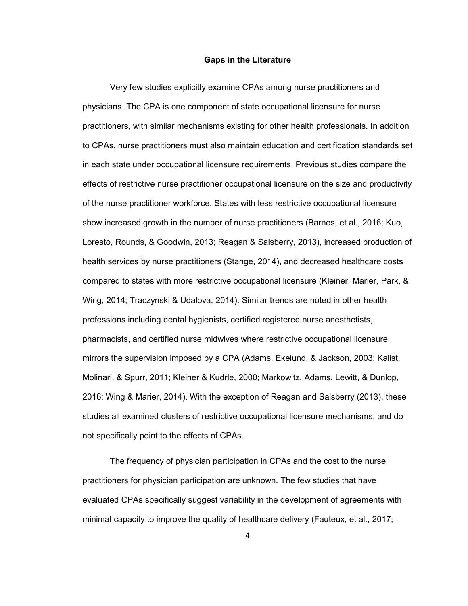### **Gaps in the Literature**

Very few studies explicitly examine CPAs among nurse practitioners and physicians. The CPA is one component of state occupational licensure for nurse practitioners, with similar mechanisms existing for other health professionals. In addition to CPAs, nurse practitioners must also maintain education and certification standards set in each state under occupational licensure requirements. Previous studies compare the effects of restrictive nurse practitioner occupational licensure on the size and productivity of the nurse practitioner workforce. States with less restrictive occupational licensure show increased growth in the number of nurse practitioners (Barnes, et al., 2016; Kuo, Loresto, Rounds, & Goodwin, 2013; Reagan & Salsberry, 2013), increased production of health services by nurse practitioners (Stange, 2014), and decreased healthcare costs compared to states with more restrictive occupational licensure (Kleiner, Marier, Park, & Wing, 2014; Traczynski & Udalova, 2014). Similar trends are noted in other health professions including dental hygienists, certified registered nurse anesthetists, pharmacists, and certified nurse midwives where restrictive occupational licensure mirrors the supervision imposed by a CPA (Adams, Ekelund, & Jackson, 2003; Kalist, Molinari, & Spurr, 2011; Kleiner & Kudrle, 2000; Markowitz, Adams, Lewitt, & Dunlop, 2016; Wing & Marier, 2014). With the exception of Reagan and Salsberry (2013), these studies all examined clusters of restrictive occupational licensure mechanisms, and do not specifically point to the effects of CPAs.

The frequency of physician participation in CPAs and the cost to the nurse practitioners for physician participation are unknown. The few studies that have evaluated CPAs specifically suggest variability in the development of agreements with minimal capacity to improve the quality of healthcare delivery (Fauteux, et al., 2017;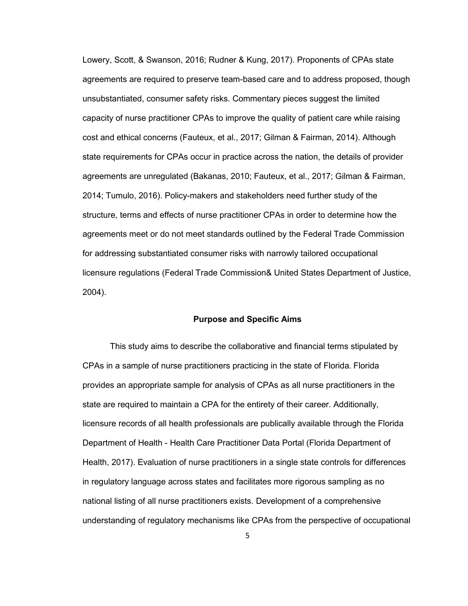Lowery, Scott, & Swanson, 2016; Rudner & Kung, 2017). Proponents of CPAs state agreements are required to preserve team-based care and to address proposed, though unsubstantiated, consumer safety risks. Commentary pieces suggest the limited capacity of nurse practitioner CPAs to improve the quality of patient care while raising cost and ethical concerns (Fauteux, et al., 2017; Gilman & Fairman, 2014). Although state requirements for CPAs occur in practice across the nation, the details of provider agreements are unregulated (Bakanas, 2010; Fauteux, et al., 2017; Gilman & Fairman, 2014; Tumulo, 2016). Policy-makers and stakeholders need further study of the structure, terms and effects of nurse practitioner CPAs in order to determine how the agreements meet or do not meet standards outlined by the Federal Trade Commission for addressing substantiated consumer risks with narrowly tailored occupational licensure regulations (Federal Trade Commission& United States Department of Justice, 2004).

### **Purpose and Specific Aims**

This study aims to describe the collaborative and financial terms stipulated by CPAs in a sample of nurse practitioners practicing in the state of Florida. Florida provides an appropriate sample for analysis of CPAs as all nurse practitioners in the state are required to maintain a CPA for the entirety of their career. Additionally, licensure records of all health professionals are publically available through the Florida Department of Health - Health Care Practitioner Data Portal (Florida Department of Health, 2017). Evaluation of nurse practitioners in a single state controls for differences in regulatory language across states and facilitates more rigorous sampling as no national listing of all nurse practitioners exists. Development of a comprehensive understanding of regulatory mechanisms like CPAs from the perspective of occupational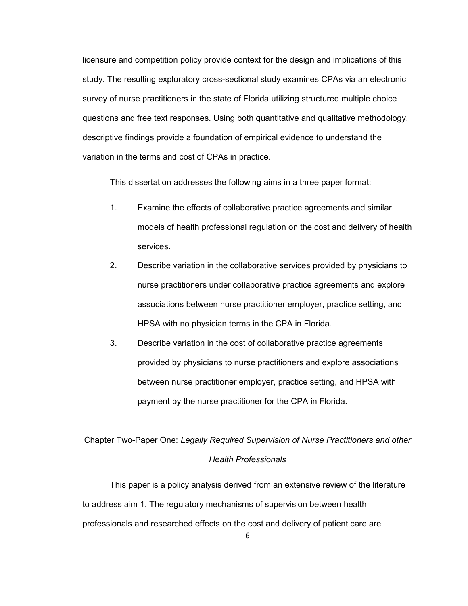licensure and competition policy provide context for the design and implications of this study. The resulting exploratory cross-sectional study examines CPAs via an electronic survey of nurse practitioners in the state of Florida utilizing structured multiple choice questions and free text responses. Using both quantitative and qualitative methodology, descriptive findings provide a foundation of empirical evidence to understand the variation in the terms and cost of CPAs in practice.

This dissertation addresses the following aims in a three paper format:

- 1. Examine the effects of collaborative practice agreements and similar models of health professional regulation on the cost and delivery of health services.
- 2. Describe variation in the collaborative services provided by physicians to nurse practitioners under collaborative practice agreements and explore associations between nurse practitioner employer, practice setting, and HPSA with no physician terms in the CPA in Florida.
- 3. Describe variation in the cost of collaborative practice agreements provided by physicians to nurse practitioners and explore associations between nurse practitioner employer, practice setting, and HPSA with payment by the nurse practitioner for the CPA in Florida.

# Chapter Two-Paper One: *Legally Required Supervision of Nurse Practitioners and other Health Professionals*

This paper is a policy analysis derived from an extensive review of the literature to address aim 1. The regulatory mechanisms of supervision between health professionals and researched effects on the cost and delivery of patient care are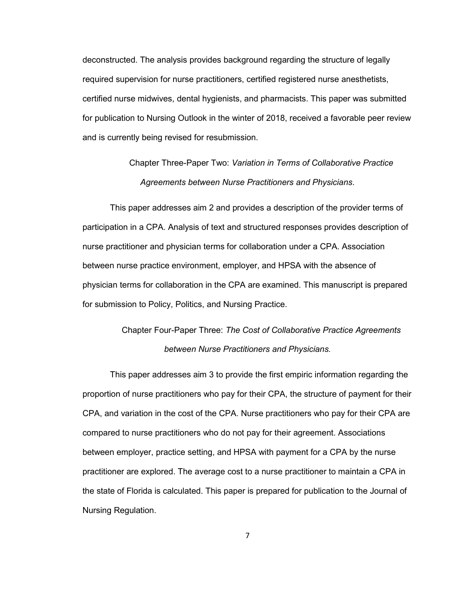deconstructed. The analysis provides background regarding the structure of legally required supervision for nurse practitioners, certified registered nurse anesthetists, certified nurse midwives, dental hygienists, and pharmacists. This paper was submitted for publication to Nursing Outlook in the winter of 2018, received a favorable peer review and is currently being revised for resubmission.

> Chapter Three-Paper Two: *Variation in Terms of Collaborative Practice Agreements between Nurse Practitioners and Physicians*.

This paper addresses aim 2 and provides a description of the provider terms of participation in a CPA. Analysis of text and structured responses provides description of nurse practitioner and physician terms for collaboration under a CPA. Association between nurse practice environment, employer, and HPSA with the absence of physician terms for collaboration in the CPA are examined. This manuscript is prepared for submission to Policy, Politics, and Nursing Practice.

# Chapter Four-Paper Three: *The Cost of Collaborative Practice Agreements between Nurse Practitioners and Physicians.*

This paper addresses aim 3 to provide the first empiric information regarding the proportion of nurse practitioners who pay for their CPA, the structure of payment for their CPA, and variation in the cost of the CPA. Nurse practitioners who pay for their CPA are compared to nurse practitioners who do not pay for their agreement. Associations between employer, practice setting, and HPSA with payment for a CPA by the nurse practitioner are explored. The average cost to a nurse practitioner to maintain a CPA in the state of Florida is calculated. This paper is prepared for publication to the Journal of Nursing Regulation.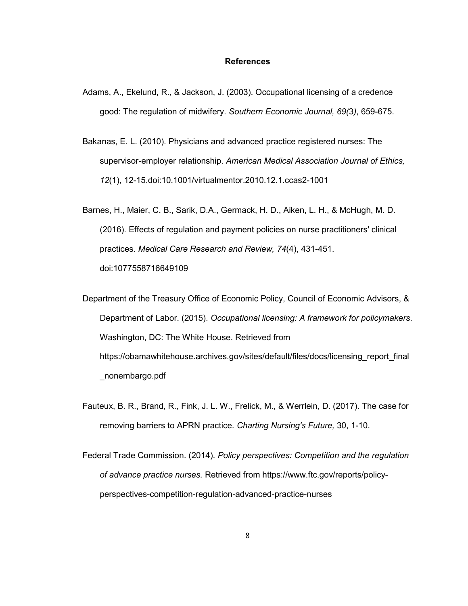### **References**

- Adams, A., Ekelund, R., & Jackson, J. (2003). Occupational licensing of a credence good: The regulation of midwifery. *Southern Economic Journal, 69(*3*)*, 659-675.
- Bakanas, E. L. (2010). Physicians and advanced practice registered nurses: The supervisor-employer relationship. *American Medical Association Journal of Ethics, 12*(1), 12-15.doi:10.1001/virtualmentor.2010.12.1.ccas2-1001
- Barnes, H., Maier, C. B., Sarik, D.A., Germack, H. D., Aiken, L. H., & McHugh, M. D. (2016). Effects of regulation and payment policies on nurse practitioners' clinical practices. *Medical Care Research and Review, 74*(4), 431-451. doi:1077558716649109
- Department of the Treasury Office of Economic Policy, Council of Economic Advisors, & Department of Labor. (2015). *Occupational licensing: A framework for policymakers*. Washington, DC: The White House. Retrieved from https://obamawhitehouse.archives.gov/sites/default/files/docs/licensing\_report\_final \_nonembargo.pdf
- Fauteux, B. R., Brand, R., Fink, J. L. W., Frelick, M., & Werrlein, D. (2017). The case for removing barriers to APRN practice. *Charting Nursing's Future,* 30, 1-10.
- Federal Trade Commission. (2014). *Policy perspectives: Competition and the regulation of advance practice nurses.* Retrieved from https://www.ftc.gov/reports/policyperspectives-competition-regulation-advanced-practice-nurses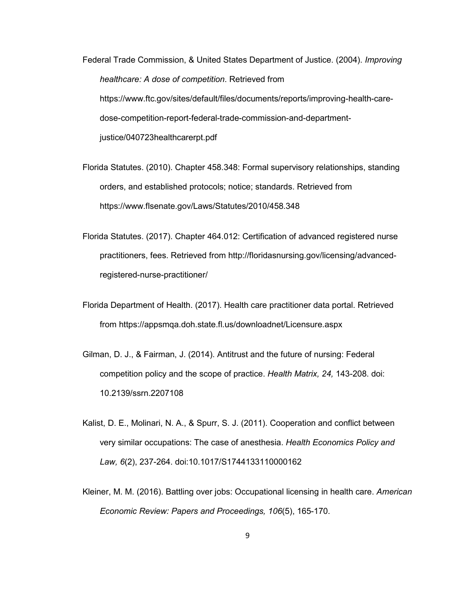Federal Trade Commission, & United States Department of Justice. (2004). *Improving healthcare: A dose of competition*. Retrieved from https://www.ftc.gov/sites/default/files/documents/reports/improving-health-caredose-competition-report-federal-trade-commission-and-departmentjustice/040723healthcarerpt.pdf

Florida Statutes. (2010). Chapter 458.348: Formal supervisory relationships, standing orders, and established protocols; notice; standards. Retrieved from https://www.flsenate.gov/Laws/Statutes/2010/458.348

- Florida Statutes. (2017). Chapter 464.012: Certification of advanced registered nurse practitioners, fees. Retrieved from http://floridasnursing.gov/licensing/advancedregistered-nurse-practitioner/
- Florida Department of Health. (2017). Health care practitioner data portal. Retrieved from https://appsmqa.doh.state.fl.us/downloadnet/Licensure.aspx
- Gilman, D. J., & Fairman, J. (2014). Antitrust and the future of nursing: Federal competition policy and the scope of practice. *Health Matrix, 24,* 143-208. doi: 10.2139/ssrn.2207108
- Kalist, D. E., Molinari, N. A., & Spurr, S. J. (2011). Cooperation and conflict between very similar occupations: The case of anesthesia. *Health Economics Policy and Law, 6*(2), 237-264. doi:10.1017/S1744133110000162
- Kleiner, M. M. (2016). Battling over jobs: Occupational licensing in health care. *American Economic Review: Papers and Proceedings, 106*(5), 165-170.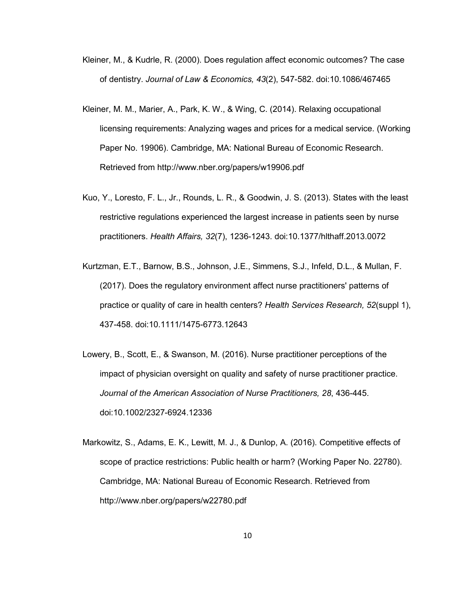- Kleiner, M., & Kudrle, R. (2000). Does regulation affect economic outcomes? The case of dentistry. *Journal of Law & Economics, 43*(2), 547-582. doi:10.1086/467465
- Kleiner, M. M., Marier, A., Park, K. W., & Wing, C. (2014). Relaxing occupational licensing requirements: Analyzing wages and prices for a medical service. (Working Paper No. 19906). Cambridge, MA: National Bureau of Economic Research. Retrieved from http://www.nber.org/papers/w19906.pdf
- Kuo, Y., Loresto, F. L., Jr., Rounds, L. R., & Goodwin, J. S. (2013). States with the least restrictive regulations experienced the largest increase in patients seen by nurse practitioners. *Health Affairs, 32*(7), 1236-1243. doi:10.1377/hlthaff.2013.0072
- Kurtzman, E.T., Barnow, B.S., Johnson, J.E., Simmens, S.J., Infeld, D.L., & Mullan, F. (2017). Does the regulatory environment affect nurse practitioners' patterns of practice or quality of care in health centers? *Health Services Research, 52*(suppl 1), 437-458. doi:10.1111/1475-6773.12643
- Lowery, B., Scott, E., & Swanson, M. (2016). Nurse practitioner perceptions of the impact of physician oversight on quality and safety of nurse practitioner practice. *Journal of the American Association of Nurse Practitioners, 28*, 436-445. doi:10.1002/2327-6924.12336
- Markowitz, S., Adams, E. K., Lewitt, M. J., & Dunlop, A. (2016). Competitive effects of scope of practice restrictions: Public health or harm? (Working Paper No. 22780). Cambridge, MA: National Bureau of Economic Research. Retrieved from http://www.nber.org/papers/w22780.pdf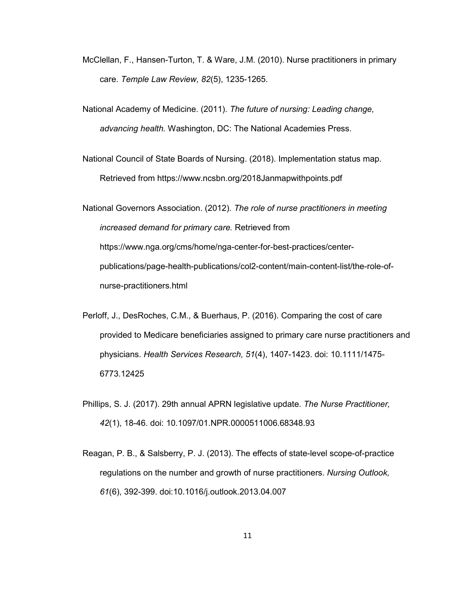- McClellan, F., Hansen-Turton, T. & Ware, J.M. (2010). Nurse practitioners in primary care. *Temple Law Review, 82*(5), 1235-1265.
- National Academy of Medicine. (2011). *The future of nursing: Leading change, advancing health.* Washington, DC: The National Academies Press.
- National Council of State Boards of Nursing. (2018). Implementation status map. Retrieved from https://www.ncsbn.org/2018Janmapwithpoints.pdf
- National Governors Association. (2012). *The role of nurse practitioners in meeting increased demand for primary care.* Retrieved from https://www.nga.org/cms/home/nga-center-for-best-practices/centerpublications/page-health-publications/col2-content/main-content-list/the-role-ofnurse-practitioners.html
- Perloff, J., DesRoches, C.M., & Buerhaus, P. (2016). Comparing the cost of care provided to Medicare beneficiaries assigned to primary care nurse practitioners and physicians. *Health Services Research, 51*(4), 1407-1423. doi: 10.1111/1475- 6773.12425
- Phillips, S. J. (2017). 29th annual APRN legislative update. *The Nurse Practitioner, 42*(1), 18-46. doi: 10.1097/01.NPR.0000511006.68348.93
- Reagan, P. B., & Salsberry, P. J. (2013). The effects of state-level scope-of-practice regulations on the number and growth of nurse practitioners. *Nursing Outlook, 61*(6), 392-399. doi:10.1016/j.outlook.2013.04.007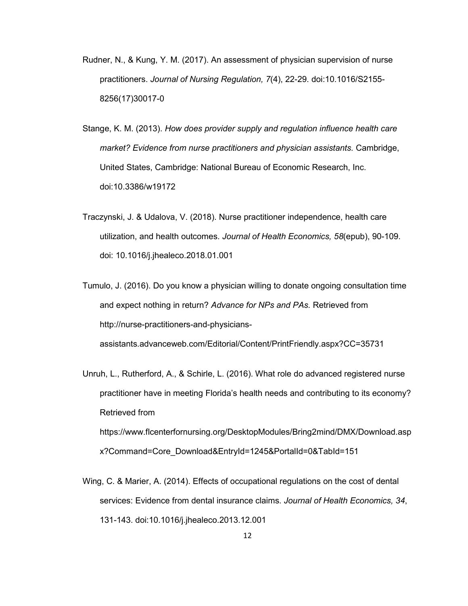- Rudner, N., & Kung, Y. M. (2017). An assessment of physician supervision of nurse practitioners. *Journal of Nursing Regulation, 7*(4), 22-29. doi:10.1016/S2155- 8256(17)30017-0
- Stange, K. M. (2013). *How does provider supply and regulation influence health care market? Evidence from nurse practitioners and physician assistants.* Cambridge, United States, Cambridge: National Bureau of Economic Research, Inc. doi:10.3386/w19172
- Traczynski, J. & Udalova, V. (2018). Nurse practitioner independence, health care utilization, and health outcomes. *Journal of Health Economics, 58*(epub), 90-109. doi: 10.1016/j.jhealeco.2018.01.001
- Tumulo, J. (2016). Do you know a physician willing to donate ongoing consultation time and expect nothing in return? *Advance for NPs and PAs.* Retrieved from http://nurse-practitioners-and-physiciansassistants.advanceweb.com/Editorial/Content/PrintFriendly.aspx?CC=35731
- Unruh, L., Rutherford, A., & Schirle, L. (2016). What role do advanced registered nurse practitioner have in meeting Florida's health needs and contributing to its economy? Retrieved from https://www.flcenterfornursing.org/DesktopModules/Bring2mind/DMX/Download.asp x?Command=Core\_Download&EntryId=1245&PortalId=0&TabId=151
- Wing, C. & Marier, A. (2014). Effects of occupational regulations on the cost of dental services: Evidence from dental insurance claims. *Journal of Health Economics, 34*, 131-143. doi:10.1016/j.jhealeco.2013.12.001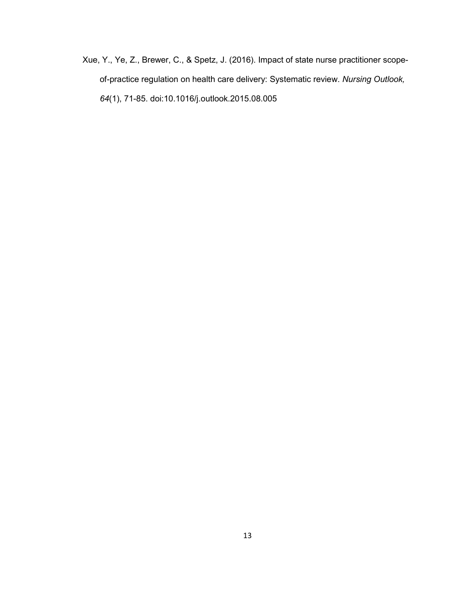Xue, Y., Ye, Z., Brewer, C., & Spetz, J. (2016). Impact of state nurse practitioner scopeof-practice regulation on health care delivery: Systematic review. *Nursing Outlook, 64*(1), 71-85. doi:10.1016/j.outlook.2015.08.005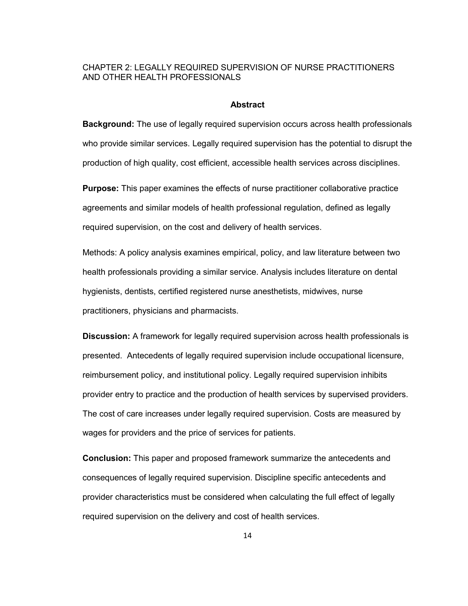## CHAPTER 2: LEGALLY REQUIRED SUPERVISION OF NURSE PRACTITIONERS AND OTHER HEALTH PROFESSIONALS

### **Abstract**

**Background:** The use of legally required supervision occurs across health professionals who provide similar services. Legally required supervision has the potential to disrupt the production of high quality, cost efficient, accessible health services across disciplines.

**Purpose:** This paper examines the effects of nurse practitioner collaborative practice agreements and similar models of health professional regulation, defined as legally required supervision, on the cost and delivery of health services.

Methods: A policy analysis examines empirical, policy, and law literature between two health professionals providing a similar service. Analysis includes literature on dental hygienists, dentists, certified registered nurse anesthetists, midwives, nurse practitioners, physicians and pharmacists.

**Discussion:** A framework for legally required supervision across health professionals is presented. Antecedents of legally required supervision include occupational licensure, reimbursement policy, and institutional policy. Legally required supervision inhibits provider entry to practice and the production of health services by supervised providers. The cost of care increases under legally required supervision. Costs are measured by wages for providers and the price of services for patients.

**Conclusion:** This paper and proposed framework summarize the antecedents and consequences of legally required supervision. Discipline specific antecedents and provider characteristics must be considered when calculating the full effect of legally required supervision on the delivery and cost of health services.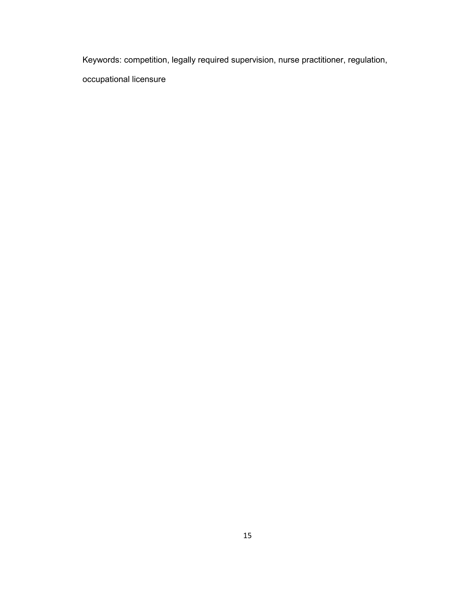Keywords: competition, legally required supervision, nurse practitioner, regulation,

occupational licensure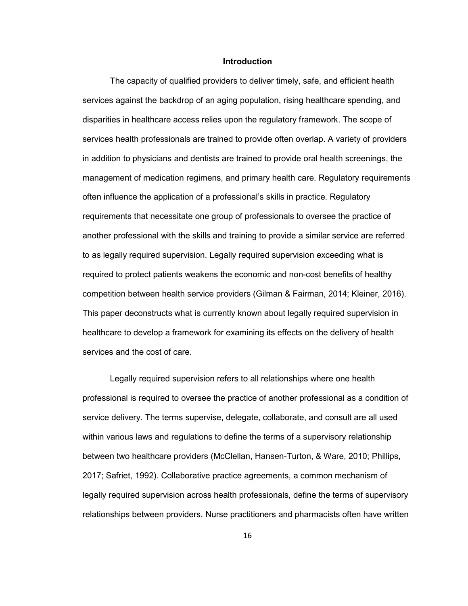### **Introduction**

The capacity of qualified providers to deliver timely, safe, and efficient health services against the backdrop of an aging population, rising healthcare spending, and disparities in healthcare access relies upon the regulatory framework. The scope of services health professionals are trained to provide often overlap. A variety of providers in addition to physicians and dentists are trained to provide oral health screenings, the management of medication regimens, and primary health care. Regulatory requirements often influence the application of a professional's skills in practice. Regulatory requirements that necessitate one group of professionals to oversee the practice of another professional with the skills and training to provide a similar service are referred to as legally required supervision. Legally required supervision exceeding what is required to protect patients weakens the economic and non-cost benefits of healthy competition between health service providers (Gilman & Fairman, 2014; Kleiner, 2016). This paper deconstructs what is currently known about legally required supervision in healthcare to develop a framework for examining its effects on the delivery of health services and the cost of care.

Legally required supervision refers to all relationships where one health professional is required to oversee the practice of another professional as a condition of service delivery. The terms supervise, delegate, collaborate, and consult are all used within various laws and regulations to define the terms of a supervisory relationship between two healthcare providers (McClellan, Hansen-Turton, & Ware, 2010; Phillips, 2017; Safriet, 1992). Collaborative practice agreements, a common mechanism of legally required supervision across health professionals, define the terms of supervisory relationships between providers. Nurse practitioners and pharmacists often have written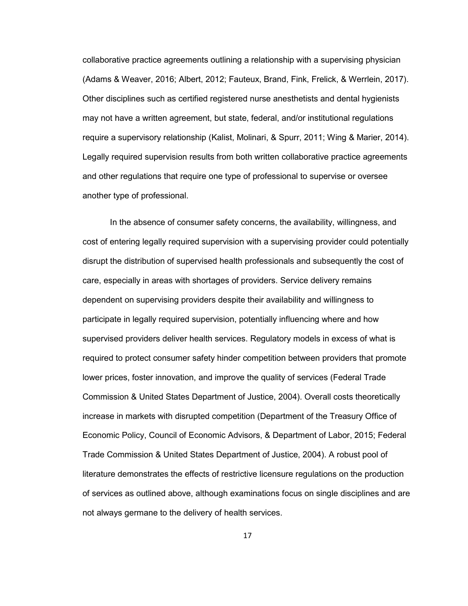collaborative practice agreements outlining a relationship with a supervising physician (Adams & Weaver, 2016; Albert, 2012; Fauteux, Brand, Fink, Frelick, & Werrlein, 2017). Other disciplines such as certified registered nurse anesthetists and dental hygienists may not have a written agreement, but state, federal, and/or institutional regulations require a supervisory relationship (Kalist, Molinari, & Spurr, 2011; Wing & Marier, 2014). Legally required supervision results from both written collaborative practice agreements and other regulations that require one type of professional to supervise or oversee another type of professional.

In the absence of consumer safety concerns, the availability, willingness, and cost of entering legally required supervision with a supervising provider could potentially disrupt the distribution of supervised health professionals and subsequently the cost of care, especially in areas with shortages of providers. Service delivery remains dependent on supervising providers despite their availability and willingness to participate in legally required supervision, potentially influencing where and how supervised providers deliver health services. Regulatory models in excess of what is required to protect consumer safety hinder competition between providers that promote lower prices, foster innovation, and improve the quality of services (Federal Trade Commission & United States Department of Justice, 2004). Overall costs theoretically increase in markets with disrupted competition (Department of the Treasury Office of Economic Policy, Council of Economic Advisors, & Department of Labor, 2015; Federal Trade Commission & United States Department of Justice, 2004). A robust pool of literature demonstrates the effects of restrictive licensure regulations on the production of services as outlined above, although examinations focus on single disciplines and are not always germane to the delivery of health services.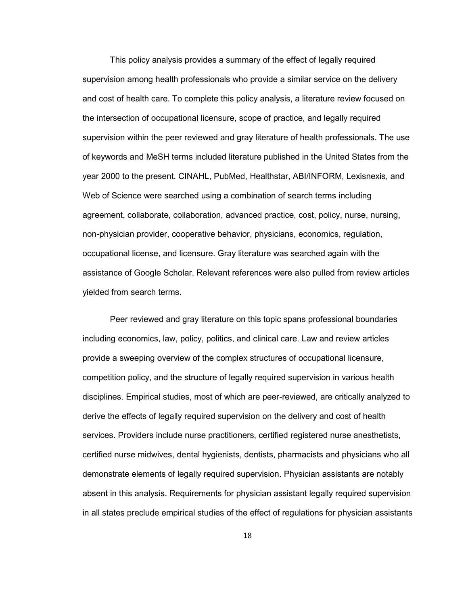This policy analysis provides a summary of the effect of legally required supervision among health professionals who provide a similar service on the delivery and cost of health care. To complete this policy analysis, a literature review focused on the intersection of occupational licensure, scope of practice, and legally required supervision within the peer reviewed and gray literature of health professionals. The use of keywords and MeSH terms included literature published in the United States from the year 2000 to the present. CINAHL, PubMed, Healthstar, ABI/INFORM, Lexisnexis, and Web of Science were searched using a combination of search terms including agreement, collaborate, collaboration, advanced practice, cost, policy, nurse, nursing, non-physician provider, cooperative behavior, physicians, economics, regulation, occupational license, and licensure. Gray literature was searched again with the assistance of Google Scholar. Relevant references were also pulled from review articles yielded from search terms.

Peer reviewed and gray literature on this topic spans professional boundaries including economics, law, policy, politics, and clinical care. Law and review articles provide a sweeping overview of the complex structures of occupational licensure, competition policy, and the structure of legally required supervision in various health disciplines. Empirical studies, most of which are peer-reviewed, are critically analyzed to derive the effects of legally required supervision on the delivery and cost of health services. Providers include nurse practitioners, certified registered nurse anesthetists, certified nurse midwives, dental hygienists, dentists, pharmacists and physicians who all demonstrate elements of legally required supervision. Physician assistants are notably absent in this analysis. Requirements for physician assistant legally required supervision in all states preclude empirical studies of the effect of regulations for physician assistants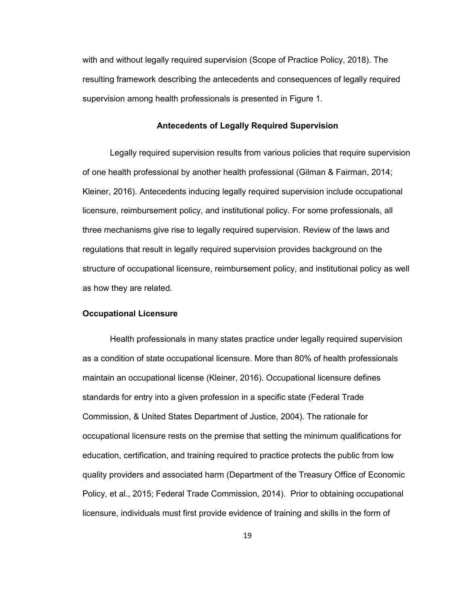with and without legally required supervision (Scope of Practice Policy, 2018). The resulting framework describing the antecedents and consequences of legally required supervision among health professionals is presented in Figure 1.

### **Antecedents of Legally Required Supervision**

Legally required supervision results from various policies that require supervision of one health professional by another health professional (Gilman & Fairman, 2014; Kleiner, 2016). Antecedents inducing legally required supervision include occupational licensure, reimbursement policy, and institutional policy. For some professionals, all three mechanisms give rise to legally required supervision. Review of the laws and regulations that result in legally required supervision provides background on the structure of occupational licensure, reimbursement policy, and institutional policy as well as how they are related.

### **Occupational Licensure**

Health professionals in many states practice under legally required supervision as a condition of state occupational licensure. More than 80% of health professionals maintain an occupational license (Kleiner, 2016). Occupational licensure defines standards for entry into a given profession in a specific state (Federal Trade Commission, & United States Department of Justice, 2004). The rationale for occupational licensure rests on the premise that setting the minimum qualifications for education, certification, and training required to practice protects the public from low quality providers and associated harm (Department of the Treasury Office of Economic Policy, et al., 2015; Federal Trade Commission, 2014). Prior to obtaining occupational licensure, individuals must first provide evidence of training and skills in the form of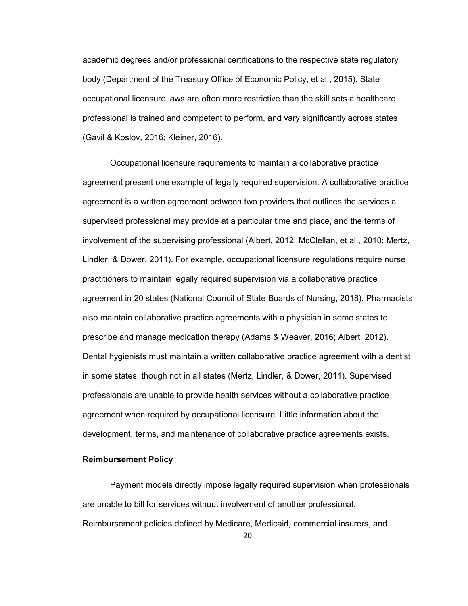academic degrees and/or professional certifications to the respective state regulatory body (Department of the Treasury Office of Economic Policy, et al., 2015). State occupational licensure laws are often more restrictive than the skill sets a healthcare professional is trained and competent to perform, and vary significantly across states (Gavil & Koslov, 2016; Kleiner, 2016).

Occupational licensure requirements to maintain a collaborative practice agreement present one example of legally required supervision. A collaborative practice agreement is a written agreement between two providers that outlines the services a supervised professional may provide at a particular time and place, and the terms of involvement of the supervising professional (Albert, 2012; McClellan, et al., 2010; Mertz, Lindler, & Dower, 2011). For example, occupational licensure regulations require nurse practitioners to maintain legally required supervision via a collaborative practice agreement in 20 states (National Council of State Boards of Nursing, 2018). Pharmacists also maintain collaborative practice agreements with a physician in some states to prescribe and manage medication therapy (Adams & Weaver, 2016; Albert, 2012). Dental hygienists must maintain a written collaborative practice agreement with a dentist in some states, though not in all states (Mertz, Lindler, & Dower, 2011). Supervised professionals are unable to provide health services without a collaborative practice agreement when required by occupational licensure. Little information about the development, terms, and maintenance of collaborative practice agreements exists.

### **Reimbursement Policy**

Payment models directly impose legally required supervision when professionals are unable to bill for services without involvement of another professional. Reimbursement policies defined by Medicare, Medicaid, commercial insurers, and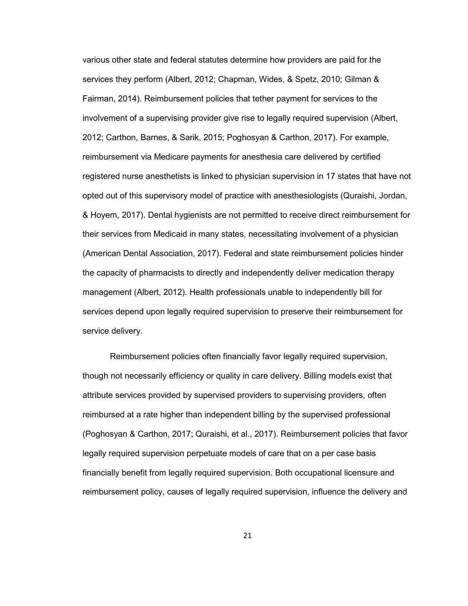various other state and federal statutes determine how providers are paid for the services they perform (Albert, 2012; Chapman, Wides, & Spetz, 2010; Gilman & Fairman, 2014). Reimbursement policies that tether payment for services to the involvement of a supervising provider give rise to legally required supervision (Albert, 2012; Carthon, Barnes, & Sarik, 2015; Poghosyan & Carthon, 2017). For example, reimbursement via Medicare payments for anesthesia care delivered by certified registered nurse anesthetists is linked to physician supervision in 17 states that have not opted out of this supervisory model of practice with anesthesiologists (Quraishi, Jordan, & Hoyem, 2017). Dental hygienists are not permitted to receive direct reimbursement for their services from Medicaid in many states, necessitating involvement of a physician (American Dental Association, 2017). Federal and state reimbursement policies hinder the capacity of pharmacists to directly and independently deliver medication therapy management (Albert, 2012). Health professionals unable to independently bill for services depend upon legally required supervision to preserve their reimbursement for service delivery.

Reimbursement policies often financially favor legally required supervision, though not necessarily efficiency or quality in care delivery. Billing models exist that attribute services provided by supervised providers to supervising providers, often reimbursed at a rate higher than independent billing by the supervised professional (Poghosyan & Carthon, 2017; Quraishi, et al., 2017). Reimbursement policies that favor legally required supervision perpetuate models of care that on a per case basis financially benefit from legally required supervision. Both occupational licensure and reimbursement policy, causes of legally required supervision, influence the delivery and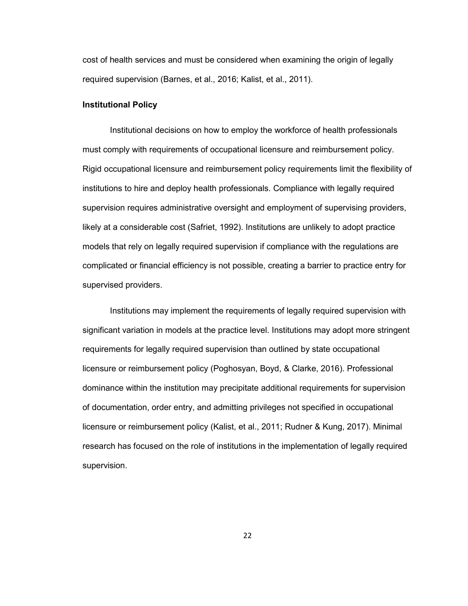cost of health services and must be considered when examining the origin of legally required supervision (Barnes, et al., 2016; Kalist, et al., 2011).

## **Institutional Policy**

Institutional decisions on how to employ the workforce of health professionals must comply with requirements of occupational licensure and reimbursement policy. Rigid occupational licensure and reimbursement policy requirements limit the flexibility of institutions to hire and deploy health professionals. Compliance with legally required supervision requires administrative oversight and employment of supervising providers, likely at a considerable cost (Safriet, 1992). Institutions are unlikely to adopt practice models that rely on legally required supervision if compliance with the regulations are complicated or financial efficiency is not possible, creating a barrier to practice entry for supervised providers.

Institutions may implement the requirements of legally required supervision with significant variation in models at the practice level. Institutions may adopt more stringent requirements for legally required supervision than outlined by state occupational licensure or reimbursement policy (Poghosyan, Boyd, & Clarke, 2016). Professional dominance within the institution may precipitate additional requirements for supervision of documentation, order entry, and admitting privileges not specified in occupational licensure or reimbursement policy (Kalist, et al., 2011; Rudner & Kung, 2017). Minimal research has focused on the role of institutions in the implementation of legally required supervision.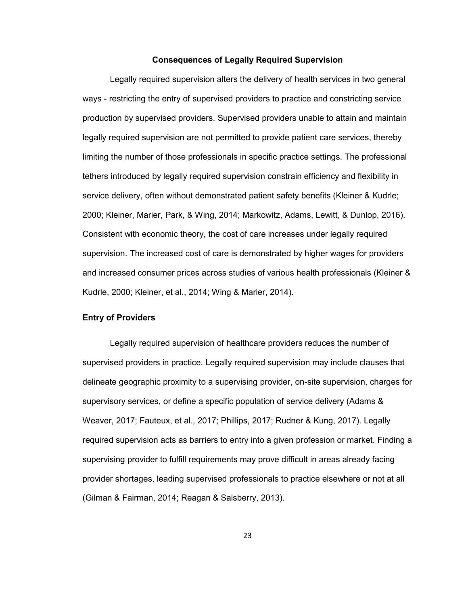## **Consequences of Legally Required Supervision**

Legally required supervision alters the delivery of health services in two general ways - restricting the entry of supervised providers to practice and constricting service production by supervised providers. Supervised providers unable to attain and maintain legally required supervision are not permitted to provide patient care services, thereby limiting the number of those professionals in specific practice settings. The professional tethers introduced by legally required supervision constrain efficiency and flexibility in service delivery, often without demonstrated patient safety benefits (Kleiner & Kudrle; 2000; Kleiner, Marier, Park, & Wing, 2014; Markowitz, Adams, Lewitt, & Dunlop, 2016). Consistent with economic theory, the cost of care increases under legally required supervision. The increased cost of care is demonstrated by higher wages for providers and increased consumer prices across studies of various health professionals (Kleiner & Kudrle, 2000; Kleiner, et al., 2014; Wing & Marier, 2014).

## **Entry of Providers**

Legally required supervision of healthcare providers reduces the number of supervised providers in practice. Legally required supervision may include clauses that delineate geographic proximity to a supervising provider, on-site supervision, charges for supervisory services, or define a specific population of service delivery (Adams & Weaver, 2017; Fauteux, et al., 2017; Phillips, 2017; Rudner & Kung, 2017). Legally required supervision acts as barriers to entry into a given profession or market. Finding a supervising provider to fulfill requirements may prove difficult in areas already facing provider shortages, leading supervised professionals to practice elsewhere or not at all (Gilman & Fairman, 2014; Reagan & Salsberry, 2013).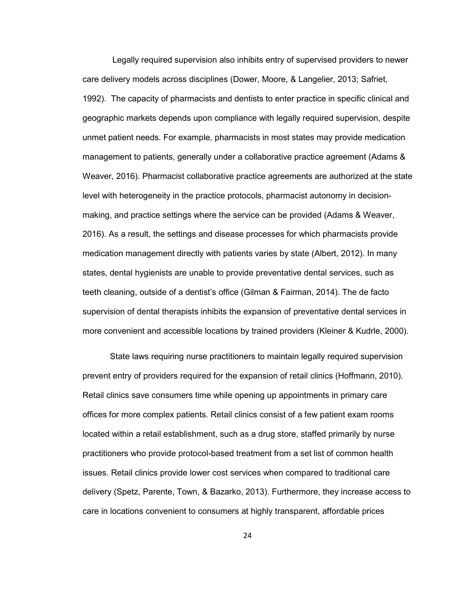Legally required supervision also inhibits entry of supervised providers to newer care delivery models across disciplines (Dower, Moore, & Langelier, 2013; Safriet, 1992). The capacity of pharmacists and dentists to enter practice in specific clinical and geographic markets depends upon compliance with legally required supervision, despite unmet patient needs. For example, pharmacists in most states may provide medication management to patients, generally under a collaborative practice agreement (Adams & Weaver, 2016). Pharmacist collaborative practice agreements are authorized at the state level with heterogeneity in the practice protocols, pharmacist autonomy in decisionmaking, and practice settings where the service can be provided (Adams & Weaver, 2016). As a result, the settings and disease processes for which pharmacists provide medication management directly with patients varies by state (Albert, 2012). In many states, dental hygienists are unable to provide preventative dental services, such as teeth cleaning, outside of a dentist's office (Gilman & Fairman, 2014). The de facto supervision of dental therapists inhibits the expansion of preventative dental services in more convenient and accessible locations by trained providers (Kleiner & Kudrle, 2000).

State laws requiring nurse practitioners to maintain legally required supervision prevent entry of providers required for the expansion of retail clinics (Hoffmann, 2010). Retail clinics save consumers time while opening up appointments in primary care offices for more complex patients. Retail clinics consist of a few patient exam rooms located within a retail establishment, such as a drug store, staffed primarily by nurse practitioners who provide protocol-based treatment from a set list of common health issues. Retail clinics provide lower cost services when compared to traditional care delivery (Spetz, Parente, Town, & Bazarko, 2013). Furthermore, they increase access to care in locations convenient to consumers at highly transparent, affordable prices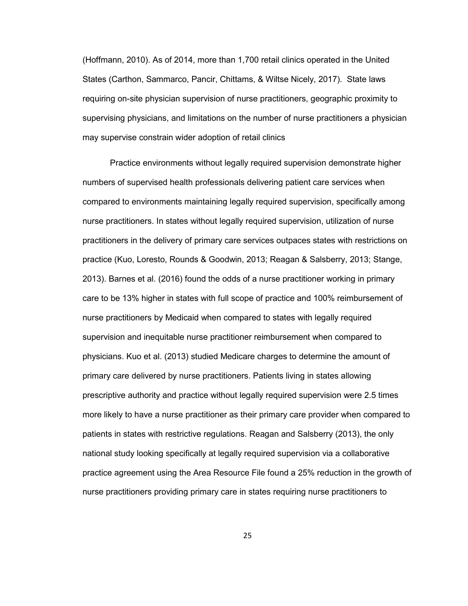(Hoffmann, 2010). As of 2014, more than 1,700 retail clinics operated in the United States (Carthon, Sammarco, Pancir, Chittams, & Wiltse Nicely, 2017). State laws requiring on-site physician supervision of nurse practitioners, geographic proximity to supervising physicians, and limitations on the number of nurse practitioners a physician may supervise constrain wider adoption of retail clinics

Practice environments without legally required supervision demonstrate higher numbers of supervised health professionals delivering patient care services when compared to environments maintaining legally required supervision, specifically among nurse practitioners. In states without legally required supervision, utilization of nurse practitioners in the delivery of primary care services outpaces states with restrictions on practice (Kuo, Loresto, Rounds & Goodwin, 2013; Reagan & Salsberry, 2013; Stange, 2013). Barnes et al. (2016) found the odds of a nurse practitioner working in primary care to be 13% higher in states with full scope of practice and 100% reimbursement of nurse practitioners by Medicaid when compared to states with legally required supervision and inequitable nurse practitioner reimbursement when compared to physicians. Kuo et al. (2013) studied Medicare charges to determine the amount of primary care delivered by nurse practitioners. Patients living in states allowing prescriptive authority and practice without legally required supervision were 2.5 times more likely to have a nurse practitioner as their primary care provider when compared to patients in states with restrictive regulations. Reagan and Salsberry (2013), the only national study looking specifically at legally required supervision via a collaborative practice agreement using the Area Resource File found a 25% reduction in the growth of nurse practitioners providing primary care in states requiring nurse practitioners to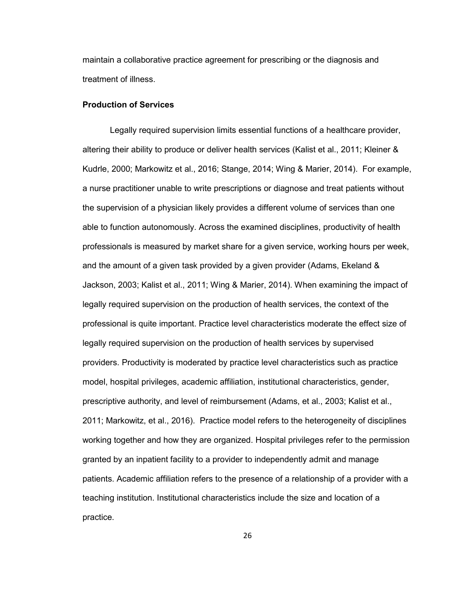maintain a collaborative practice agreement for prescribing or the diagnosis and treatment of illness.

## **Production of Services**

Legally required supervision limits essential functions of a healthcare provider, altering their ability to produce or deliver health services (Kalist et al., 2011; Kleiner & Kudrle, 2000; Markowitz et al., 2016; Stange, 2014; Wing & Marier, 2014). For example, a nurse practitioner unable to write prescriptions or diagnose and treat patients without the supervision of a physician likely provides a different volume of services than one able to function autonomously. Across the examined disciplines, productivity of health professionals is measured by market share for a given service, working hours per week, and the amount of a given task provided by a given provider (Adams, Ekeland & Jackson, 2003; Kalist et al., 2011; Wing & Marier, 2014). When examining the impact of legally required supervision on the production of health services, the context of the professional is quite important. Practice level characteristics moderate the effect size of legally required supervision on the production of health services by supervised providers. Productivity is moderated by practice level characteristics such as practice model, hospital privileges, academic affiliation, institutional characteristics, gender, prescriptive authority, and level of reimbursement (Adams, et al., 2003; Kalist et al., 2011; Markowitz, et al., 2016). Practice model refers to the heterogeneity of disciplines working together and how they are organized. Hospital privileges refer to the permission granted by an inpatient facility to a provider to independently admit and manage patients. Academic affiliation refers to the presence of a relationship of a provider with a teaching institution. Institutional characteristics include the size and location of a practice.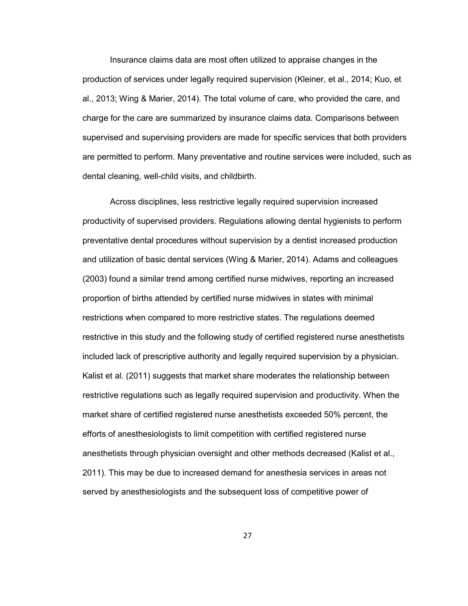Insurance claims data are most often utilized to appraise changes in the production of services under legally required supervision (Kleiner, et al., 2014; Kuo, et al., 2013; Wing & Marier, 2014). The total volume of care, who provided the care, and charge for the care are summarized by insurance claims data. Comparisons between supervised and supervising providers are made for specific services that both providers are permitted to perform. Many preventative and routine services were included, such as dental cleaning, well-child visits, and childbirth.

Across disciplines, less restrictive legally required supervision increased productivity of supervised providers. Regulations allowing dental hygienists to perform preventative dental procedures without supervision by a dentist increased production and utilization of basic dental services (Wing & Marier, 2014). Adams and colleagues (2003) found a similar trend among certified nurse midwives, reporting an increased proportion of births attended by certified nurse midwives in states with minimal restrictions when compared to more restrictive states. The regulations deemed restrictive in this study and the following study of certified registered nurse anesthetists included lack of prescriptive authority and legally required supervision by a physician. Kalist et al. (2011) suggests that market share moderates the relationship between restrictive regulations such as legally required supervision and productivity. When the market share of certified registered nurse anesthetists exceeded 50% percent, the efforts of anesthesiologists to limit competition with certified registered nurse anesthetists through physician oversight and other methods decreased (Kalist et al., 2011). This may be due to increased demand for anesthesia services in areas not served by anesthesiologists and the subsequent loss of competitive power of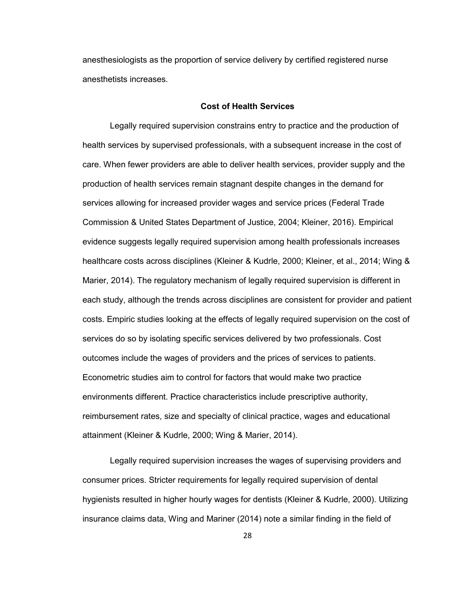anesthesiologists as the proportion of service delivery by certified registered nurse anesthetists increases.

#### **Cost of Health Services**

Legally required supervision constrains entry to practice and the production of health services by supervised professionals, with a subsequent increase in the cost of care. When fewer providers are able to deliver health services, provider supply and the production of health services remain stagnant despite changes in the demand for services allowing for increased provider wages and service prices (Federal Trade Commission & United States Department of Justice, 2004; Kleiner, 2016). Empirical evidence suggests legally required supervision among health professionals increases healthcare costs across disciplines (Kleiner & Kudrle, 2000; Kleiner, et al., 2014; Wing & Marier, 2014). The regulatory mechanism of legally required supervision is different in each study, although the trends across disciplines are consistent for provider and patient costs. Empiric studies looking at the effects of legally required supervision on the cost of services do so by isolating specific services delivered by two professionals. Cost outcomes include the wages of providers and the prices of services to patients. Econometric studies aim to control for factors that would make two practice environments different. Practice characteristics include prescriptive authority, reimbursement rates, size and specialty of clinical practice, wages and educational attainment (Kleiner & Kudrle, 2000; Wing & Marier, 2014).

Legally required supervision increases the wages of supervising providers and consumer prices. Stricter requirements for legally required supervision of dental hygienists resulted in higher hourly wages for dentists (Kleiner & Kudrle, 2000). Utilizing insurance claims data, Wing and Mariner (2014) note a similar finding in the field of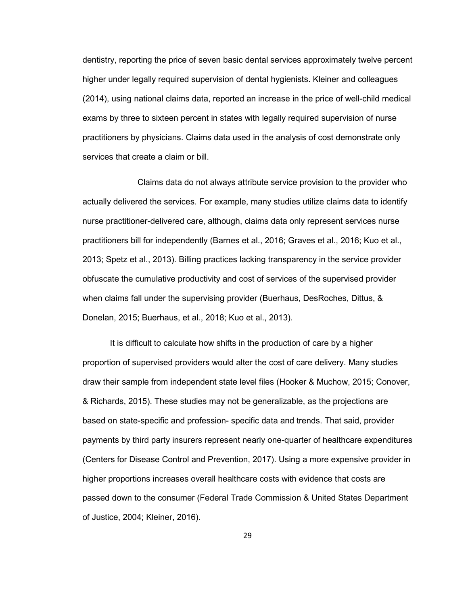dentistry, reporting the price of seven basic dental services approximately twelve percent higher under legally required supervision of dental hygienists. Kleiner and colleagues (2014), using national claims data, reported an increase in the price of well-child medical exams by three to sixteen percent in states with legally required supervision of nurse practitioners by physicians. Claims data used in the analysis of cost demonstrate only services that create a claim or bill.

 Claims data do not always attribute service provision to the provider who actually delivered the services. For example, many studies utilize claims data to identify nurse practitioner-delivered care, although, claims data only represent services nurse practitioners bill for independently (Barnes et al., 2016; Graves et al., 2016; Kuo et al., 2013; Spetz et al., 2013). Billing practices lacking transparency in the service provider obfuscate the cumulative productivity and cost of services of the supervised provider when claims fall under the supervising provider (Buerhaus, DesRoches, Dittus, & Donelan, 2015; Buerhaus, et al., 2018; Kuo et al., 2013).

It is difficult to calculate how shifts in the production of care by a higher proportion of supervised providers would alter the cost of care delivery. Many studies draw their sample from independent state level files (Hooker & Muchow, 2015; Conover, & Richards, 2015). These studies may not be generalizable, as the projections are based on state-specific and profession- specific data and trends. That said, provider payments by third party insurers represent nearly one-quarter of healthcare expenditures (Centers for Disease Control and Prevention, 2017). Using a more expensive provider in higher proportions increases overall healthcare costs with evidence that costs are passed down to the consumer (Federal Trade Commission & United States Department of Justice, 2004; Kleiner, 2016).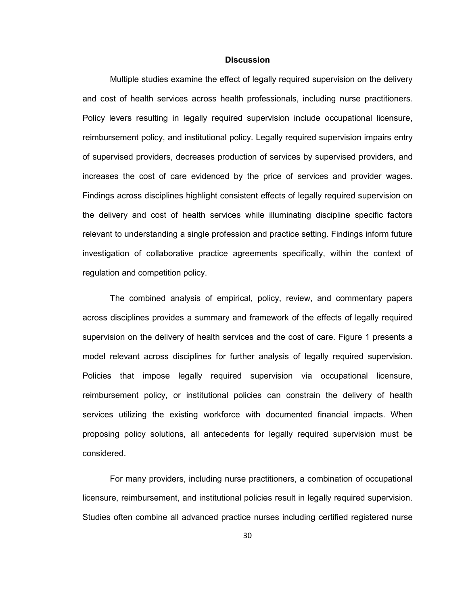## **Discussion**

Multiple studies examine the effect of legally required supervision on the delivery and cost of health services across health professionals, including nurse practitioners. Policy levers resulting in legally required supervision include occupational licensure, reimbursement policy, and institutional policy. Legally required supervision impairs entry of supervised providers, decreases production of services by supervised providers, and increases the cost of care evidenced by the price of services and provider wages. Findings across disciplines highlight consistent effects of legally required supervision on the delivery and cost of health services while illuminating discipline specific factors relevant to understanding a single profession and practice setting. Findings inform future investigation of collaborative practice agreements specifically, within the context of regulation and competition policy.

The combined analysis of empirical, policy, review, and commentary papers across disciplines provides a summary and framework of the effects of legally required supervision on the delivery of health services and the cost of care. Figure 1 presents a model relevant across disciplines for further analysis of legally required supervision. Policies that impose legally required supervision via occupational licensure, reimbursement policy, or institutional policies can constrain the delivery of health services utilizing the existing workforce with documented financial impacts. When proposing policy solutions, all antecedents for legally required supervision must be considered.

For many providers, including nurse practitioners, a combination of occupational licensure, reimbursement, and institutional policies result in legally required supervision. Studies often combine all advanced practice nurses including certified registered nurse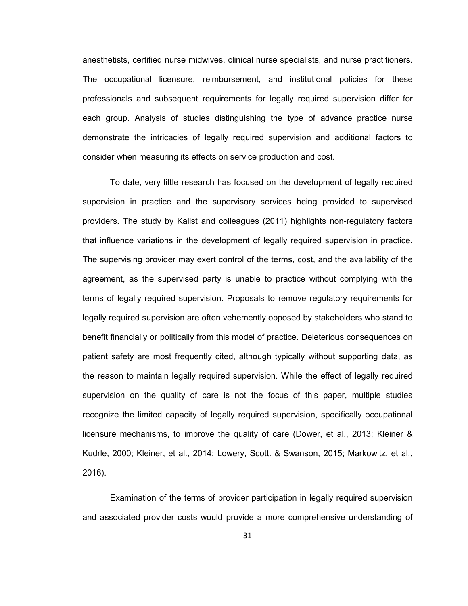anesthetists, certified nurse midwives, clinical nurse specialists, and nurse practitioners. The occupational licensure, reimbursement, and institutional policies for these professionals and subsequent requirements for legally required supervision differ for each group. Analysis of studies distinguishing the type of advance practice nurse demonstrate the intricacies of legally required supervision and additional factors to consider when measuring its effects on service production and cost.

To date, very little research has focused on the development of legally required supervision in practice and the supervisory services being provided to supervised providers. The study by Kalist and colleagues (2011) highlights non-regulatory factors that influence variations in the development of legally required supervision in practice. The supervising provider may exert control of the terms, cost, and the availability of the agreement, as the supervised party is unable to practice without complying with the terms of legally required supervision. Proposals to remove regulatory requirements for legally required supervision are often vehemently opposed by stakeholders who stand to benefit financially or politically from this model of practice. Deleterious consequences on patient safety are most frequently cited, although typically without supporting data, as the reason to maintain legally required supervision. While the effect of legally required supervision on the quality of care is not the focus of this paper, multiple studies recognize the limited capacity of legally required supervision, specifically occupational licensure mechanisms, to improve the quality of care (Dower, et al., 2013; Kleiner & Kudrle, 2000; Kleiner, et al., 2014; Lowery, Scott. & Swanson, 2015; Markowitz, et al., 2016).

Examination of the terms of provider participation in legally required supervision and associated provider costs would provide a more comprehensive understanding of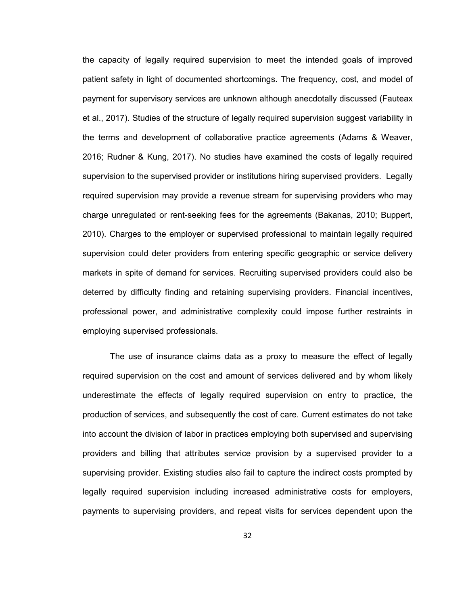the capacity of legally required supervision to meet the intended goals of improved patient safety in light of documented shortcomings. The frequency, cost, and model of payment for supervisory services are unknown although anecdotally discussed (Fauteax et al., 2017). Studies of the structure of legally required supervision suggest variability in the terms and development of collaborative practice agreements (Adams & Weaver, 2016; Rudner & Kung, 2017). No studies have examined the costs of legally required supervision to the supervised provider or institutions hiring supervised providers. Legally required supervision may provide a revenue stream for supervising providers who may charge unregulated or rent-seeking fees for the agreements (Bakanas, 2010; Buppert, 2010). Charges to the employer or supervised professional to maintain legally required supervision could deter providers from entering specific geographic or service delivery markets in spite of demand for services. Recruiting supervised providers could also be deterred by difficulty finding and retaining supervising providers. Financial incentives, professional power, and administrative complexity could impose further restraints in employing supervised professionals.

The use of insurance claims data as a proxy to measure the effect of legally required supervision on the cost and amount of services delivered and by whom likely underestimate the effects of legally required supervision on entry to practice, the production of services, and subsequently the cost of care. Current estimates do not take into account the division of labor in practices employing both supervised and supervising providers and billing that attributes service provision by a supervised provider to a supervising provider. Existing studies also fail to capture the indirect costs prompted by legally required supervision including increased administrative costs for employers, payments to supervising providers, and repeat visits for services dependent upon the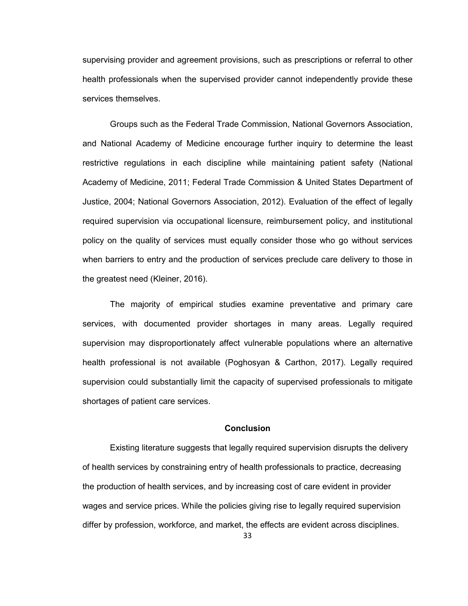supervising provider and agreement provisions, such as prescriptions or referral to other health professionals when the supervised provider cannot independently provide these services themselves.

Groups such as the Federal Trade Commission, National Governors Association, and National Academy of Medicine encourage further inquiry to determine the least restrictive regulations in each discipline while maintaining patient safety (National Academy of Medicine, 2011; Federal Trade Commission & United States Department of Justice, 2004; National Governors Association, 2012). Evaluation of the effect of legally required supervision via occupational licensure, reimbursement policy, and institutional policy on the quality of services must equally consider those who go without services when barriers to entry and the production of services preclude care delivery to those in the greatest need (Kleiner, 2016).

The majority of empirical studies examine preventative and primary care services, with documented provider shortages in many areas. Legally required supervision may disproportionately affect vulnerable populations where an alternative health professional is not available (Poghosyan & Carthon, 2017). Legally required supervision could substantially limit the capacity of supervised professionals to mitigate shortages of patient care services.

#### **Conclusion**

Existing literature suggests that legally required supervision disrupts the delivery of health services by constraining entry of health professionals to practice, decreasing the production of health services, and by increasing cost of care evident in provider wages and service prices. While the policies giving rise to legally required supervision differ by profession, workforce, and market, the effects are evident across disciplines.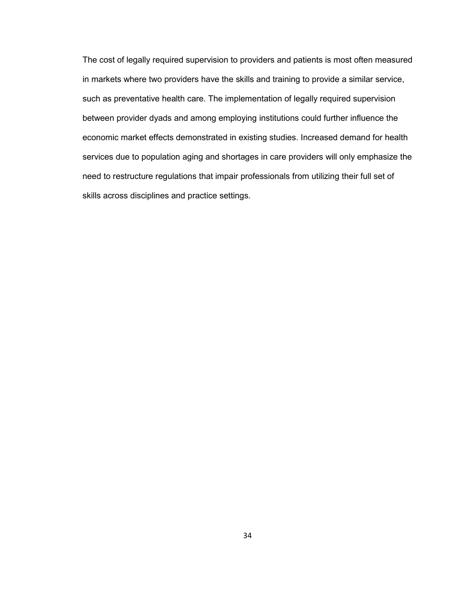The cost of legally required supervision to providers and patients is most often measured in markets where two providers have the skills and training to provide a similar service, such as preventative health care. The implementation of legally required supervision between provider dyads and among employing institutions could further influence the economic market effects demonstrated in existing studies. Increased demand for health services due to population aging and shortages in care providers will only emphasize the need to restructure regulations that impair professionals from utilizing their full set of skills across disciplines and practice settings.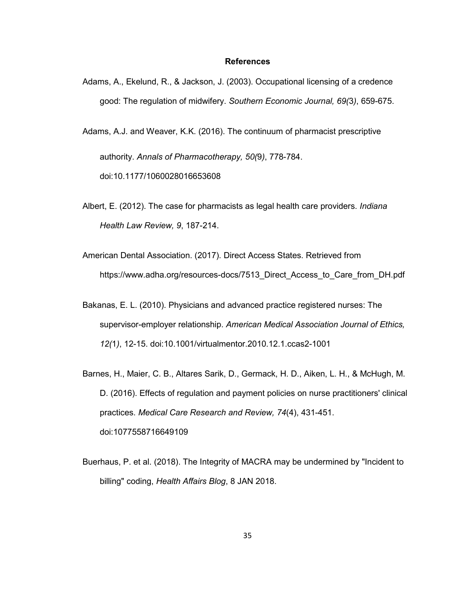## **References**

Adams, A., Ekelund, R., & Jackson, J. (2003). Occupational licensing of a credence good: The regulation of midwifery. *Southern Economic Journal, 69(*3*)*, 659-675.

Adams, A.J. and Weaver, K.K. (2016). The continuum of pharmacist prescriptive authority. *Annals of Pharmacotherapy, 50(*9*)*, 778-784. doi:10.1177/1060028016653608

- Albert, E. (2012). The case for pharmacists as legal health care providers. *Indiana Health Law Review, 9*, 187-214.
- American Dental Association. (2017). Direct Access States. Retrieved from https://www.adha.org/resources-docs/7513\_Direct\_Access\_to\_Care\_from\_DH.pdf
- Bakanas, E. L. (2010). Physicians and advanced practice registered nurses: The supervisor-employer relationship. *American Medical Association Journal of Ethics, 12(*1*)*, 12-15. doi:10.1001/virtualmentor.2010.12.1.ccas2-1001
- Barnes, H., Maier, C. B., Altares Sarik, D., Germack, H. D., Aiken, L. H., & McHugh, M. D. (2016). Effects of regulation and payment policies on nurse practitioners' clinical practices. *Medical Care Research and Review, 74*(4), 431-451. doi:1077558716649109
- Buerhaus, P. et al. (2018). The Integrity of MACRA may be undermined by "Incident to billing" coding, *Health Affairs Blog*, 8 JAN 2018.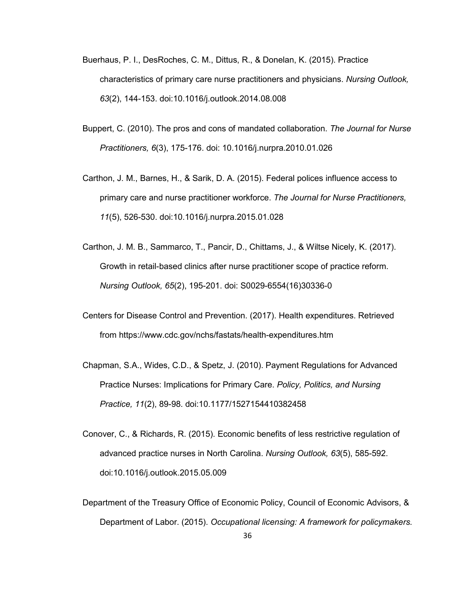- Buerhaus, P. I., DesRoches, C. M., Dittus, R., & Donelan, K. (2015). Practice characteristics of primary care nurse practitioners and physicians. *Nursing Outlook, 63*(2), 144-153. doi:10.1016/j.outlook.2014.08.008
- Buppert, C. (2010). The pros and cons of mandated collaboration. *The Journal for Nurse Practitioners, 6*(3), 175-176. doi: 10.1016/j.nurpra.2010.01.026
- Carthon, J. M., Barnes, H., & Sarik, D. A. (2015). Federal polices influence access to primary care and nurse practitioner workforce. *The Journal for Nurse Practitioners, 11*(5), 526-530. doi:10.1016/j.nurpra.2015.01.028
- Carthon, J. M. B., Sammarco, T., Pancir, D., Chittams, J., & Wiltse Nicely, K. (2017). Growth in retail-based clinics after nurse practitioner scope of practice reform. *Nursing Outlook, 65*(2), 195-201. doi: S0029-6554(16)30336-0
- Centers for Disease Control and Prevention. (2017). Health expenditures. Retrieved from https://www.cdc.gov/nchs/fastats/health-expenditures.htm
- Chapman, S.A., Wides, C.D., & Spetz, J. (2010). Payment Regulations for Advanced Practice Nurses: Implications for Primary Care. *Policy, Politics, and Nursing Practice, 11*(2), 89-98. doi:10.1177/1527154410382458
- Conover, C., & Richards, R. (2015). Economic benefits of less restrictive regulation of advanced practice nurses in North Carolina. *Nursing Outlook, 63*(5), 585-592. doi:10.1016/j.outlook.2015.05.009
- Department of the Treasury Office of Economic Policy, Council of Economic Advisors, & Department of Labor. (2015). *Occupational licensing: A framework for policymakers.*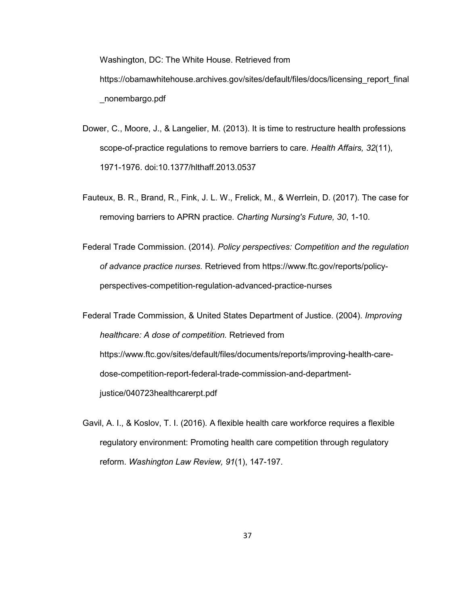Washington, DC: The White House. Retrieved from https://obamawhitehouse.archives.gov/sites/default/files/docs/licensing\_report\_final \_nonembargo.pdf

- Dower, C., Moore, J., & Langelier, M. (2013). It is time to restructure health professions scope-of-practice regulations to remove barriers to care. *Health Affairs, 32*(11), 1971-1976. doi:10.1377/hlthaff.2013.0537
- Fauteux, B. R., Brand, R., Fink, J. L. W., Frelick, M., & Werrlein, D. (2017). The case for removing barriers to APRN practice. *Charting Nursing's Future, 30*, 1-10.
- Federal Trade Commission. (2014). *Policy perspectives: Competition and the regulation of advance practice nurses.* Retrieved from https://www.ftc.gov/reports/policyperspectives-competition-regulation-advanced-practice-nurses

Federal Trade Commission, & United States Department of Justice. (2004). *Improving healthcare: A dose of competition.* Retrieved from https://www.ftc.gov/sites/default/files/documents/reports/improving-health-caredose-competition-report-federal-trade-commission-and-departmentjustice/040723healthcarerpt.pdf

Gavil, A. I., & Koslov, T. I. (2016). A flexible health care workforce requires a flexible regulatory environment: Promoting health care competition through regulatory reform. *Washington Law Review, 91*(1), 147-197.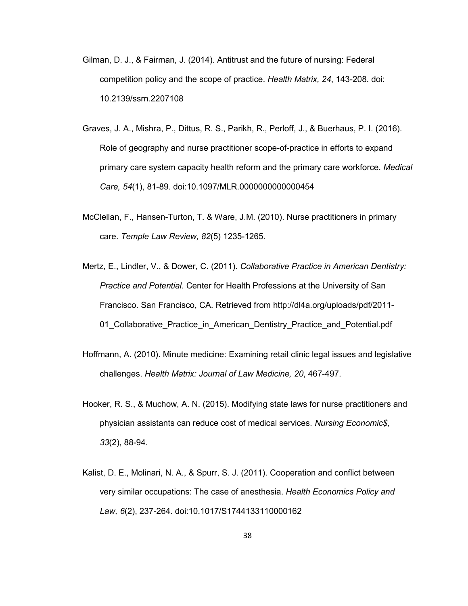- Gilman, D. J., & Fairman, J. (2014). Antitrust and the future of nursing: Federal competition policy and the scope of practice. *Health Matrix, 24*, 143-208. doi: 10.2139/ssrn.2207108
- Graves, J. A., Mishra, P., Dittus, R. S., Parikh, R., Perloff, J., & Buerhaus, P. I. (2016). Role of geography and nurse practitioner scope-of-practice in efforts to expand primary care system capacity health reform and the primary care workforce. *Medical Care, 54*(1), 81-89. doi:10.1097/MLR.0000000000000454
- McClellan, F., Hansen-Turton, T. & Ware, J.M. (2010). Nurse practitioners in primary care. *Temple Law Review, 82*(5) 1235-1265.
- Mertz, E., Lindler, V., & Dower, C. (2011). *Collaborative Practice in American Dentistry: Practice and Potential*. Center for Health Professions at the University of San Francisco. San Francisco, CA. Retrieved from http://dl4a.org/uploads/pdf/2011- 01 Collaborative Practice in American Dentistry Practice and Potential.pdf
- Hoffmann, A. (2010). Minute medicine: Examining retail clinic legal issues and legislative challenges. *Health Matrix: Journal of Law Medicine, 20*, 467-497.
- Hooker, R. S., & Muchow, A. N. (2015). Modifying state laws for nurse practitioners and physician assistants can reduce cost of medical services. *Nursing Economic\$, 33*(2), 88-94.
- Kalist, D. E., Molinari, N. A., & Spurr, S. J. (2011). Cooperation and conflict between very similar occupations: The case of anesthesia. *Health Economics Policy and Law, 6*(2), 237-264. doi:10.1017/S1744133110000162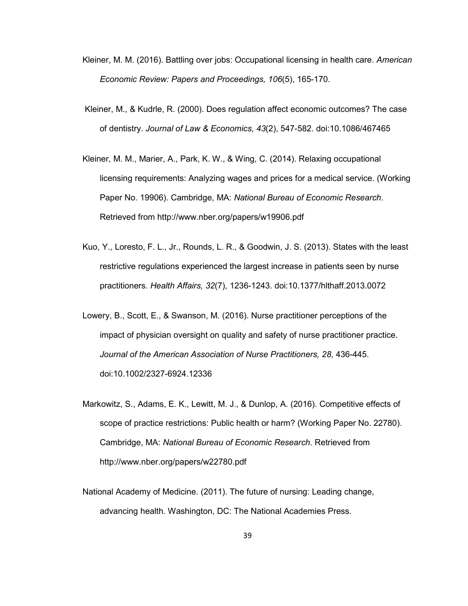- Kleiner, M. M. (2016). Battling over jobs: Occupational licensing in health care. *American Economic Review: Papers and Proceedings, 106*(5), 165-170.
- Kleiner, M., & Kudrle, R. (2000). Does regulation affect economic outcomes? The case of dentistry. *Journal of Law & Economics, 43*(2), 547-582. doi:10.1086/467465
- Kleiner, M. M., Marier, A., Park, K. W., & Wing, C. (2014). Relaxing occupational licensing requirements: Analyzing wages and prices for a medical service. (Working Paper No. 19906). Cambridge, MA: *National Bureau of Economic Research*. Retrieved from http://www.nber.org/papers/w19906.pdf
- Kuo, Y., Loresto, F. L., Jr., Rounds, L. R., & Goodwin, J. S. (2013). States with the least restrictive regulations experienced the largest increase in patients seen by nurse practitioners. *Health Affairs, 32*(7), 1236-1243. doi:10.1377/hlthaff.2013.0072
- Lowery, B., Scott, E., & Swanson, M. (2016). Nurse practitioner perceptions of the impact of physician oversight on quality and safety of nurse practitioner practice. *Journal of the American Association of Nurse Practitioners, 28*, 436-445. doi:10.1002/2327-6924.12336
- Markowitz, S., Adams, E. K., Lewitt, M. J., & Dunlop, A. (2016). Competitive effects of scope of practice restrictions: Public health or harm? (Working Paper No. 22780). Cambridge, MA: *National Bureau of Economic Research.* Retrieved from http://www.nber.org/papers/w22780.pdf
- National Academy of Medicine. (2011). The future of nursing: Leading change, advancing health. Washington, DC: The National Academies Press.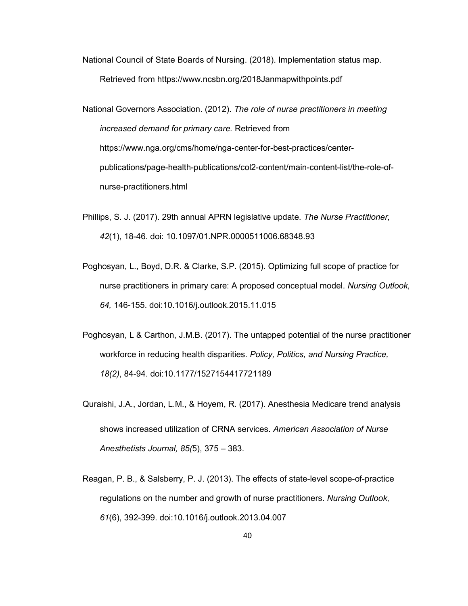National Council of State Boards of Nursing. (2018). Implementation status map. Retrieved from https://www.ncsbn.org/2018Janmapwithpoints.pdf

National Governors Association. (2012). *The role of nurse practitioners in meeting increased demand for primary care.* Retrieved from https://www.nga.org/cms/home/nga-center-for-best-practices/centerpublications/page-health-publications/col2-content/main-content-list/the-role-ofnurse-practitioners.html

- Phillips, S. J. (2017). 29th annual APRN legislative update. *The Nurse Practitioner, 42*(1), 18-46. doi: 10.1097/01.NPR.0000511006.68348.93
- Poghosyan, L., Boyd, D.R. & Clarke, S.P. (2015). Optimizing full scope of practice for nurse practitioners in primary care: A proposed conceptual model. *Nursing Outlook, 64,* 146-155. doi:10.1016/j.outlook.2015.11.015
- Poghosyan, L & Carthon, J.M.B. (2017). The untapped potential of the nurse practitioner workforce in reducing health disparities. *Policy, Politics, and Nursing Practice, 18(2)*, 84-94. doi:10.1177/1527154417721189
- Quraishi, J.A., Jordan, L.M., & Hoyem, R. (2017). Anesthesia Medicare trend analysis shows increased utilization of CRNA services. *American Association of Nurse Anesthetists Journal, 85(*5), 375 – 383.
- Reagan, P. B., & Salsberry, P. J. (2013). The effects of state-level scope-of-practice regulations on the number and growth of nurse practitioners. *Nursing Outlook, 61*(6), 392-399. doi:10.1016/j.outlook.2013.04.007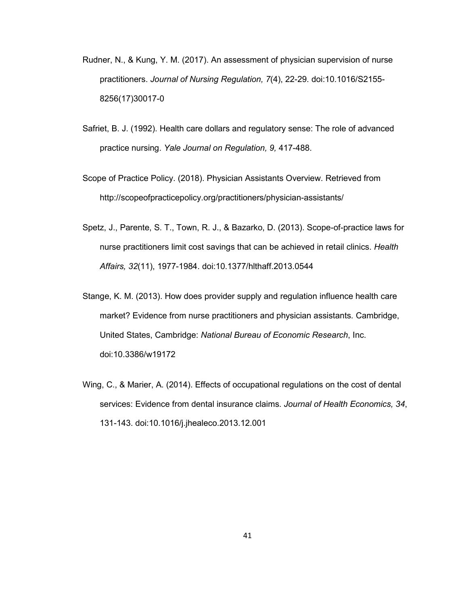- Rudner, N., & Kung, Y. M. (2017). An assessment of physician supervision of nurse practitioners. *Journal of Nursing Regulation, 7*(4), 22-29. doi:10.1016/S2155- 8256(17)30017-0
- Safriet, B. J. (1992). Health care dollars and regulatory sense: The role of advanced practice nursing. *Yale Journal on Regulation, 9,* 417-488.
- Scope of Practice Policy. (2018). Physician Assistants Overview. Retrieved from http://scopeofpracticepolicy.org/practitioners/physician-assistants/
- Spetz, J., Parente, S. T., Town, R. J., & Bazarko, D. (2013). Scope-of-practice laws for nurse practitioners limit cost savings that can be achieved in retail clinics. *Health Affairs, 32*(11), 1977-1984. doi:10.1377/hlthaff.2013.0544
- Stange, K. M. (2013). How does provider supply and regulation influence health care market? Evidence from nurse practitioners and physician assistants*.* Cambridge, United States, Cambridge: *National Bureau of Economic Research*, Inc. doi:10.3386/w19172
- Wing, C., & Marier, A. (2014). Effects of occupational regulations on the cost of dental services: Evidence from dental insurance claims. *Journal of Health Economics, 34*, 131-143. doi:10.1016/j.jhealeco.2013.12.001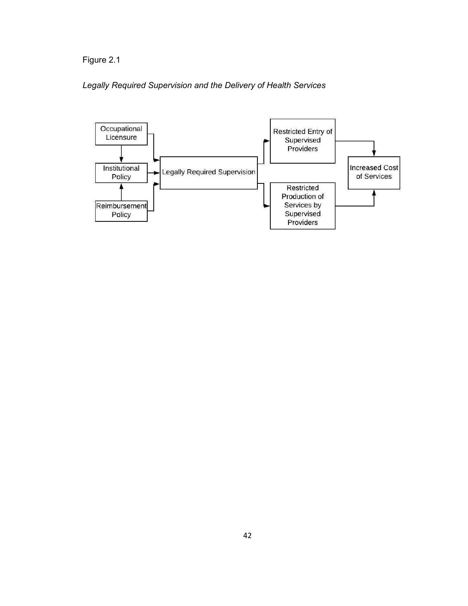Figure 2.1

# *Legally Required Supervision and the Delivery of Health Services*

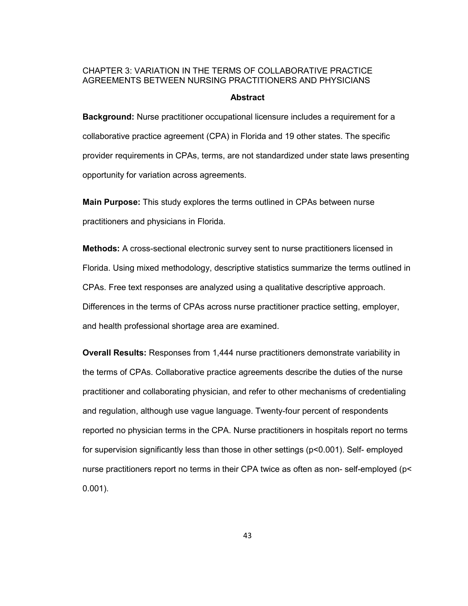## CHAPTER 3: VARIATION IN THE TERMS OF COLLABORATIVE PRACTICE AGREEMENTS BETWEEN NURSING PRACTITIONERS AND PHYSICIANS

## **Abstract**

**Background:** Nurse practitioner occupational licensure includes a requirement for a collaborative practice agreement (CPA) in Florida and 19 other states. The specific provider requirements in CPAs, terms, are not standardized under state laws presenting opportunity for variation across agreements.

**Main Purpose:** This study explores the terms outlined in CPAs between nurse practitioners and physicians in Florida.

**Methods:** A cross-sectional electronic survey sent to nurse practitioners licensed in Florida. Using mixed methodology, descriptive statistics summarize the terms outlined in CPAs. Free text responses are analyzed using a qualitative descriptive approach. Differences in the terms of CPAs across nurse practitioner practice setting, employer, and health professional shortage area are examined.

**Overall Results:** Responses from 1,444 nurse practitioners demonstrate variability in the terms of CPAs. Collaborative practice agreements describe the duties of the nurse practitioner and collaborating physician, and refer to other mechanisms of credentialing and regulation, although use vague language. Twenty-four percent of respondents reported no physician terms in the CPA. Nurse practitioners in hospitals report no terms for supervision significantly less than those in other settings (p<0.001). Self- employed nurse practitioners report no terms in their CPA twice as often as non- self-employed (p< 0.001).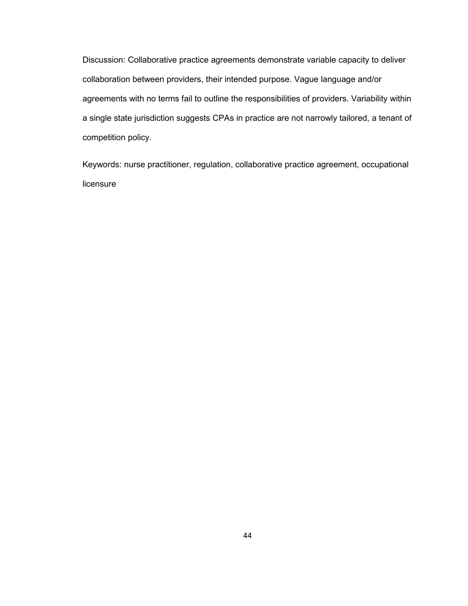Discussion: Collaborative practice agreements demonstrate variable capacity to deliver collaboration between providers, their intended purpose. Vague language and/or agreements with no terms fail to outline the responsibilities of providers. Variability within a single state jurisdiction suggests CPAs in practice are not narrowly tailored, a tenant of competition policy.

Keywords: nurse practitioner, regulation, collaborative practice agreement, occupational licensure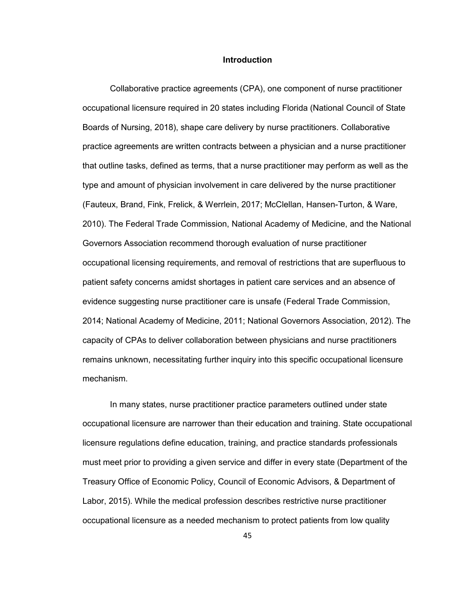#### **Introduction**

Collaborative practice agreements (CPA), one component of nurse practitioner occupational licensure required in 20 states including Florida (National Council of State Boards of Nursing, 2018), shape care delivery by nurse practitioners. Collaborative practice agreements are written contracts between a physician and a nurse practitioner that outline tasks, defined as terms, that a nurse practitioner may perform as well as the type and amount of physician involvement in care delivered by the nurse practitioner (Fauteux, Brand, Fink, Frelick, & Werrlein, 2017; McClellan, Hansen-Turton, & Ware, 2010). The Federal Trade Commission, National Academy of Medicine, and the National Governors Association recommend thorough evaluation of nurse practitioner occupational licensing requirements, and removal of restrictions that are superfluous to patient safety concerns amidst shortages in patient care services and an absence of evidence suggesting nurse practitioner care is unsafe (Federal Trade Commission, 2014; National Academy of Medicine, 2011; National Governors Association, 2012). The capacity of CPAs to deliver collaboration between physicians and nurse practitioners remains unknown, necessitating further inquiry into this specific occupational licensure mechanism.

In many states, nurse practitioner practice parameters outlined under state occupational licensure are narrower than their education and training. State occupational licensure regulations define education, training, and practice standards professionals must meet prior to providing a given service and differ in every state (Department of the Treasury Office of Economic Policy, Council of Economic Advisors, & Department of Labor, 2015). While the medical profession describes restrictive nurse practitioner occupational licensure as a needed mechanism to protect patients from low quality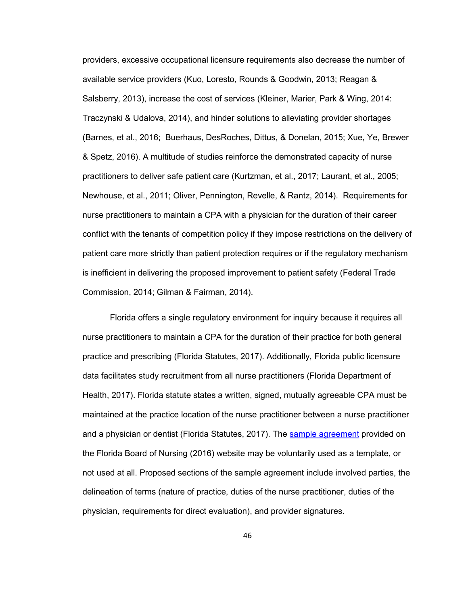providers, excessive occupational licensure requirements also decrease the number of available service providers (Kuo, Loresto, Rounds & Goodwin, 2013; Reagan & Salsberry, 2013), increase the cost of services (Kleiner, Marier, Park & Wing, 2014: Traczynski & Udalova, 2014), and hinder solutions to alleviating provider shortages (Barnes, et al., 2016; Buerhaus, DesRoches, Dittus, & Donelan, 2015; Xue, Ye, Brewer & Spetz, 2016). A multitude of studies reinforce the demonstrated capacity of nurse practitioners to deliver safe patient care (Kurtzman, et al., 2017; Laurant, et al., 2005; Newhouse, et al., 2011; Oliver, Pennington, Revelle, & Rantz, 2014). Requirements for nurse practitioners to maintain a CPA with a physician for the duration of their career conflict with the tenants of competition policy if they impose restrictions on the delivery of patient care more strictly than patient protection requires or if the regulatory mechanism is inefficient in delivering the proposed improvement to patient safety (Federal Trade Commission, 2014; Gilman & Fairman, 2014).

Florida offers a single regulatory environment for inquiry because it requires all nurse practitioners to maintain a CPA for the duration of their practice for both general practice and prescribing (Florida Statutes, 2017). Additionally, Florida public licensure data facilitates study recruitment from all nurse practitioners (Florida Department of Health, 2017). Florida statute states a written, signed, mutually agreeable CPA must be maintained at the practice location of the nurse practitioner between a nurse practitioner and a physician or dentist (Florida Statutes, 2017). The sample agreement provided on the Florida Board of Nursing (2016) website may be voluntarily used as a template, or not used at all. Proposed sections of the sample agreement include involved parties, the delineation of terms (nature of practice, duties of the nurse practitioner, duties of the physician, requirements for direct evaluation), and provider signatures.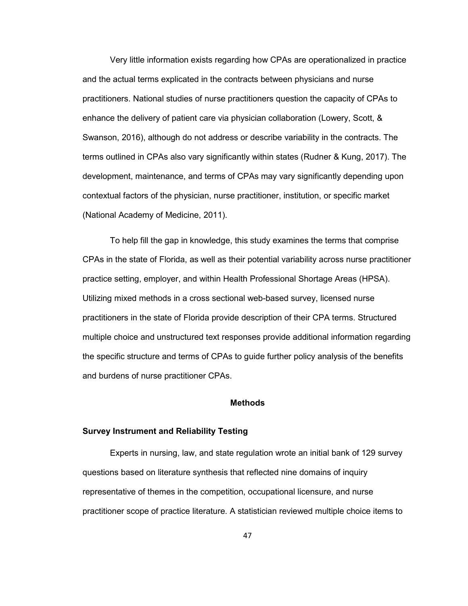Very little information exists regarding how CPAs are operationalized in practice and the actual terms explicated in the contracts between physicians and nurse practitioners. National studies of nurse practitioners question the capacity of CPAs to enhance the delivery of patient care via physician collaboration (Lowery, Scott, & Swanson, 2016), although do not address or describe variability in the contracts. The terms outlined in CPAs also vary significantly within states (Rudner & Kung, 2017). The development, maintenance, and terms of CPAs may vary significantly depending upon contextual factors of the physician, nurse practitioner, institution, or specific market (National Academy of Medicine, 2011).

To help fill the gap in knowledge, this study examines the terms that comprise CPAs in the state of Florida, as well as their potential variability across nurse practitioner practice setting, employer, and within Health Professional Shortage Areas (HPSA). Utilizing mixed methods in a cross sectional web-based survey, licensed nurse practitioners in the state of Florida provide description of their CPA terms. Structured multiple choice and unstructured text responses provide additional information regarding the specific structure and terms of CPAs to guide further policy analysis of the benefits and burdens of nurse practitioner CPAs.

#### **Methods**

## **Survey Instrument and Reliability Testing**

Experts in nursing, law, and state regulation wrote an initial bank of 129 survey questions based on literature synthesis that reflected nine domains of inquiry representative of themes in the competition, occupational licensure, and nurse practitioner scope of practice literature. A statistician reviewed multiple choice items to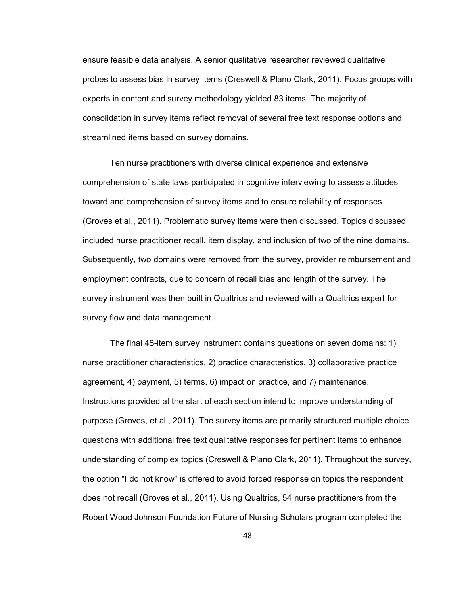ensure feasible data analysis. A senior qualitative researcher reviewed qualitative probes to assess bias in survey items (Creswell & Plano Clark, 2011). Focus groups with experts in content and survey methodology yielded 83 items. The majority of consolidation in survey items reflect removal of several free text response options and streamlined items based on survey domains.

Ten nurse practitioners with diverse clinical experience and extensive comprehension of state laws participated in cognitive interviewing to assess attitudes toward and comprehension of survey items and to ensure reliability of responses (Groves et al., 2011). Problematic survey items were then discussed. Topics discussed included nurse practitioner recall, item display, and inclusion of two of the nine domains. Subsequently, two domains were removed from the survey, provider reimbursement and employment contracts, due to concern of recall bias and length of the survey. The survey instrument was then built in Qualtrics and reviewed with a Qualtrics expert for survey flow and data management.

The final 48-item survey instrument contains questions on seven domains: 1) nurse practitioner characteristics, 2) practice characteristics, 3) collaborative practice agreement, 4) payment, 5) terms, 6) impact on practice, and 7) maintenance. Instructions provided at the start of each section intend to improve understanding of purpose (Groves, et al., 2011). The survey items are primarily structured multiple choice questions with additional free text qualitative responses for pertinent items to enhance understanding of complex topics (Creswell & Plano Clark, 2011). Throughout the survey, the option "I do not know" is offered to avoid forced response on topics the respondent does not recall (Groves et al., 2011). Using Qualtrics, 54 nurse practitioners from the Robert Wood Johnson Foundation Future of Nursing Scholars program completed the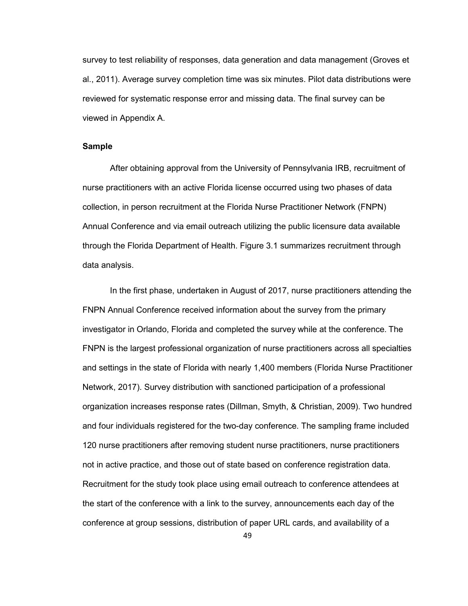survey to test reliability of responses, data generation and data management (Groves et al., 2011). Average survey completion time was six minutes. Pilot data distributions were reviewed for systematic response error and missing data. The final survey can be viewed in Appendix A.

#### **Sample**

After obtaining approval from the University of Pennsylvania IRB, recruitment of nurse practitioners with an active Florida license occurred using two phases of data collection, in person recruitment at the Florida Nurse Practitioner Network (FNPN) Annual Conference and via email outreach utilizing the public licensure data available through the Florida Department of Health. Figure 3.1 summarizes recruitment through data analysis.

In the first phase, undertaken in August of 2017, nurse practitioners attending the FNPN Annual Conference received information about the survey from the primary investigator in Orlando, Florida and completed the survey while at the conference. The FNPN is the largest professional organization of nurse practitioners across all specialties and settings in the state of Florida with nearly 1,400 members (Florida Nurse Practitioner Network, 2017). Survey distribution with sanctioned participation of a professional organization increases response rates (Dillman, Smyth, & Christian, 2009). Two hundred and four individuals registered for the two-day conference. The sampling frame included 120 nurse practitioners after removing student nurse practitioners, nurse practitioners not in active practice, and those out of state based on conference registration data. Recruitment for the study took place using email outreach to conference attendees at the start of the conference with a link to the survey, announcements each day of the conference at group sessions, distribution of paper URL cards, and availability of a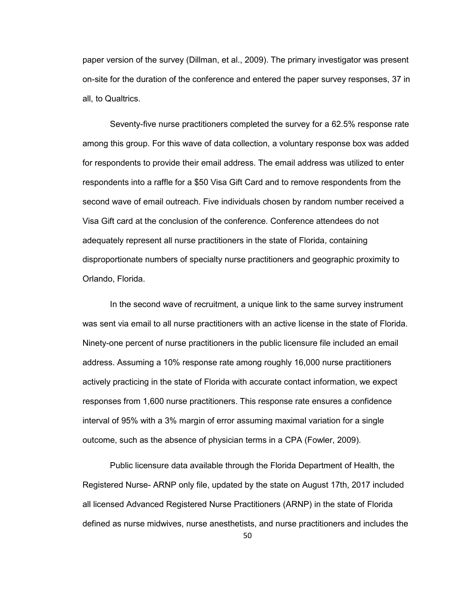paper version of the survey (Dillman, et al., 2009). The primary investigator was present on-site for the duration of the conference and entered the paper survey responses, 37 in all, to Qualtrics.

Seventy-five nurse practitioners completed the survey for a 62.5% response rate among this group. For this wave of data collection, a voluntary response box was added for respondents to provide their email address. The email address was utilized to enter respondents into a raffle for a \$50 Visa Gift Card and to remove respondents from the second wave of email outreach. Five individuals chosen by random number received a Visa Gift card at the conclusion of the conference. Conference attendees do not adequately represent all nurse practitioners in the state of Florida, containing disproportionate numbers of specialty nurse practitioners and geographic proximity to Orlando, Florida.

In the second wave of recruitment, a unique link to the same survey instrument was sent via email to all nurse practitioners with an active license in the state of Florida. Ninety-one percent of nurse practitioners in the public licensure file included an email address. Assuming a 10% response rate among roughly 16,000 nurse practitioners actively practicing in the state of Florida with accurate contact information, we expect responses from 1,600 nurse practitioners. This response rate ensures a confidence interval of 95% with a 3% margin of error assuming maximal variation for a single outcome, such as the absence of physician terms in a CPA (Fowler, 2009).

Public licensure data available through the Florida Department of Health, the Registered Nurse- ARNP only file, updated by the state on August 17th, 2017 included all licensed Advanced Registered Nurse Practitioners (ARNP) in the state of Florida defined as nurse midwives, nurse anesthetists, and nurse practitioners and includes the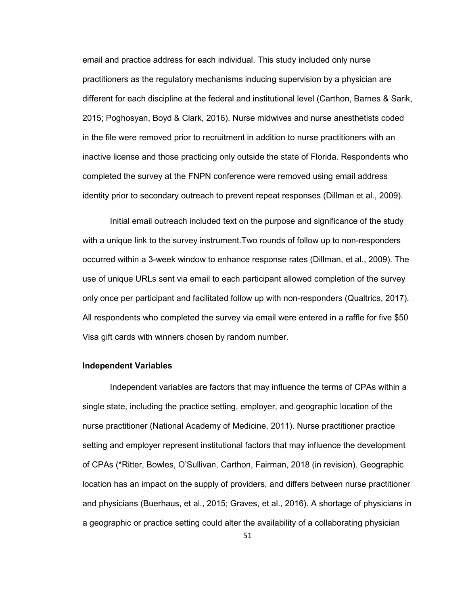email and practice address for each individual. This study included only nurse practitioners as the regulatory mechanisms inducing supervision by a physician are different for each discipline at the federal and institutional level (Carthon, Barnes & Sarik, 2015; Poghosyan, Boyd & Clark, 2016). Nurse midwives and nurse anesthetists coded in the file were removed prior to recruitment in addition to nurse practitioners with an inactive license and those practicing only outside the state of Florida. Respondents who completed the survey at the FNPN conference were removed using email address identity prior to secondary outreach to prevent repeat responses (Dillman et al., 2009).

Initial email outreach included text on the purpose and significance of the study with a unique link to the survey instrument.Two rounds of follow up to non-responders occurred within a 3-week window to enhance response rates (Dillman, et al., 2009). The use of unique URLs sent via email to each participant allowed completion of the survey only once per participant and facilitated follow up with non-responders (Qualtrics, 2017). All respondents who completed the survey via email were entered in a raffle for five \$50 Visa gift cards with winners chosen by random number.

## **Independent Variables**

Independent variables are factors that may influence the terms of CPAs within a single state, including the practice setting, employer, and geographic location of the nurse practitioner (National Academy of Medicine, 2011). Nurse practitioner practice setting and employer represent institutional factors that may influence the development of CPAs (\*Ritter, Bowles, O'Sullivan, Carthon, Fairman, 2018 (in revision). Geographic location has an impact on the supply of providers, and differs between nurse practitioner and physicians (Buerhaus, et al., 2015; Graves, et al., 2016). A shortage of physicians in a geographic or practice setting could alter the availability of a collaborating physician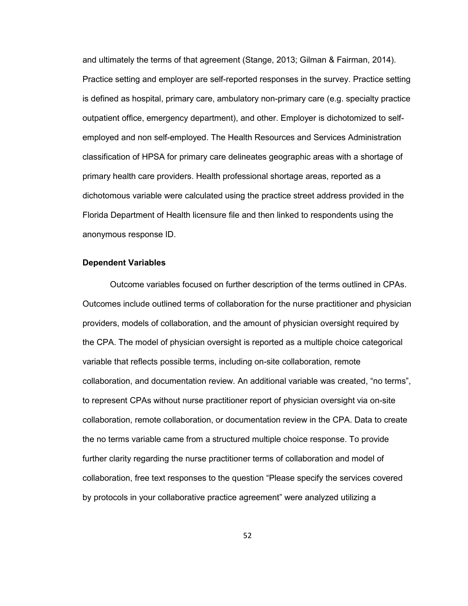and ultimately the terms of that agreement (Stange, 2013; Gilman & Fairman, 2014). Practice setting and employer are self-reported responses in the survey. Practice setting is defined as hospital, primary care, ambulatory non-primary care (e.g. specialty practice outpatient office, emergency department), and other. Employer is dichotomized to selfemployed and non self-employed. The Health Resources and Services Administration classification of HPSA for primary care delineates geographic areas with a shortage of primary health care providers. Health professional shortage areas, reported as a dichotomous variable were calculated using the practice street address provided in the Florida Department of Health licensure file and then linked to respondents using the anonymous response ID.

#### **Dependent Variables**

Outcome variables focused on further description of the terms outlined in CPAs. Outcomes include outlined terms of collaboration for the nurse practitioner and physician providers, models of collaboration, and the amount of physician oversight required by the CPA. The model of physician oversight is reported as a multiple choice categorical variable that reflects possible terms, including on-site collaboration, remote collaboration, and documentation review. An additional variable was created, "no terms", to represent CPAs without nurse practitioner report of physician oversight via on-site collaboration, remote collaboration, or documentation review in the CPA. Data to create the no terms variable came from a structured multiple choice response. To provide further clarity regarding the nurse practitioner terms of collaboration and model of collaboration, free text responses to the question "Please specify the services covered by protocols in your collaborative practice agreement" were analyzed utilizing a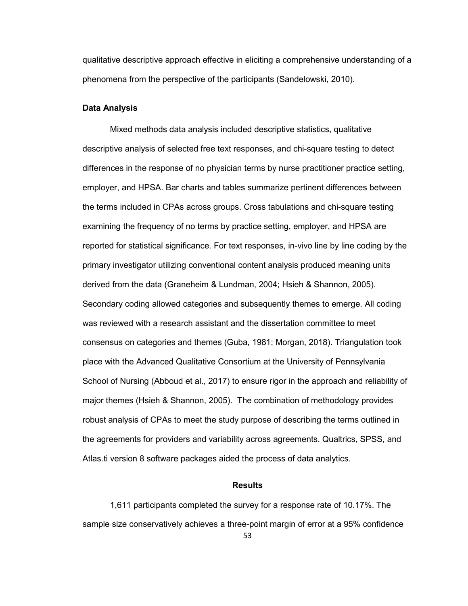qualitative descriptive approach effective in eliciting a comprehensive understanding of a phenomena from the perspective of the participants (Sandelowski, 2010).

#### **Data Analysis**

Mixed methods data analysis included descriptive statistics, qualitative descriptive analysis of selected free text responses, and chi-square testing to detect differences in the response of no physician terms by nurse practitioner practice setting, employer, and HPSA. Bar charts and tables summarize pertinent differences between the terms included in CPAs across groups. Cross tabulations and chi-square testing examining the frequency of no terms by practice setting, employer, and HPSA are reported for statistical significance. For text responses, in-vivo line by line coding by the primary investigator utilizing conventional content analysis produced meaning units derived from the data (Graneheim & Lundman, 2004; Hsieh & Shannon, 2005). Secondary coding allowed categories and subsequently themes to emerge. All coding was reviewed with a research assistant and the dissertation committee to meet consensus on categories and themes (Guba, 1981; Morgan, 2018). Triangulation took place with the Advanced Qualitative Consortium at the University of Pennsylvania School of Nursing (Abboud et al., 2017) to ensure rigor in the approach and reliability of major themes (Hsieh & Shannon, 2005). The combination of methodology provides robust analysis of CPAs to meet the study purpose of describing the terms outlined in the agreements for providers and variability across agreements. Qualtrics, SPSS, and Atlas.ti version 8 software packages aided the process of data analytics.

## **Results**

1,611 participants completed the survey for a response rate of 10.17%. The sample size conservatively achieves a three-point margin of error at a 95% confidence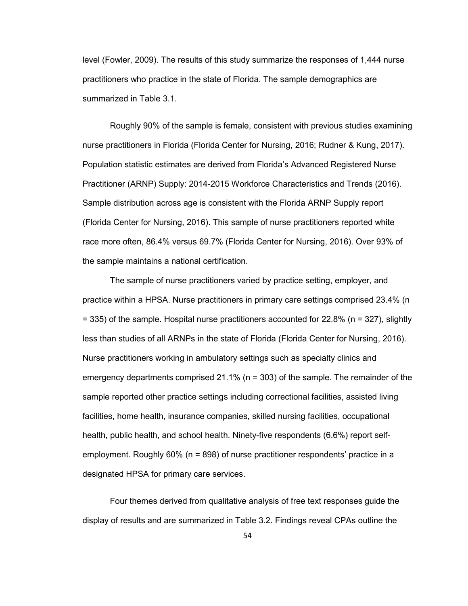level (Fowler, 2009). The results of this study summarize the responses of 1,444 nurse practitioners who practice in the state of Florida. The sample demographics are summarized in Table 3.1.

Roughly 90% of the sample is female, consistent with previous studies examining nurse practitioners in Florida (Florida Center for Nursing, 2016; Rudner & Kung, 2017). Population statistic estimates are derived from Florida's Advanced Registered Nurse Practitioner (ARNP) Supply: 2014-2015 Workforce Characteristics and Trends (2016). Sample distribution across age is consistent with the Florida ARNP Supply report (Florida Center for Nursing, 2016). This sample of nurse practitioners reported white race more often, 86.4% versus 69.7% (Florida Center for Nursing, 2016). Over 93% of the sample maintains a national certification.

 The sample of nurse practitioners varied by practice setting, employer, and practice within a HPSA. Nurse practitioners in primary care settings comprised 23.4% (n = 335) of the sample. Hospital nurse practitioners accounted for 22.8% (n = 327), slightly less than studies of all ARNPs in the state of Florida (Florida Center for Nursing, 2016). Nurse practitioners working in ambulatory settings such as specialty clinics and emergency departments comprised 21.1% (n = 303) of the sample. The remainder of the sample reported other practice settings including correctional facilities, assisted living facilities, home health, insurance companies, skilled nursing facilities, occupational health, public health, and school health. Ninety-five respondents (6.6%) report selfemployment. Roughly 60% (n = 898) of nurse practitioner respondents' practice in a designated HPSA for primary care services.

Four themes derived from qualitative analysis of free text responses guide the display of results and are summarized in Table 3.2. Findings reveal CPAs outline the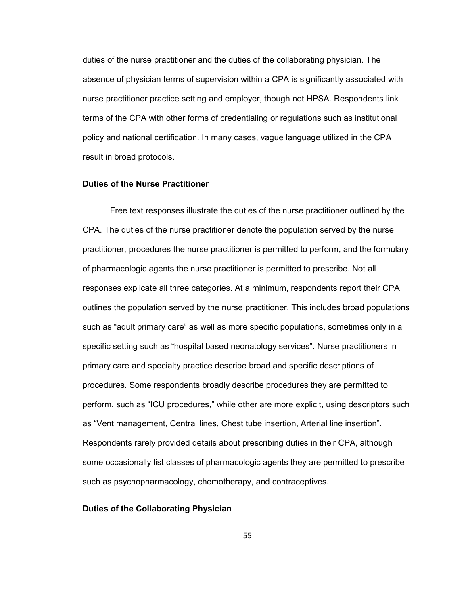duties of the nurse practitioner and the duties of the collaborating physician. The absence of physician terms of supervision within a CPA is significantly associated with nurse practitioner practice setting and employer, though not HPSA. Respondents link terms of the CPA with other forms of credentialing or regulations such as institutional policy and national certification. In many cases, vague language utilized in the CPA result in broad protocols.

## **Duties of the Nurse Practitioner**

Free text responses illustrate the duties of the nurse practitioner outlined by the CPA. The duties of the nurse practitioner denote the population served by the nurse practitioner, procedures the nurse practitioner is permitted to perform, and the formulary of pharmacologic agents the nurse practitioner is permitted to prescribe. Not all responses explicate all three categories. At a minimum, respondents report their CPA outlines the population served by the nurse practitioner. This includes broad populations such as "adult primary care" as well as more specific populations, sometimes only in a specific setting such as "hospital based neonatology services". Nurse practitioners in primary care and specialty practice describe broad and specific descriptions of procedures. Some respondents broadly describe procedures they are permitted to perform, such as "ICU procedures," while other are more explicit, using descriptors such as "Vent management, Central lines, Chest tube insertion, Arterial line insertion". Respondents rarely provided details about prescribing duties in their CPA, although some occasionally list classes of pharmacologic agents they are permitted to prescribe such as psychopharmacology, chemotherapy, and contraceptives.

## **Duties of the Collaborating Physician**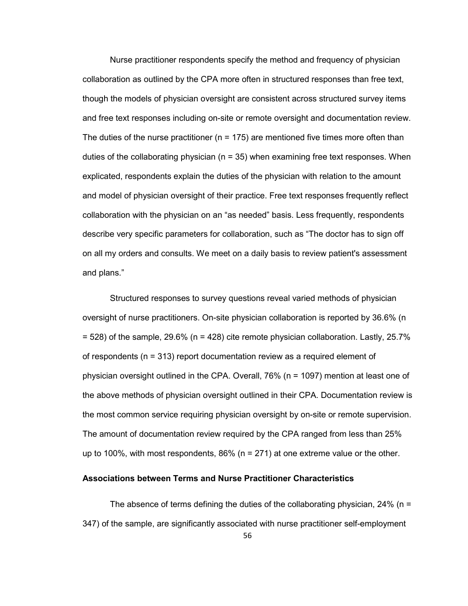Nurse practitioner respondents specify the method and frequency of physician collaboration as outlined by the CPA more often in structured responses than free text, though the models of physician oversight are consistent across structured survey items and free text responses including on-site or remote oversight and documentation review. The duties of the nurse practitioner ( $n = 175$ ) are mentioned five times more often than duties of the collaborating physician  $(n = 35)$  when examining free text responses. When explicated, respondents explain the duties of the physician with relation to the amount and model of physician oversight of their practice. Free text responses frequently reflect collaboration with the physician on an "as needed" basis. Less frequently, respondents describe very specific parameters for collaboration, such as "The doctor has to sign off on all my orders and consults. We meet on a daily basis to review patient's assessment and plans."

Structured responses to survey questions reveal varied methods of physician oversight of nurse practitioners. On-site physician collaboration is reported by 36.6% (n  $= 528$ ) of the sample, 29.6% (n = 428) cite remote physician collaboration. Lastly, 25.7% of respondents (n = 313) report documentation review as a required element of physician oversight outlined in the CPA. Overall, 76% (n = 1097) mention at least one of the above methods of physician oversight outlined in their CPA. Documentation review is the most common service requiring physician oversight by on-site or remote supervision. The amount of documentation review required by the CPA ranged from less than 25% up to 100%, with most respondents, 86% ( $n = 271$ ) at one extreme value or the other.

#### **Associations between Terms and Nurse Practitioner Characteristics**

The absence of terms defining the duties of the collaborating physician, 24% ( $n =$ 347) of the sample, are significantly associated with nurse practitioner self-employment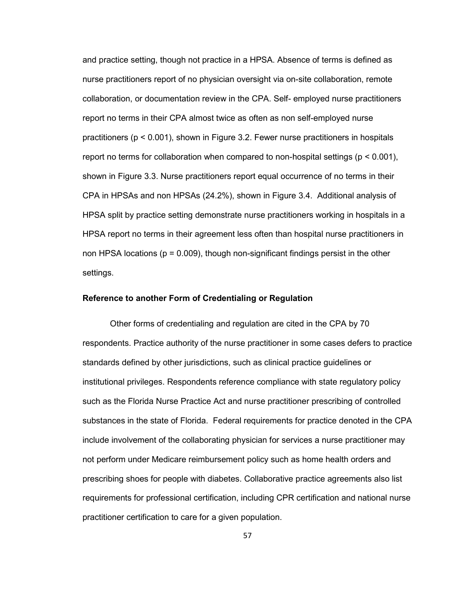and practice setting, though not practice in a HPSA. Absence of terms is defined as nurse practitioners report of no physician oversight via on-site collaboration, remote collaboration, or documentation review in the CPA. Self- employed nurse practitioners report no terms in their CPA almost twice as often as non self-employed nurse practitioners (p < 0.001), shown in Figure 3.2. Fewer nurse practitioners in hospitals report no terms for collaboration when compared to non-hospital settings (p < 0.001), shown in Figure 3.3. Nurse practitioners report equal occurrence of no terms in their CPA in HPSAs and non HPSAs (24.2%), shown in Figure 3.4. Additional analysis of HPSA split by practice setting demonstrate nurse practitioners working in hospitals in a HPSA report no terms in their agreement less often than hospital nurse practitioners in non HPSA locations ( $p = 0.009$ ), though non-significant findings persist in the other settings.

## **Reference to another Form of Credentialing or Regulation**

Other forms of credentialing and regulation are cited in the CPA by 70 respondents. Practice authority of the nurse practitioner in some cases defers to practice standards defined by other jurisdictions, such as clinical practice guidelines or institutional privileges. Respondents reference compliance with state regulatory policy such as the Florida Nurse Practice Act and nurse practitioner prescribing of controlled substances in the state of Florida. Federal requirements for practice denoted in the CPA include involvement of the collaborating physician for services a nurse practitioner may not perform under Medicare reimbursement policy such as home health orders and prescribing shoes for people with diabetes. Collaborative practice agreements also list requirements for professional certification, including CPR certification and national nurse practitioner certification to care for a given population.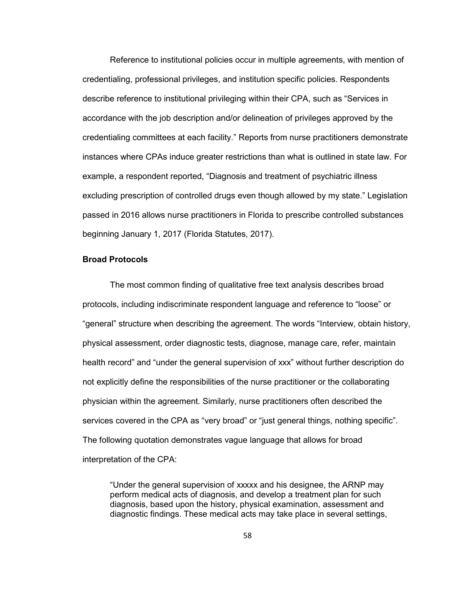Reference to institutional policies occur in multiple agreements, with mention of credentialing, professional privileges, and institution specific policies. Respondents describe reference to institutional privileging within their CPA, such as "Services in accordance with the job description and/or delineation of privileges approved by the credentialing committees at each facility." Reports from nurse practitioners demonstrate instances where CPAs induce greater restrictions than what is outlined in state law. For example, a respondent reported, "Diagnosis and treatment of psychiatric illness excluding prescription of controlled drugs even though allowed by my state." Legislation passed in 2016 allows nurse practitioners in Florida to prescribe controlled substances beginning January 1, 2017 (Florida Statutes, 2017).

## **Broad Protocols**

The most common finding of qualitative free text analysis describes broad protocols, including indiscriminate respondent language and reference to "loose" or "general" structure when describing the agreement. The words "Interview, obtain history, physical assessment, order diagnostic tests, diagnose, manage care, refer, maintain health record" and "under the general supervision of xxx" without further description do not explicitly define the responsibilities of the nurse practitioner or the collaborating physician within the agreement. Similarly, nurse practitioners often described the services covered in the CPA as "very broad" or "just general things, nothing specific". The following quotation demonstrates vague language that allows for broad interpretation of the CPA:

"Under the general supervision of xxxxx and his designee, the ARNP may perform medical acts of diagnosis, and develop a treatment plan for such diagnosis, based upon the history, physical examination, assessment and diagnostic findings. These medical acts may take place in several settings,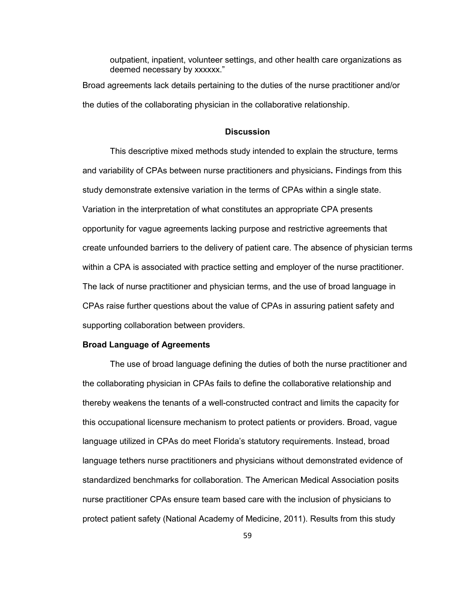outpatient, inpatient, volunteer settings, and other health care organizations as deemed necessary by xxxxxx."

Broad agreements lack details pertaining to the duties of the nurse practitioner and/or the duties of the collaborating physician in the collaborative relationship.

### **Discussion**

This descriptive mixed methods study intended to explain the structure, terms and variability of CPAs between nurse practitioners and physicians**.** Findings from this study demonstrate extensive variation in the terms of CPAs within a single state. Variation in the interpretation of what constitutes an appropriate CPA presents opportunity for vague agreements lacking purpose and restrictive agreements that create unfounded barriers to the delivery of patient care. The absence of physician terms within a CPA is associated with practice setting and employer of the nurse practitioner. The lack of nurse practitioner and physician terms, and the use of broad language in CPAs raise further questions about the value of CPAs in assuring patient safety and supporting collaboration between providers.

### **Broad Language of Agreements**

The use of broad language defining the duties of both the nurse practitioner and the collaborating physician in CPAs fails to define the collaborative relationship and thereby weakens the tenants of a well-constructed contract and limits the capacity for this occupational licensure mechanism to protect patients or providers. Broad, vague language utilized in CPAs do meet Florida's statutory requirements. Instead, broad language tethers nurse practitioners and physicians without demonstrated evidence of standardized benchmarks for collaboration. The American Medical Association posits nurse practitioner CPAs ensure team based care with the inclusion of physicians to protect patient safety (National Academy of Medicine, 2011). Results from this study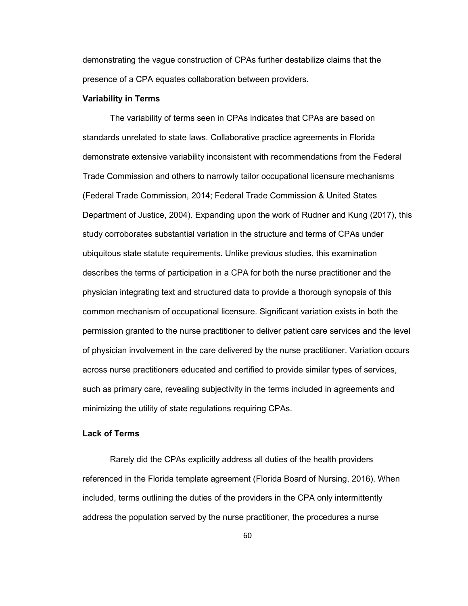demonstrating the vague construction of CPAs further destabilize claims that the presence of a CPA equates collaboration between providers.

#### **Variability in Terms**

The variability of terms seen in CPAs indicates that CPAs are based on standards unrelated to state laws. Collaborative practice agreements in Florida demonstrate extensive variability inconsistent with recommendations from the Federal Trade Commission and others to narrowly tailor occupational licensure mechanisms (Federal Trade Commission, 2014; Federal Trade Commission & United States Department of Justice, 2004). Expanding upon the work of Rudner and Kung (2017), this study corroborates substantial variation in the structure and terms of CPAs under ubiquitous state statute requirements. Unlike previous studies, this examination describes the terms of participation in a CPA for both the nurse practitioner and the physician integrating text and structured data to provide a thorough synopsis of this common mechanism of occupational licensure. Significant variation exists in both the permission granted to the nurse practitioner to deliver patient care services and the level of physician involvement in the care delivered by the nurse practitioner. Variation occurs across nurse practitioners educated and certified to provide similar types of services, such as primary care, revealing subjectivity in the terms included in agreements and minimizing the utility of state regulations requiring CPAs.

# **Lack of Terms**

Rarely did the CPAs explicitly address all duties of the health providers referenced in the Florida template agreement (Florida Board of Nursing, 2016). When included, terms outlining the duties of the providers in the CPA only intermittently address the population served by the nurse practitioner, the procedures a nurse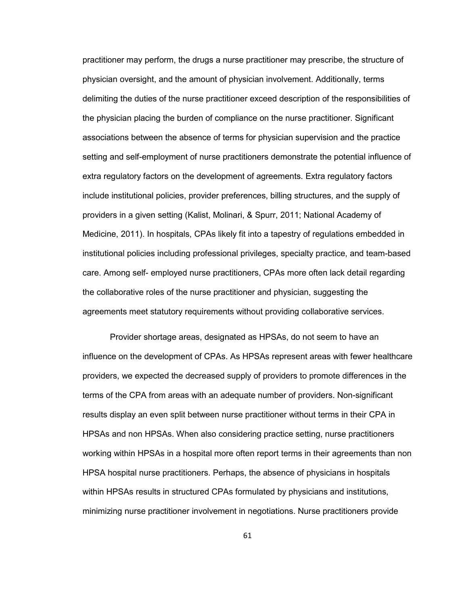practitioner may perform, the drugs a nurse practitioner may prescribe, the structure of physician oversight, and the amount of physician involvement. Additionally, terms delimiting the duties of the nurse practitioner exceed description of the responsibilities of the physician placing the burden of compliance on the nurse practitioner. Significant associations between the absence of terms for physician supervision and the practice setting and self-employment of nurse practitioners demonstrate the potential influence of extra regulatory factors on the development of agreements. Extra regulatory factors include institutional policies, provider preferences, billing structures, and the supply of providers in a given setting (Kalist, Molinari, & Spurr, 2011; National Academy of Medicine, 2011). In hospitals, CPAs likely fit into a tapestry of regulations embedded in institutional policies including professional privileges, specialty practice, and team-based care. Among self- employed nurse practitioners, CPAs more often lack detail regarding the collaborative roles of the nurse practitioner and physician, suggesting the agreements meet statutory requirements without providing collaborative services.

 Provider shortage areas, designated as HPSAs, do not seem to have an influence on the development of CPAs. As HPSAs represent areas with fewer healthcare providers, we expected the decreased supply of providers to promote differences in the terms of the CPA from areas with an adequate number of providers. Non-significant results display an even split between nurse practitioner without terms in their CPA in HPSAs and non HPSAs. When also considering practice setting, nurse practitioners working within HPSAs in a hospital more often report terms in their agreements than non HPSA hospital nurse practitioners. Perhaps, the absence of physicians in hospitals within HPSAs results in structured CPAs formulated by physicians and institutions, minimizing nurse practitioner involvement in negotiations. Nurse practitioners provide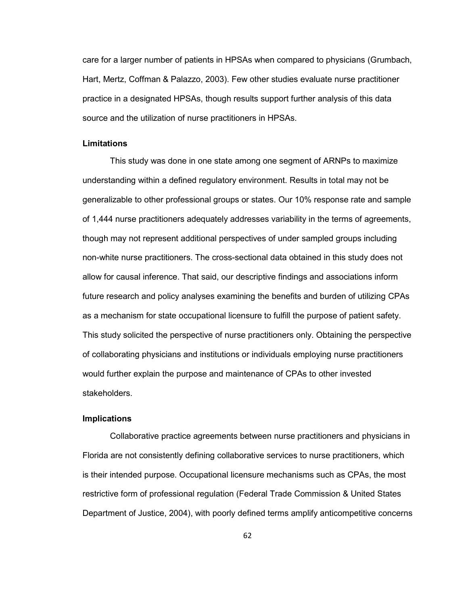care for a larger number of patients in HPSAs when compared to physicians (Grumbach, Hart, Mertz, Coffman & Palazzo, 2003). Few other studies evaluate nurse practitioner practice in a designated HPSAs, though results support further analysis of this data source and the utilization of nurse practitioners in HPSAs.

### **Limitations**

This study was done in one state among one segment of ARNPs to maximize understanding within a defined regulatory environment. Results in total may not be generalizable to other professional groups or states. Our 10% response rate and sample of 1,444 nurse practitioners adequately addresses variability in the terms of agreements, though may not represent additional perspectives of under sampled groups including non-white nurse practitioners. The cross-sectional data obtained in this study does not allow for causal inference. That said, our descriptive findings and associations inform future research and policy analyses examining the benefits and burden of utilizing CPAs as a mechanism for state occupational licensure to fulfill the purpose of patient safety. This study solicited the perspective of nurse practitioners only. Obtaining the perspective of collaborating physicians and institutions or individuals employing nurse practitioners would further explain the purpose and maintenance of CPAs to other invested stakeholders.

### **Implications**

Collaborative practice agreements between nurse practitioners and physicians in Florida are not consistently defining collaborative services to nurse practitioners, which is their intended purpose. Occupational licensure mechanisms such as CPAs, the most restrictive form of professional regulation (Federal Trade Commission & United States Department of Justice, 2004), with poorly defined terms amplify anticompetitive concerns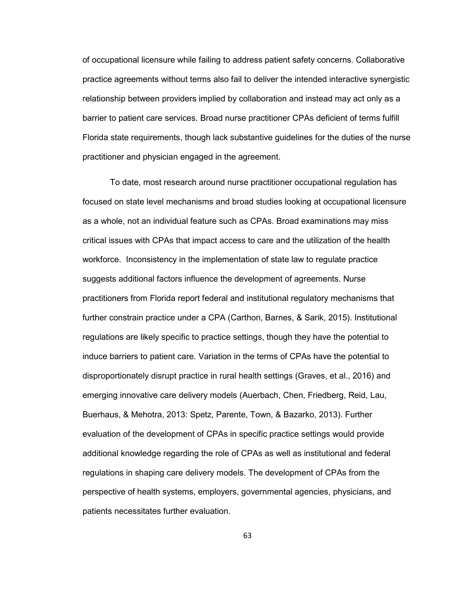of occupational licensure while failing to address patient safety concerns. Collaborative practice agreements without terms also fail to deliver the intended interactive synergistic relationship between providers implied by collaboration and instead may act only as a barrier to patient care services. Broad nurse practitioner CPAs deficient of terms fulfill Florida state requirements, though lack substantive guidelines for the duties of the nurse practitioner and physician engaged in the agreement.

To date, most research around nurse practitioner occupational regulation has focused on state level mechanisms and broad studies looking at occupational licensure as a whole, not an individual feature such as CPAs. Broad examinations may miss critical issues with CPAs that impact access to care and the utilization of the health workforce. Inconsistency in the implementation of state law to regulate practice suggests additional factors influence the development of agreements. Nurse practitioners from Florida report federal and institutional regulatory mechanisms that further constrain practice under a CPA (Carthon, Barnes, & Sarik, 2015). Institutional regulations are likely specific to practice settings, though they have the potential to induce barriers to patient care. Variation in the terms of CPAs have the potential to disproportionately disrupt practice in rural health settings (Graves, et al., 2016) and emerging innovative care delivery models (Auerbach, Chen, Friedberg, Reid, Lau, Buerhaus, & Mehotra, 2013: Spetz, Parente, Town, & Bazarko, 2013). Further evaluation of the development of CPAs in specific practice settings would provide additional knowledge regarding the role of CPAs as well as institutional and federal regulations in shaping care delivery models. The development of CPAs from the perspective of health systems, employers, governmental agencies, physicians, and patients necessitates further evaluation.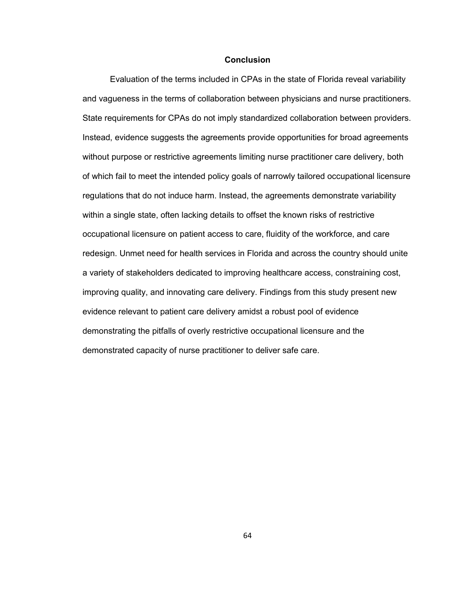### **Conclusion**

Evaluation of the terms included in CPAs in the state of Florida reveal variability and vagueness in the terms of collaboration between physicians and nurse practitioners. State requirements for CPAs do not imply standardized collaboration between providers. Instead, evidence suggests the agreements provide opportunities for broad agreements without purpose or restrictive agreements limiting nurse practitioner care delivery, both of which fail to meet the intended policy goals of narrowly tailored occupational licensure regulations that do not induce harm. Instead, the agreements demonstrate variability within a single state, often lacking details to offset the known risks of restrictive occupational licensure on patient access to care, fluidity of the workforce, and care redesign. Unmet need for health services in Florida and across the country should unite a variety of stakeholders dedicated to improving healthcare access, constraining cost, improving quality, and innovating care delivery. Findings from this study present new evidence relevant to patient care delivery amidst a robust pool of evidence demonstrating the pitfalls of overly restrictive occupational licensure and the demonstrated capacity of nurse practitioner to deliver safe care.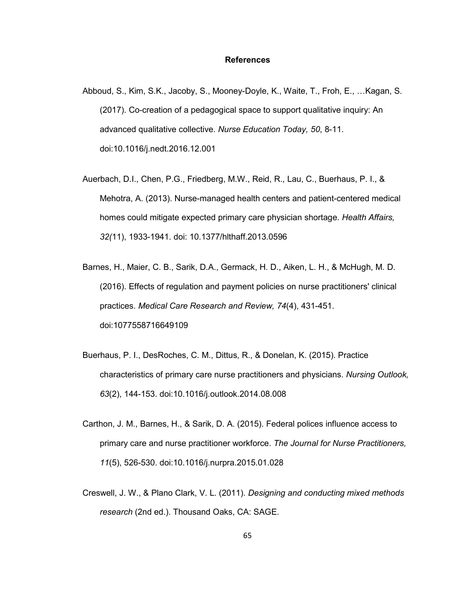### **References**

- Abboud, S., Kim, S.K., Jacoby, S., Mooney-Doyle, K., Waite, T., Froh, E., …Kagan, S. (2017). Co-creation of a pedagogical space to support qualitative inquiry: An advanced qualitative collective. *Nurse Education Today, 50*, 8-11. doi:10.1016/j.nedt.2016.12.001
- Auerbach, D.I., Chen, P.G., Friedberg, M.W., Reid, R., Lau, C., Buerhaus, P. I., & Mehotra, A. (2013). Nurse-managed health centers and patient-centered medical homes could mitigate expected primary care physician shortage. *Health Affairs, 32(*11), 1933-1941. doi: 10.1377/hlthaff.2013.0596
- Barnes, H., Maier, C. B., Sarik, D.A., Germack, H. D., Aiken, L. H., & McHugh, M. D. (2016). Effects of regulation and payment policies on nurse practitioners' clinical practices. *Medical Care Research and Review, 74*(4), 431-451. doi:1077558716649109
- Buerhaus, P. I., DesRoches, C. M., Dittus, R., & Donelan, K. (2015). Practice characteristics of primary care nurse practitioners and physicians. *Nursing Outlook, 63*(2), 144-153. doi:10.1016/j.outlook.2014.08.008
- Carthon, J. M., Barnes, H., & Sarik, D. A. (2015). Federal polices influence access to primary care and nurse practitioner workforce. *The Journal for Nurse Practitioners, 11*(5), 526-530. doi:10.1016/j.nurpra.2015.01.028
- Creswell, J. W., & Plano Clark, V. L. (2011). *Designing and conducting mixed methods research* (2nd ed.). Thousand Oaks, CA: SAGE.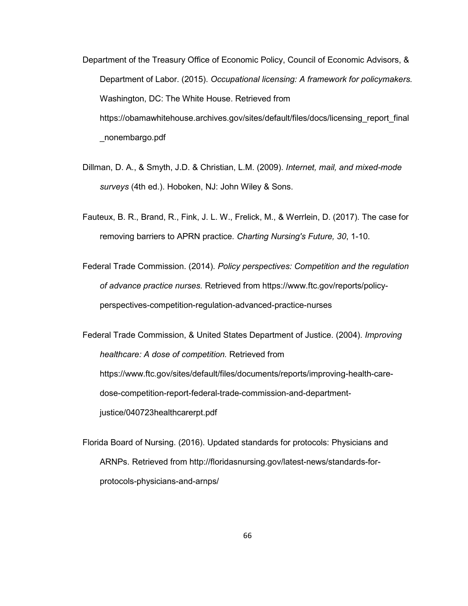- Department of the Treasury Office of Economic Policy, Council of Economic Advisors, & Department of Labor. (2015). *Occupational licensing: A framework for policymakers.* Washington, DC: The White House. Retrieved from https://obamawhitehouse.archives.gov/sites/default/files/docs/licensing\_report\_final \_nonembargo.pdf
- Dillman, D. A., & Smyth, J.D. & Christian, L.M. (2009). *Internet, mail, and mixed-mode surveys* (4th ed.). Hoboken, NJ: John Wiley & Sons.
- Fauteux, B. R., Brand, R., Fink, J. L. W., Frelick, M., & Werrlein, D. (2017). The case for removing barriers to APRN practice. *Charting Nursing's Future, 30*, 1-10.
- Federal Trade Commission. (2014). *Policy perspectives: Competition and the regulation of advance practice nurses.* Retrieved from https://www.ftc.gov/reports/policyperspectives-competition-regulation-advanced-practice-nurses

Federal Trade Commission, & United States Department of Justice. (2004). *Improving healthcare: A dose of competition.* Retrieved from https://www.ftc.gov/sites/default/files/documents/reports/improving-health-caredose-competition-report-federal-trade-commission-and-departmentjustice/040723healthcarerpt.pdf

Florida Board of Nursing. (2016). Updated standards for protocols: Physicians and ARNPs. Retrieved from http://floridasnursing.gov/latest-news/standards-forprotocols-physicians-and-arnps/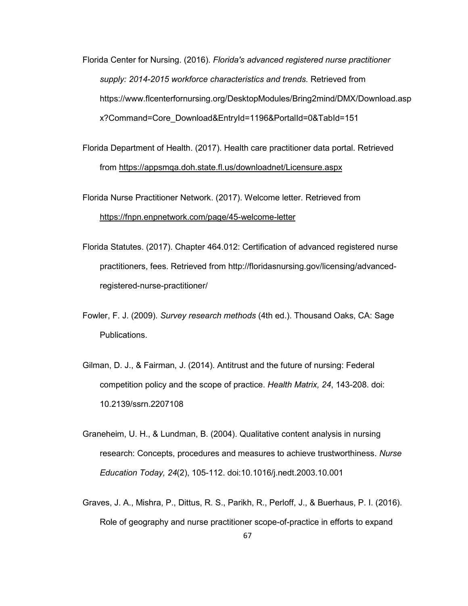Florida Center for Nursing. (2016). *Florida's advanced registered nurse practitioner supply: 2014-2015 workforce characteristics and trends.* Retrieved from https://www.flcenterfornursing.org/DesktopModules/Bring2mind/DMX/Download.asp x?Command=Core\_Download&EntryId=1196&PortalId=0&TabId=151

Florida Department of Health. (2017). Health care practitioner data portal. Retrieved from https://appsmqa.doh.state.fl.us/downloadnet/Licensure.aspx

Florida Nurse Practitioner Network. (2017). Welcome letter. Retrieved from https://fnpn.enpnetwork.com/page/45-welcome-letter

- Florida Statutes. (2017). Chapter 464.012: Certification of advanced registered nurse practitioners, fees. Retrieved from http://floridasnursing.gov/licensing/advancedregistered-nurse-practitioner/
- Fowler, F. J. (2009). *Survey research methods* (4th ed.). Thousand Oaks, CA: Sage Publications.
- Gilman, D. J., & Fairman, J. (2014). Antitrust and the future of nursing: Federal competition policy and the scope of practice. *Health Matrix, 24*, 143-208. doi: 10.2139/ssrn.2207108
- Graneheim, U. H., & Lundman, B. (2004). Qualitative content analysis in nursing research: Concepts, procedures and measures to achieve trustworthiness. *Nurse Education Today, 24*(2), 105-112. doi:10.1016/j.nedt.2003.10.001
- Graves, J. A., Mishra, P., Dittus, R. S., Parikh, R., Perloff, J., & Buerhaus, P. I. (2016). Role of geography and nurse practitioner scope-of-practice in efforts to expand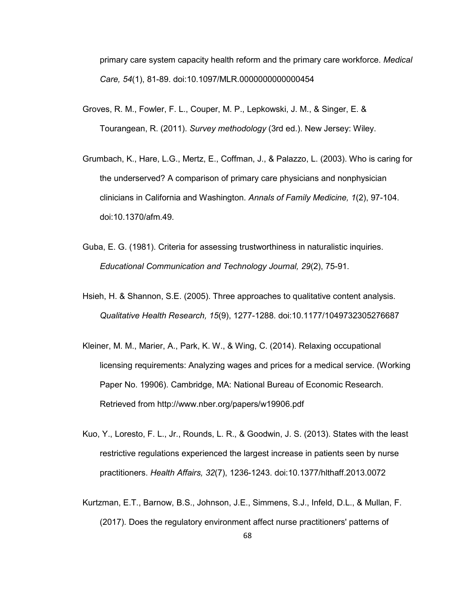primary care system capacity health reform and the primary care workforce. *Medical Care, 54*(1), 81-89. doi:10.1097/MLR.0000000000000454

- Groves, R. M., Fowler, F. L., Couper, M. P., Lepkowski, J. M., & Singer, E. & Tourangean, R. (2011). *Survey methodology* (3rd ed.). New Jersey: Wiley.
- Grumbach, K., Hare, L.G., Mertz, E., Coffman, J., & Palazzo, L. (2003). Who is caring for the underserved? A comparison of primary care physicians and nonphysician clinicians in California and Washington. *Annals of Family Medicine, 1*(2), 97-104. doi:10.1370/afm.49.
- Guba, E. G. (1981). Criteria for assessing trustworthiness in naturalistic inquiries. *Educational Communication and Technology Journal, 29*(2), 75-91.
- Hsieh, H. & Shannon, S.E. (2005). Three approaches to qualitative content analysis. *Qualitative Health Research, 15*(9), 1277-1288. doi:10.1177/1049732305276687
- Kleiner, M. M., Marier, A., Park, K. W., & Wing, C. (2014). Relaxing occupational licensing requirements: Analyzing wages and prices for a medical service. (Working Paper No. 19906). Cambridge, MA: National Bureau of Economic Research. Retrieved from http://www.nber.org/papers/w19906.pdf
- Kuo, Y., Loresto, F. L., Jr., Rounds, L. R., & Goodwin, J. S. (2013). States with the least restrictive regulations experienced the largest increase in patients seen by nurse practitioners. *Health Affairs, 32*(7), 1236-1243. doi:10.1377/hlthaff.2013.0072
- Kurtzman, E.T., Barnow, B.S., Johnson, J.E., Simmens, S.J., Infeld, D.L., & Mullan, F. (2017). Does the regulatory environment affect nurse practitioners' patterns of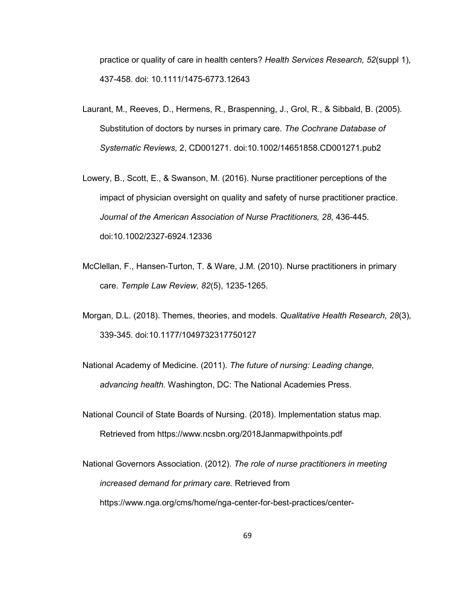practice or quality of care in health centers? *Health Services Research, 52*(suppl 1), 437-458. doi: 10.1111/1475-6773.12643

- Laurant, M., Reeves, D., Hermens, R., Braspenning, J., Grol, R., & Sibbald, B. (2005). Substitution of doctors by nurses in primary care. *The Cochrane Database of Systematic Reviews,* 2, CD001271. doi:10.1002/14651858.CD001271.pub2
- Lowery, B., Scott, E., & Swanson, M. (2016). Nurse practitioner perceptions of the impact of physician oversight on quality and safety of nurse practitioner practice. *Journal of the American Association of Nurse Practitioners, 28*, 436-445. doi:10.1002/2327-6924.12336
- McClellan, F., Hansen-Turton, T. & Ware, J.M. (2010). Nurse practitioners in primary care. *Temple Law Review, 82*(5), 1235-1265.
- Morgan, D.L. (2018). Themes, theories, and models. *Qualitative Health Research, 28*(3)*,* 339-345. doi:10.1177/1049732317750127
- National Academy of Medicine. (2011). *The future of nursing: Leading change, advancing health.* Washington, DC: The National Academies Press.
- National Council of State Boards of Nursing. (2018). Implementation status map. Retrieved from https://www.ncsbn.org/2018Janmapwithpoints.pdf
- National Governors Association. (2012). *The role of nurse practitioners in meeting increased demand for primary care.* Retrieved from https://www.nga.org/cms/home/nga-center-for-best-practices/center-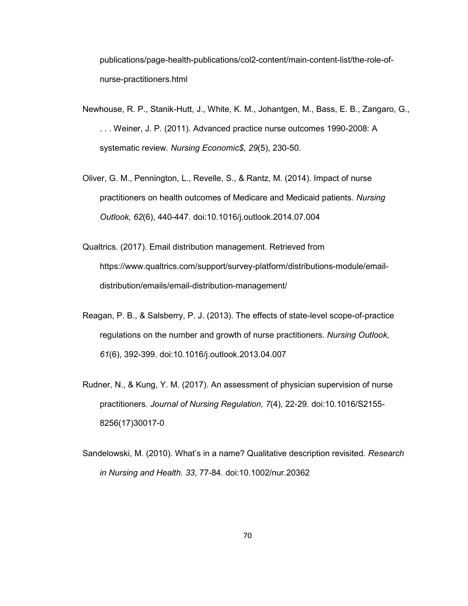publications/page-health-publications/col2-content/main-content-list/the-role-ofnurse-practitioners.html

- Newhouse, R. P., Stanik-Hutt, J., White, K. M., Johantgen, M., Bass, E. B., Zangaro, G., . . . Weiner, J. P. (2011). Advanced practice nurse outcomes 1990-2008: A systematic review. *Nursing Economic\$, 29*(5), 230-50.
- Oliver, G. M., Pennington, L., Revelle, S., & Rantz, M. (2014). Impact of nurse practitioners on health outcomes of Medicare and Medicaid patients. *Nursing Outlook, 62*(6), 440-447. doi:10.1016/j.outlook.2014.07.004
- Qualtrics. (2017). Email distribution management. Retrieved from https://www.qualtrics.com/support/survey-platform/distributions-module/emaildistribution/emails/email-distribution-management/
- Reagan, P. B., & Salsberry, P. J. (2013). The effects of state-level scope-of-practice regulations on the number and growth of nurse practitioners. *Nursing Outlook, 61*(6), 392-399. doi:10.1016/j.outlook.2013.04.007
- Rudner, N., & Kung, Y. M. (2017). An assessment of physician supervision of nurse practitioners. *Journal of Nursing Regulation, 7*(4), 22-29. doi:10.1016/S2155- 8256(17)30017-0
- Sandelowski, M. (2010). What's in a name? Qualitative description revisited. *Research in Nursing and Health. 33*, 77-84. doi:10.1002/nur.20362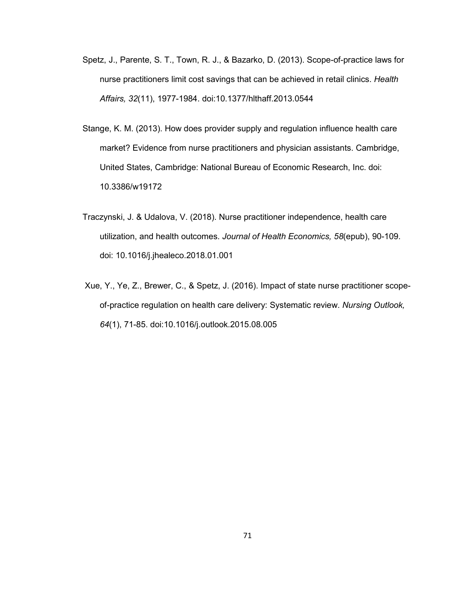- Spetz, J., Parente, S. T., Town, R. J., & Bazarko, D. (2013). Scope-of-practice laws for nurse practitioners limit cost savings that can be achieved in retail clinics. *Health Affairs, 32*(11), 1977-1984. doi:10.1377/hlthaff.2013.0544
- Stange, K. M. (2013). How does provider supply and regulation influence health care market? Evidence from nurse practitioners and physician assistants. Cambridge, United States, Cambridge: National Bureau of Economic Research, Inc. doi: 10.3386/w19172
- Traczynski, J. & Udalova, V. (2018). Nurse practitioner independence, health care utilization, and health outcomes. *Journal of Health Economics, 58*(epub), 90-109. doi: 10.1016/j.jhealeco.2018.01.001
- Xue, Y., Ye, Z., Brewer, C., & Spetz, J. (2016). Impact of state nurse practitioner scopeof-practice regulation on health care delivery: Systematic review. *Nursing Outlook, 64*(1), 71-85. doi:10.1016/j.outlook.2015.08.005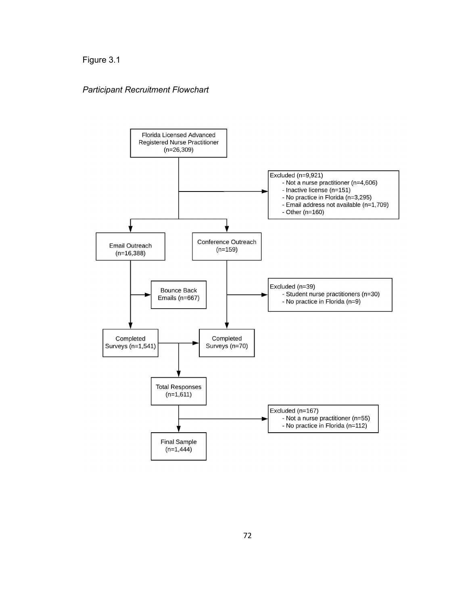# *Participant Recruitment Flowchart*

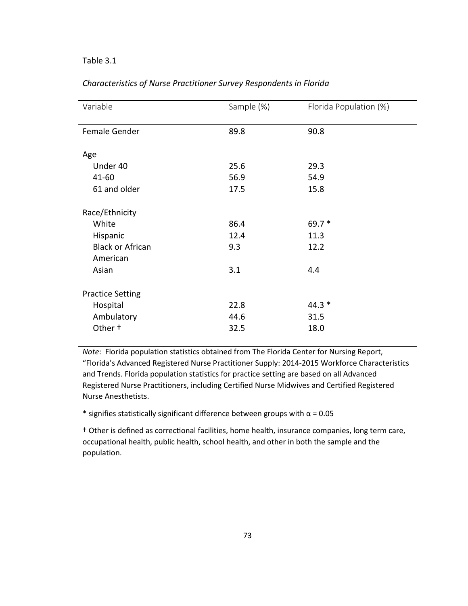## Table 3.1

| Variable                | Sample (%) | Florida Population (%) |
|-------------------------|------------|------------------------|
|                         |            |                        |
| Female Gender           | 89.8       | 90.8                   |
|                         |            |                        |
| Age                     |            |                        |
| Under 40                | 25.6       | 29.3                   |
| $41 - 60$               | 56.9       | 54.9                   |
| 61 and older            | 17.5       | 15.8                   |
|                         |            |                        |
| Race/Ethnicity          |            |                        |
| White                   | 86.4       | $69.7*$                |
| Hispanic                | 12.4       | 11.3                   |
| <b>Black or African</b> | 9.3        | 12.2                   |
| American                |            |                        |
| Asian                   | 3.1        | 4.4                    |
|                         |            |                        |
| <b>Practice Setting</b> |            |                        |
| Hospital                | 22.8       | $44.3*$                |
| Ambulatory              | 44.6       | 31.5                   |
| Other +                 | 32.5       | 18.0                   |
|                         |            |                        |

### *Characteristics of Nurse Practitioner Survey Respondents in Florida*

*Note*: Florida population statistics obtained from The Florida Center for Nursing Report, "Florida's Advanced Registered Nurse Practitioner Supply: 2014-2015 Workforce Characteristics and Trends. Florida population statistics for practice setting are based on all Advanced Registered Nurse Practitioners, including Certified Nurse Midwives and Certified Registered Nurse Anesthetists.

\* signifies statistically significant difference between groups with  $\alpha$  = 0.05

† Other is defined as correctional facilities, home health, insurance companies, long term care, occupational health, public health, school health, and other in both the sample and the population.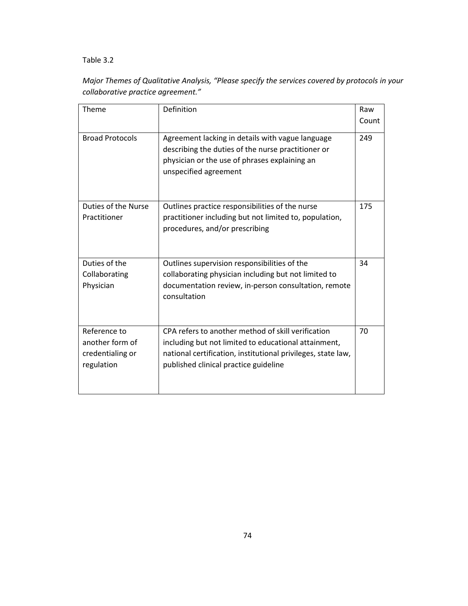# Table 3.2

# *Major Themes of Qualitative Analysis, "Please specify the services covered by protocols in your collaborative practice agreement."*

| Theme                                                             | Definition                                                                                                                                                                                                          | Raw   |
|-------------------------------------------------------------------|---------------------------------------------------------------------------------------------------------------------------------------------------------------------------------------------------------------------|-------|
|                                                                   |                                                                                                                                                                                                                     | Count |
| <b>Broad Protocols</b>                                            | Agreement lacking in details with vague language<br>describing the duties of the nurse practitioner or<br>physician or the use of phrases explaining an<br>unspecified agreement                                    | 249   |
| Duties of the Nurse<br>Practitioner                               | Outlines practice responsibilities of the nurse<br>practitioner including but not limited to, population,<br>procedures, and/or prescribing                                                                         | 175   |
| Duties of the<br>Collaborating<br>Physician                       | Outlines supervision responsibilities of the<br>collaborating physician including but not limited to<br>documentation review, in-person consultation, remote<br>consultation                                        | 34    |
| Reference to<br>another form of<br>credentialing or<br>regulation | CPA refers to another method of skill verification<br>including but not limited to educational attainment,<br>national certification, institutional privileges, state law,<br>published clinical practice guideline | 70    |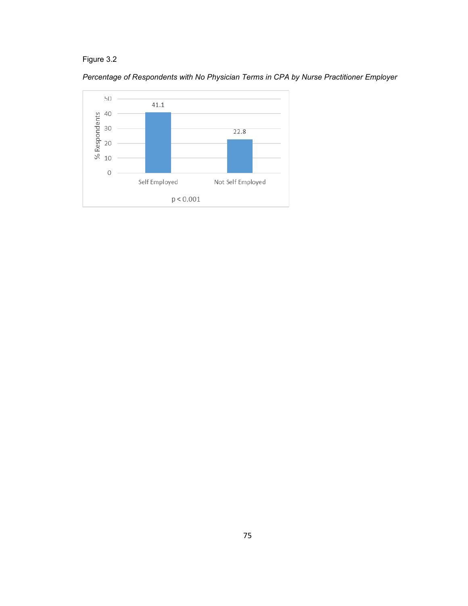*Percentage of Respondents with No Physician Terms in CPA by Nurse Practitioner Employer* 

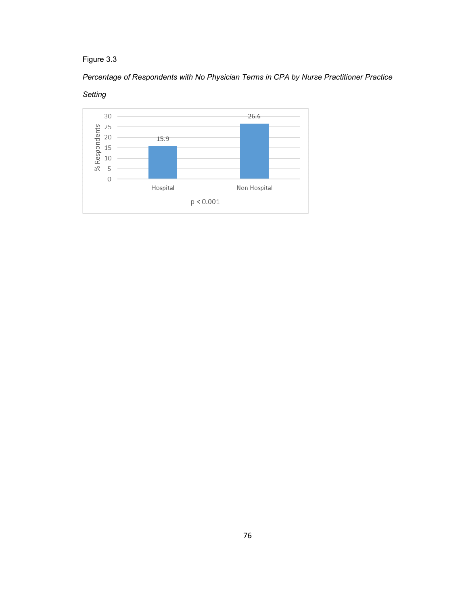# *Percentage of Respondents with No Physician Terms in CPA by Nurse Practitioner Practice*



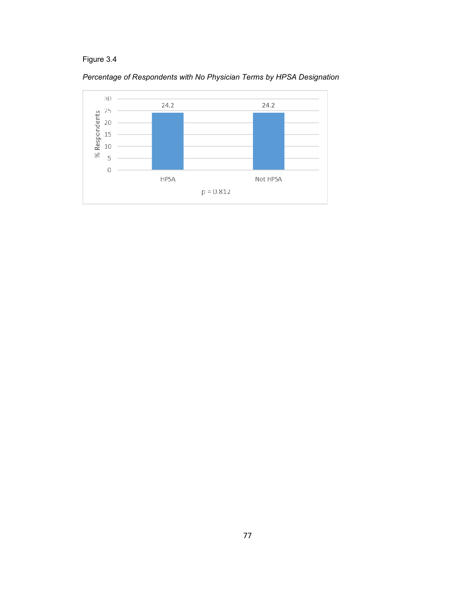

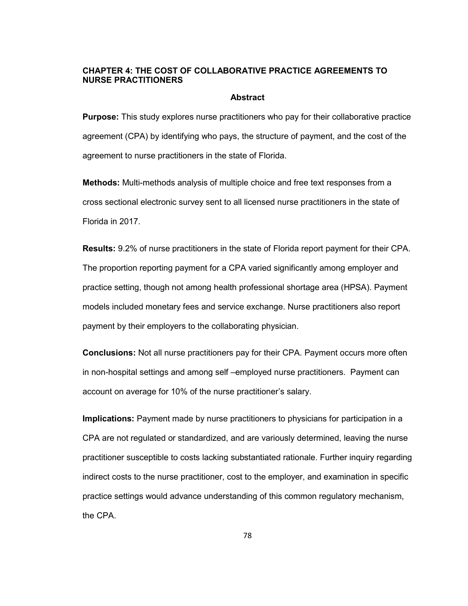# **CHAPTER 4: THE COST OF COLLABORATIVE PRACTICE AGREEMENTS TO NURSE PRACTITIONERS**

### **Abstract**

**Purpose:** This study explores nurse practitioners who pay for their collaborative practice agreement (CPA) by identifying who pays, the structure of payment, and the cost of the agreement to nurse practitioners in the state of Florida.

**Methods:** Multi-methods analysis of multiple choice and free text responses from a cross sectional electronic survey sent to all licensed nurse practitioners in the state of Florida in 2017.

**Results:** 9.2% of nurse practitioners in the state of Florida report payment for their CPA. The proportion reporting payment for a CPA varied significantly among employer and practice setting, though not among health professional shortage area (HPSA). Payment models included monetary fees and service exchange. Nurse practitioners also report payment by their employers to the collaborating physician.

**Conclusions:** Not all nurse practitioners pay for their CPA. Payment occurs more often in non-hospital settings and among self –employed nurse practitioners. Payment can account on average for 10% of the nurse practitioner's salary.

**Implications:** Payment made by nurse practitioners to physicians for participation in a CPA are not regulated or standardized, and are variously determined, leaving the nurse practitioner susceptible to costs lacking substantiated rationale. Further inquiry regarding indirect costs to the nurse practitioner, cost to the employer, and examination in specific practice settings would advance understanding of this common regulatory mechanism, the CPA.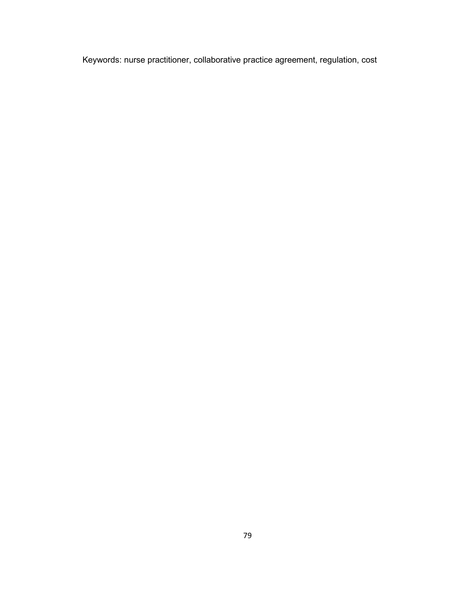Keywords: nurse practitioner, collaborative practice agreement, regulation, cost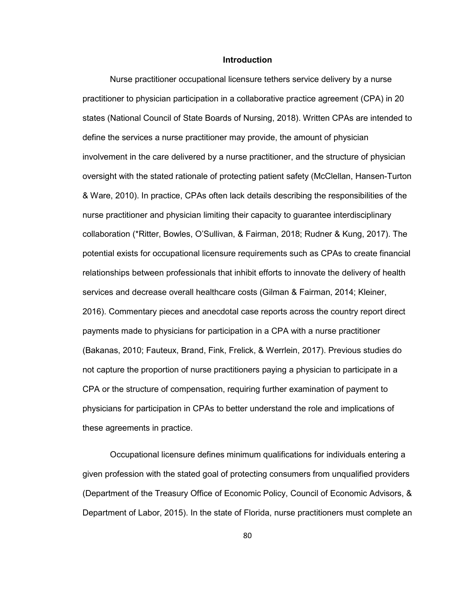### **Introduction**

 Nurse practitioner occupational licensure tethers service delivery by a nurse practitioner to physician participation in a collaborative practice agreement (CPA) in 20 states (National Council of State Boards of Nursing, 2018). Written CPAs are intended to define the services a nurse practitioner may provide, the amount of physician involvement in the care delivered by a nurse practitioner, and the structure of physician oversight with the stated rationale of protecting patient safety (McClellan, Hansen-Turton & Ware, 2010). In practice, CPAs often lack details describing the responsibilities of the nurse practitioner and physician limiting their capacity to guarantee interdisciplinary collaboration (\*Ritter, Bowles, O'Sullivan, & Fairman, 2018; Rudner & Kung, 2017). The potential exists for occupational licensure requirements such as CPAs to create financial relationships between professionals that inhibit efforts to innovate the delivery of health services and decrease overall healthcare costs (Gilman & Fairman, 2014; Kleiner, 2016). Commentary pieces and anecdotal case reports across the country report direct payments made to physicians for participation in a CPA with a nurse practitioner (Bakanas, 2010; Fauteux, Brand, Fink, Frelick, & Werrlein, 2017). Previous studies do not capture the proportion of nurse practitioners paying a physician to participate in a CPA or the structure of compensation, requiring further examination of payment to physicians for participation in CPAs to better understand the role and implications of these agreements in practice.

Occupational licensure defines minimum qualifications for individuals entering a given profession with the stated goal of protecting consumers from unqualified providers (Department of the Treasury Office of Economic Policy, Council of Economic Advisors, & Department of Labor, 2015). In the state of Florida, nurse practitioners must complete an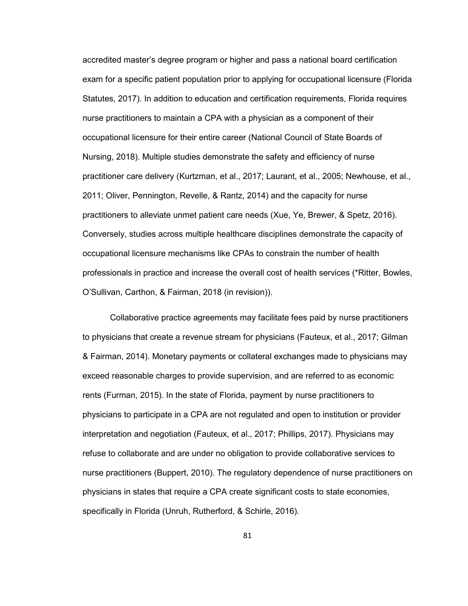accredited master's degree program or higher and pass a national board certification exam for a specific patient population prior to applying for occupational licensure (Florida Statutes, 2017). In addition to education and certification requirements, Florida requires nurse practitioners to maintain a CPA with a physician as a component of their occupational licensure for their entire career (National Council of State Boards of Nursing, 2018). Multiple studies demonstrate the safety and efficiency of nurse practitioner care delivery (Kurtzman, et al., 2017; Laurant, et al., 2005; Newhouse, et al., 2011; Oliver, Pennington, Revelle, & Rantz, 2014) and the capacity for nurse practitioners to alleviate unmet patient care needs (Xue, Ye, Brewer, & Spetz, 2016). Conversely, studies across multiple healthcare disciplines demonstrate the capacity of occupational licensure mechanisms like CPAs to constrain the number of health professionals in practice and increase the overall cost of health services (\*Ritter, Bowles, O'Sullivan, Carthon, & Fairman, 2018 (in revision)).

Collaborative practice agreements may facilitate fees paid by nurse practitioners to physicians that create a revenue stream for physicians (Fauteux, et al., 2017; Gilman & Fairman, 2014). Monetary payments or collateral exchanges made to physicians may exceed reasonable charges to provide supervision, and are referred to as economic rents (Furman, 2015). In the state of Florida, payment by nurse practitioners to physicians to participate in a CPA are not regulated and open to institution or provider interpretation and negotiation (Fauteux, et al., 2017; Phillips, 2017). Physicians may refuse to collaborate and are under no obligation to provide collaborative services to nurse practitioners (Buppert, 2010). The regulatory dependence of nurse practitioners on physicians in states that require a CPA create significant costs to state economies, specifically in Florida (Unruh, Rutherford, & Schirle, 2016).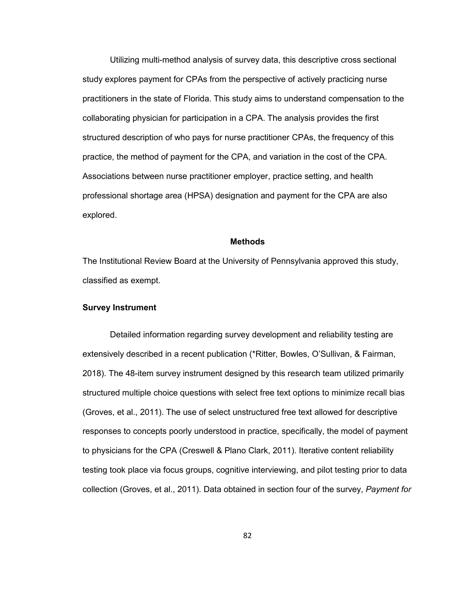Utilizing multi-method analysis of survey data, this descriptive cross sectional study explores payment for CPAs from the perspective of actively practicing nurse practitioners in the state of Florida. This study aims to understand compensation to the collaborating physician for participation in a CPA. The analysis provides the first structured description of who pays for nurse practitioner CPAs, the frequency of this practice, the method of payment for the CPA, and variation in the cost of the CPA. Associations between nurse practitioner employer, practice setting, and health professional shortage area (HPSA) designation and payment for the CPA are also explored.

### **Methods**

The Institutional Review Board at the University of Pennsylvania approved this study, classified as exempt.

## **Survey Instrument**

Detailed information regarding survey development and reliability testing are extensively described in a recent publication (\*Ritter, Bowles, O'Sullivan, & Fairman, 2018). The 48-item survey instrument designed by this research team utilized primarily structured multiple choice questions with select free text options to minimize recall bias (Groves, et al., 2011). The use of select unstructured free text allowed for descriptive responses to concepts poorly understood in practice, specifically, the model of payment to physicians for the CPA (Creswell & Plano Clark, 2011). Iterative content reliability testing took place via focus groups, cognitive interviewing, and pilot testing prior to data collection (Groves, et al., 2011). Data obtained in section four of the survey, *Payment for*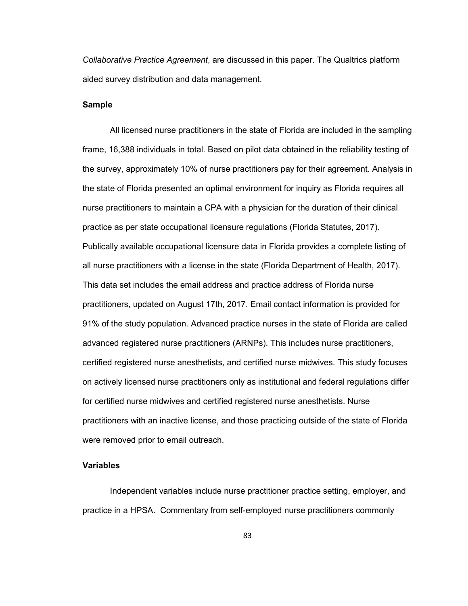*Collaborative Practice Agreement*, are discussed in this paper. The Qualtrics platform aided survey distribution and data management.

## **Sample**

All licensed nurse practitioners in the state of Florida are included in the sampling frame, 16,388 individuals in total. Based on pilot data obtained in the reliability testing of the survey, approximately 10% of nurse practitioners pay for their agreement. Analysis in the state of Florida presented an optimal environment for inquiry as Florida requires all nurse practitioners to maintain a CPA with a physician for the duration of their clinical practice as per state occupational licensure regulations (Florida Statutes, 2017). Publically available occupational licensure data in Florida provides a complete listing of all nurse practitioners with a license in the state (Florida Department of Health, 2017). This data set includes the email address and practice address of Florida nurse practitioners, updated on August 17th, 2017. Email contact information is provided for 91% of the study population. Advanced practice nurses in the state of Florida are called advanced registered nurse practitioners (ARNPs). This includes nurse practitioners, certified registered nurse anesthetists, and certified nurse midwives. This study focuses on actively licensed nurse practitioners only as institutional and federal regulations differ for certified nurse midwives and certified registered nurse anesthetists. Nurse practitioners with an inactive license, and those practicing outside of the state of Florida were removed prior to email outreach.

### **Variables**

Independent variables include nurse practitioner practice setting, employer, and practice in a HPSA. Commentary from self-employed nurse practitioners commonly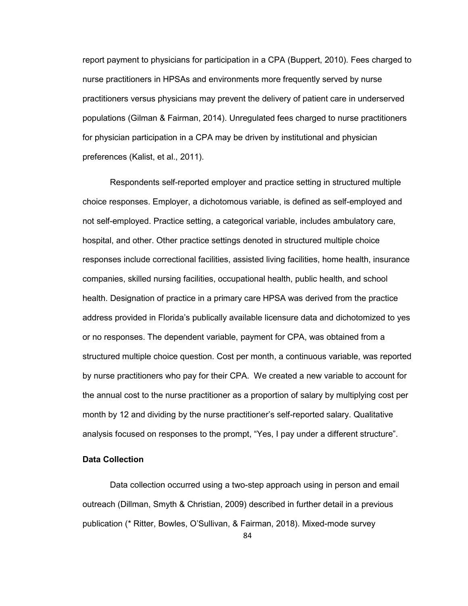report payment to physicians for participation in a CPA (Buppert, 2010). Fees charged to nurse practitioners in HPSAs and environments more frequently served by nurse practitioners versus physicians may prevent the delivery of patient care in underserved populations (Gilman & Fairman, 2014). Unregulated fees charged to nurse practitioners for physician participation in a CPA may be driven by institutional and physician preferences (Kalist, et al., 2011).

Respondents self-reported employer and practice setting in structured multiple choice responses. Employer, a dichotomous variable, is defined as self-employed and not self-employed. Practice setting, a categorical variable, includes ambulatory care, hospital, and other. Other practice settings denoted in structured multiple choice responses include correctional facilities, assisted living facilities, home health, insurance companies, skilled nursing facilities, occupational health, public health, and school health. Designation of practice in a primary care HPSA was derived from the practice address provided in Florida's publically available licensure data and dichotomized to yes or no responses. The dependent variable, payment for CPA, was obtained from a structured multiple choice question. Cost per month, a continuous variable, was reported by nurse practitioners who pay for their CPA. We created a new variable to account for the annual cost to the nurse practitioner as a proportion of salary by multiplying cost per month by 12 and dividing by the nurse practitioner's self-reported salary. Qualitative analysis focused on responses to the prompt, "Yes, I pay under a different structure".

## **Data Collection**

Data collection occurred using a two-step approach using in person and email outreach (Dillman, Smyth & Christian, 2009) described in further detail in a previous publication (\* Ritter, Bowles, O'Sullivan, & Fairman, 2018). Mixed-mode survey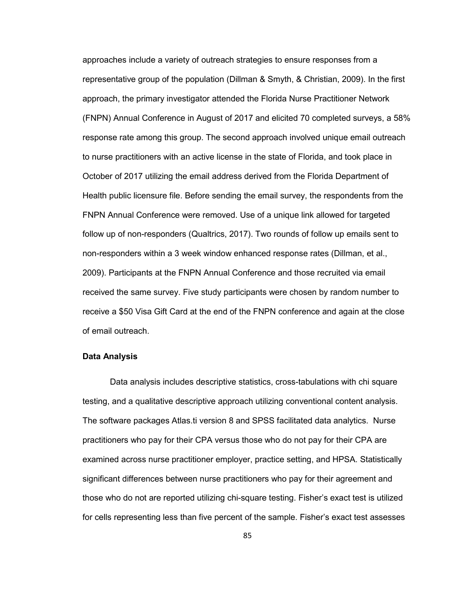approaches include a variety of outreach strategies to ensure responses from a representative group of the population (Dillman & Smyth, & Christian, 2009). In the first approach, the primary investigator attended the Florida Nurse Practitioner Network (FNPN) Annual Conference in August of 2017 and elicited 70 completed surveys, a 58% response rate among this group. The second approach involved unique email outreach to nurse practitioners with an active license in the state of Florida, and took place in October of 2017 utilizing the email address derived from the Florida Department of Health public licensure file. Before sending the email survey, the respondents from the FNPN Annual Conference were removed. Use of a unique link allowed for targeted follow up of non-responders (Qualtrics, 2017). Two rounds of follow up emails sent to non-responders within a 3 week window enhanced response rates (Dillman, et al., 2009). Participants at the FNPN Annual Conference and those recruited via email received the same survey. Five study participants were chosen by random number to receive a \$50 Visa Gift Card at the end of the FNPN conference and again at the close of email outreach.

#### **Data Analysis**

Data analysis includes descriptive statistics, cross-tabulations with chi square testing, and a qualitative descriptive approach utilizing conventional content analysis. The software packages Atlas.ti version 8 and SPSS facilitated data analytics. Nurse practitioners who pay for their CPA versus those who do not pay for their CPA are examined across nurse practitioner employer, practice setting, and HPSA. Statistically significant differences between nurse practitioners who pay for their agreement and those who do not are reported utilizing chi-square testing. Fisher's exact test is utilized for cells representing less than five percent of the sample. Fisher's exact test assesses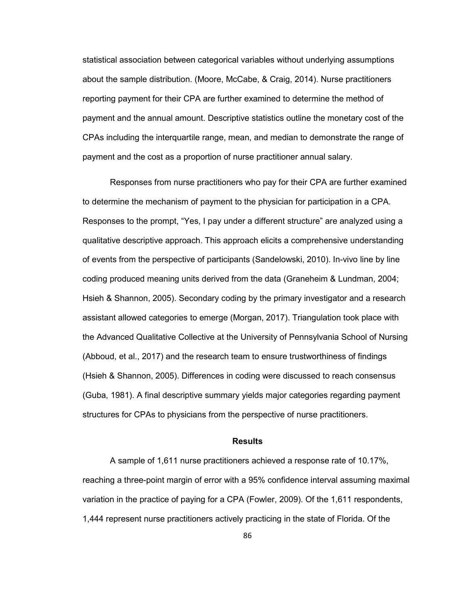statistical association between categorical variables without underlying assumptions about the sample distribution. (Moore, McCabe, & Craig, 2014). Nurse practitioners reporting payment for their CPA are further examined to determine the method of payment and the annual amount. Descriptive statistics outline the monetary cost of the CPAs including the interquartile range, mean, and median to demonstrate the range of payment and the cost as a proportion of nurse practitioner annual salary.

Responses from nurse practitioners who pay for their CPA are further examined to determine the mechanism of payment to the physician for participation in a CPA. Responses to the prompt, "Yes, I pay under a different structure" are analyzed using a qualitative descriptive approach. This approach elicits a comprehensive understanding of events from the perspective of participants (Sandelowski, 2010). In-vivo line by line coding produced meaning units derived from the data (Graneheim & Lundman, 2004; Hsieh & Shannon, 2005). Secondary coding by the primary investigator and a research assistant allowed categories to emerge (Morgan, 2017). Triangulation took place with the Advanced Qualitative Collective at the University of Pennsylvania School of Nursing (Abboud, et al., 2017) and the research team to ensure trustworthiness of findings (Hsieh & Shannon, 2005). Differences in coding were discussed to reach consensus (Guba, 1981). A final descriptive summary yields major categories regarding payment structures for CPAs to physicians from the perspective of nurse practitioners.

### **Results**

A sample of 1,611 nurse practitioners achieved a response rate of 10.17%, reaching a three-point margin of error with a 95% confidence interval assuming maximal variation in the practice of paying for a CPA (Fowler, 2009). Of the 1,611 respondents, 1,444 represent nurse practitioners actively practicing in the state of Florida. Of the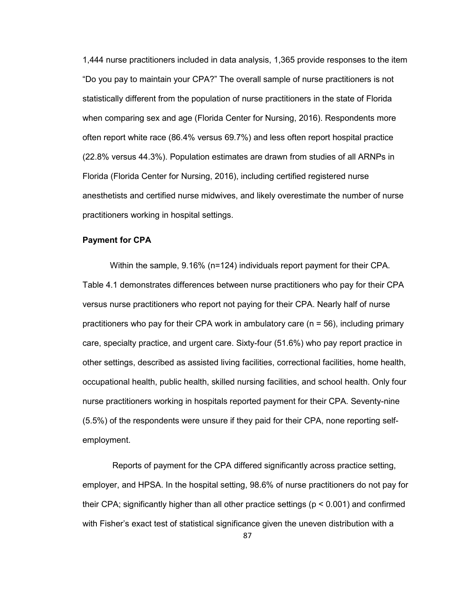1,444 nurse practitioners included in data analysis, 1,365 provide responses to the item "Do you pay to maintain your CPA?" The overall sample of nurse practitioners is not statistically different from the population of nurse practitioners in the state of Florida when comparing sex and age (Florida Center for Nursing, 2016). Respondents more often report white race (86.4% versus 69.7%) and less often report hospital practice (22.8% versus 44.3%). Population estimates are drawn from studies of all ARNPs in Florida (Florida Center for Nursing, 2016), including certified registered nurse anesthetists and certified nurse midwives, and likely overestimate the number of nurse practitioners working in hospital settings.

### **Payment for CPA**

Within the sample, 9.16% (n=124) individuals report payment for their CPA. Table 4.1 demonstrates differences between nurse practitioners who pay for their CPA versus nurse practitioners who report not paying for their CPA. Nearly half of nurse practitioners who pay for their CPA work in ambulatory care ( $n = 56$ ), including primary care, specialty practice, and urgent care. Sixty-four (51.6%) who pay report practice in other settings, described as assisted living facilities, correctional facilities, home health, occupational health, public health, skilled nursing facilities, and school health. Only four nurse practitioners working in hospitals reported payment for their CPA. Seventy-nine (5.5%) of the respondents were unsure if they paid for their CPA, none reporting selfemployment.

 Reports of payment for the CPA differed significantly across practice setting, employer, and HPSA. In the hospital setting, 98.6% of nurse practitioners do not pay for their CPA; significantly higher than all other practice settings (p < 0.001) and confirmed with Fisher's exact test of statistical significance given the uneven distribution with a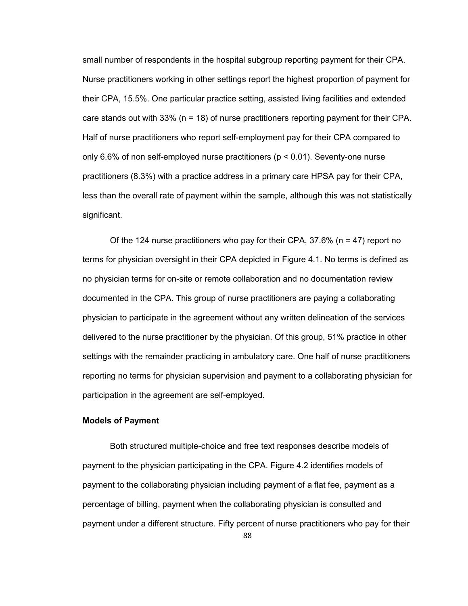small number of respondents in the hospital subgroup reporting payment for their CPA. Nurse practitioners working in other settings report the highest proportion of payment for their CPA, 15.5%. One particular practice setting, assisted living facilities and extended care stands out with 33% (n = 18) of nurse practitioners reporting payment for their CPA. Half of nurse practitioners who report self-employment pay for their CPA compared to only 6.6% of non self-employed nurse practitioners ( $p < 0.01$ ). Seventy-one nurse practitioners (8.3%) with a practice address in a primary care HPSA pay for their CPA, less than the overall rate of payment within the sample, although this was not statistically significant.

Of the 124 nurse practitioners who pay for their CPA,  $37.6\%$  (n = 47) report no terms for physician oversight in their CPA depicted in Figure 4.1. No terms is defined as no physician terms for on-site or remote collaboration and no documentation review documented in the CPA. This group of nurse practitioners are paying a collaborating physician to participate in the agreement without any written delineation of the services delivered to the nurse practitioner by the physician. Of this group, 51% practice in other settings with the remainder practicing in ambulatory care. One half of nurse practitioners reporting no terms for physician supervision and payment to a collaborating physician for participation in the agreement are self-employed.

### **Models of Payment**

Both structured multiple-choice and free text responses describe models of payment to the physician participating in the CPA. Figure 4.2 identifies models of payment to the collaborating physician including payment of a flat fee, payment as a percentage of billing, payment when the collaborating physician is consulted and payment under a different structure. Fifty percent of nurse practitioners who pay for their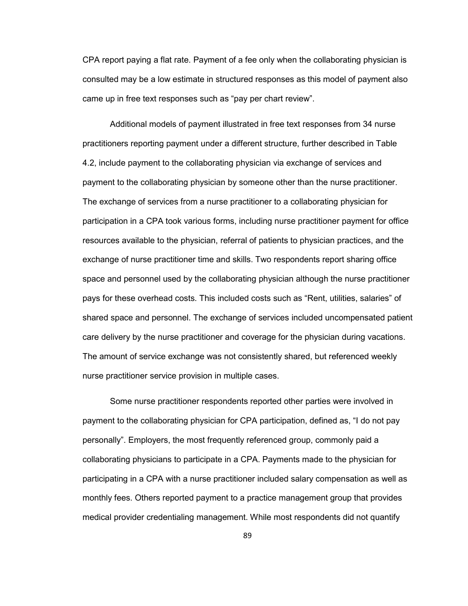CPA report paying a flat rate. Payment of a fee only when the collaborating physician is consulted may be a low estimate in structured responses as this model of payment also came up in free text responses such as "pay per chart review".

Additional models of payment illustrated in free text responses from 34 nurse practitioners reporting payment under a different structure, further described in Table 4.2, include payment to the collaborating physician via exchange of services and payment to the collaborating physician by someone other than the nurse practitioner. The exchange of services from a nurse practitioner to a collaborating physician for participation in a CPA took various forms, including nurse practitioner payment for office resources available to the physician, referral of patients to physician practices, and the exchange of nurse practitioner time and skills. Two respondents report sharing office space and personnel used by the collaborating physician although the nurse practitioner pays for these overhead costs. This included costs such as "Rent, utilities, salaries" of shared space and personnel. The exchange of services included uncompensated patient care delivery by the nurse practitioner and coverage for the physician during vacations. The amount of service exchange was not consistently shared, but referenced weekly nurse practitioner service provision in multiple cases.

 Some nurse practitioner respondents reported other parties were involved in payment to the collaborating physician for CPA participation, defined as, "I do not pay personally". Employers, the most frequently referenced group, commonly paid a collaborating physicians to participate in a CPA. Payments made to the physician for participating in a CPA with a nurse practitioner included salary compensation as well as monthly fees. Others reported payment to a practice management group that provides medical provider credentialing management. While most respondents did not quantify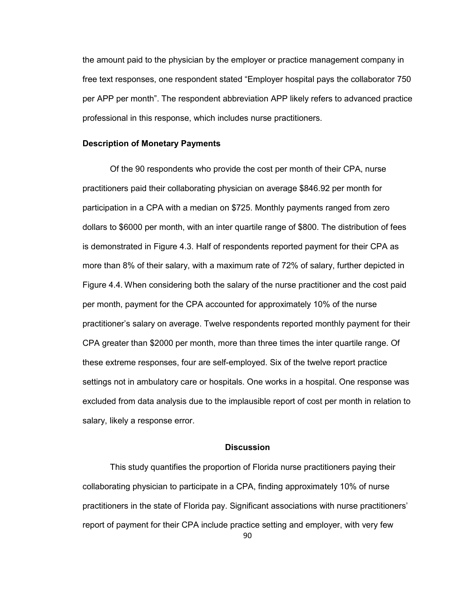the amount paid to the physician by the employer or practice management company in free text responses, one respondent stated "Employer hospital pays the collaborator 750 per APP per month". The respondent abbreviation APP likely refers to advanced practice professional in this response, which includes nurse practitioners.

### **Description of Monetary Payments**

Of the 90 respondents who provide the cost per month of their CPA, nurse practitioners paid their collaborating physician on average \$846.92 per month for participation in a CPA with a median on \$725. Monthly payments ranged from zero dollars to \$6000 per month, with an inter quartile range of \$800. The distribution of fees is demonstrated in Figure 4.3. Half of respondents reported payment for their CPA as more than 8% of their salary, with a maximum rate of 72% of salary, further depicted in Figure 4.4. When considering both the salary of the nurse practitioner and the cost paid per month, payment for the CPA accounted for approximately 10% of the nurse practitioner's salary on average. Twelve respondents reported monthly payment for their CPA greater than \$2000 per month, more than three times the inter quartile range. Of these extreme responses, four are self-employed. Six of the twelve report practice settings not in ambulatory care or hospitals. One works in a hospital. One response was excluded from data analysis due to the implausible report of cost per month in relation to salary, likely a response error.

### **Discussion**

This study quantifies the proportion of Florida nurse practitioners paying their collaborating physician to participate in a CPA, finding approximately 10% of nurse practitioners in the state of Florida pay. Significant associations with nurse practitioners' report of payment for their CPA include practice setting and employer, with very few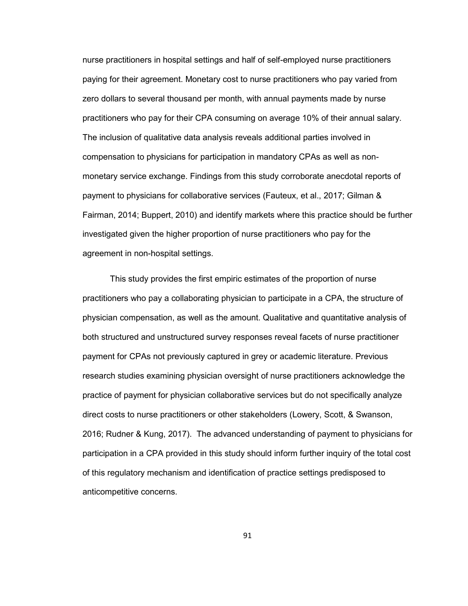nurse practitioners in hospital settings and half of self-employed nurse practitioners paying for their agreement. Monetary cost to nurse practitioners who pay varied from zero dollars to several thousand per month, with annual payments made by nurse practitioners who pay for their CPA consuming on average 10% of their annual salary. The inclusion of qualitative data analysis reveals additional parties involved in compensation to physicians for participation in mandatory CPAs as well as nonmonetary service exchange. Findings from this study corroborate anecdotal reports of payment to physicians for collaborative services (Fauteux, et al., 2017; Gilman & Fairman, 2014; Buppert, 2010) and identify markets where this practice should be further investigated given the higher proportion of nurse practitioners who pay for the agreement in non-hospital settings.

This study provides the first empiric estimates of the proportion of nurse practitioners who pay a collaborating physician to participate in a CPA, the structure of physician compensation, as well as the amount. Qualitative and quantitative analysis of both structured and unstructured survey responses reveal facets of nurse practitioner payment for CPAs not previously captured in grey or academic literature. Previous research studies examining physician oversight of nurse practitioners acknowledge the practice of payment for physician collaborative services but do not specifically analyze direct costs to nurse practitioners or other stakeholders (Lowery, Scott, & Swanson, 2016; Rudner & Kung, 2017). The advanced understanding of payment to physicians for participation in a CPA provided in this study should inform further inquiry of the total cost of this regulatory mechanism and identification of practice settings predisposed to anticompetitive concerns.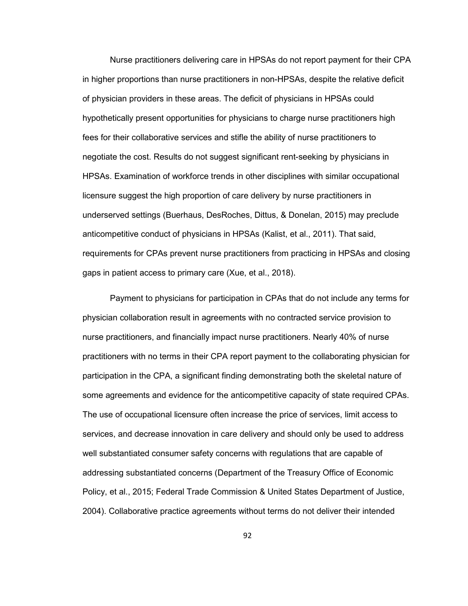Nurse practitioners delivering care in HPSAs do not report payment for their CPA in higher proportions than nurse practitioners in non-HPSAs, despite the relative deficit of physician providers in these areas. The deficit of physicians in HPSAs could hypothetically present opportunities for physicians to charge nurse practitioners high fees for their collaborative services and stifle the ability of nurse practitioners to negotiate the cost. Results do not suggest significant rent-seeking by physicians in HPSAs. Examination of workforce trends in other disciplines with similar occupational licensure suggest the high proportion of care delivery by nurse practitioners in underserved settings (Buerhaus, DesRoches, Dittus, & Donelan, 2015) may preclude anticompetitive conduct of physicians in HPSAs (Kalist, et al., 2011). That said, requirements for CPAs prevent nurse practitioners from practicing in HPSAs and closing gaps in patient access to primary care (Xue, et al., 2018).

Payment to physicians for participation in CPAs that do not include any terms for physician collaboration result in agreements with no contracted service provision to nurse practitioners, and financially impact nurse practitioners. Nearly 40% of nurse practitioners with no terms in their CPA report payment to the collaborating physician for participation in the CPA, a significant finding demonstrating both the skeletal nature of some agreements and evidence for the anticompetitive capacity of state required CPAs. The use of occupational licensure often increase the price of services, limit access to services, and decrease innovation in care delivery and should only be used to address well substantiated consumer safety concerns with regulations that are capable of addressing substantiated concerns (Department of the Treasury Office of Economic Policy, et al., 2015; Federal Trade Commission & United States Department of Justice, 2004). Collaborative practice agreements without terms do not deliver their intended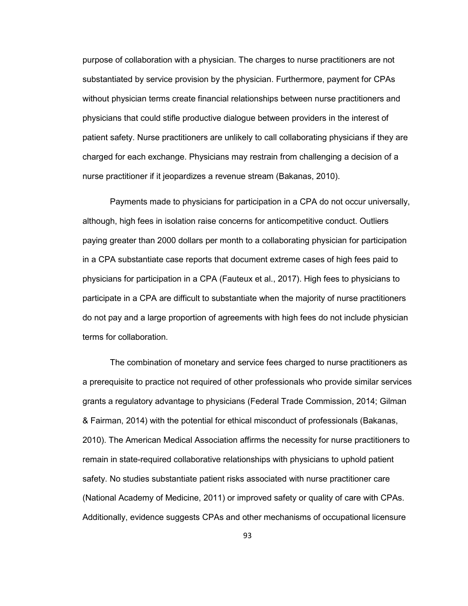purpose of collaboration with a physician. The charges to nurse practitioners are not substantiated by service provision by the physician. Furthermore, payment for CPAs without physician terms create financial relationships between nurse practitioners and physicians that could stifle productive dialogue between providers in the interest of patient safety. Nurse practitioners are unlikely to call collaborating physicians if they are charged for each exchange. Physicians may restrain from challenging a decision of a nurse practitioner if it jeopardizes a revenue stream (Bakanas, 2010).

Payments made to physicians for participation in a CPA do not occur universally, although, high fees in isolation raise concerns for anticompetitive conduct. Outliers paying greater than 2000 dollars per month to a collaborating physician for participation in a CPA substantiate case reports that document extreme cases of high fees paid to physicians for participation in a CPA (Fauteux et al., 2017). High fees to physicians to participate in a CPA are difficult to substantiate when the majority of nurse practitioners do not pay and a large proportion of agreements with high fees do not include physician terms for collaboration.

The combination of monetary and service fees charged to nurse practitioners as a prerequisite to practice not required of other professionals who provide similar services grants a regulatory advantage to physicians (Federal Trade Commission, 2014; Gilman & Fairman, 2014) with the potential for ethical misconduct of professionals (Bakanas, 2010). The American Medical Association affirms the necessity for nurse practitioners to remain in state-required collaborative relationships with physicians to uphold patient safety. No studies substantiate patient risks associated with nurse practitioner care (National Academy of Medicine, 2011) or improved safety or quality of care with CPAs. Additionally, evidence suggests CPAs and other mechanisms of occupational licensure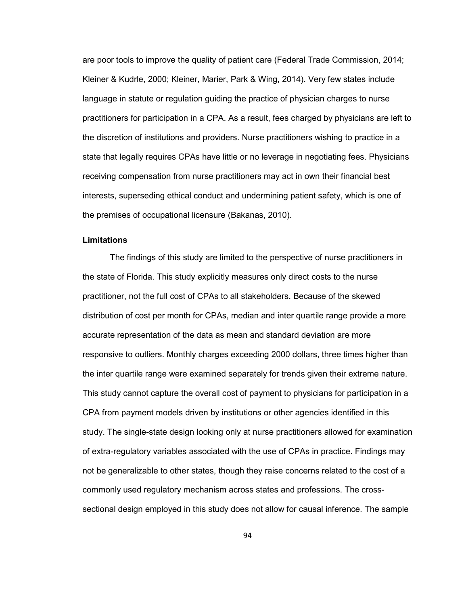are poor tools to improve the quality of patient care (Federal Trade Commission, 2014; Kleiner & Kudrle, 2000; Kleiner, Marier, Park & Wing, 2014). Very few states include language in statute or regulation guiding the practice of physician charges to nurse practitioners for participation in a CPA. As a result, fees charged by physicians are left to the discretion of institutions and providers. Nurse practitioners wishing to practice in a state that legally requires CPAs have little or no leverage in negotiating fees. Physicians receiving compensation from nurse practitioners may act in own their financial best interests, superseding ethical conduct and undermining patient safety, which is one of the premises of occupational licensure (Bakanas, 2010).

#### **Limitations**

The findings of this study are limited to the perspective of nurse practitioners in the state of Florida. This study explicitly measures only direct costs to the nurse practitioner, not the full cost of CPAs to all stakeholders. Because of the skewed distribution of cost per month for CPAs, median and inter quartile range provide a more accurate representation of the data as mean and standard deviation are more responsive to outliers. Monthly charges exceeding 2000 dollars, three times higher than the inter quartile range were examined separately for trends given their extreme nature. This study cannot capture the overall cost of payment to physicians for participation in a CPA from payment models driven by institutions or other agencies identified in this study. The single-state design looking only at nurse practitioners allowed for examination of extra-regulatory variables associated with the use of CPAs in practice. Findings may not be generalizable to other states, though they raise concerns related to the cost of a commonly used regulatory mechanism across states and professions. The crosssectional design employed in this study does not allow for causal inference. The sample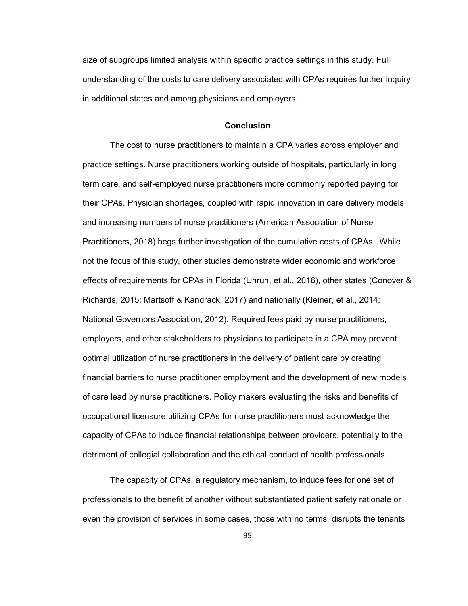size of subgroups limited analysis within specific practice settings in this study. Full understanding of the costs to care delivery associated with CPAs requires further inquiry in additional states and among physicians and employers.

#### **Conclusion**

The cost to nurse practitioners to maintain a CPA varies across employer and practice settings. Nurse practitioners working outside of hospitals, particularly in long term care, and self-employed nurse practitioners more commonly reported paying for their CPAs. Physician shortages, coupled with rapid innovation in care delivery models and increasing numbers of nurse practitioners (American Association of Nurse Practitioners, 2018) begs further investigation of the cumulative costs of CPAs. While not the focus of this study, other studies demonstrate wider economic and workforce effects of requirements for CPAs in Florida (Unruh, et al., 2016), other states (Conover & Richards, 2015; Martsoff & Kandrack, 2017) and nationally (Kleiner, et al., 2014; National Governors Association, 2012). Required fees paid by nurse practitioners, employers, and other stakeholders to physicians to participate in a CPA may prevent optimal utilization of nurse practitioners in the delivery of patient care by creating financial barriers to nurse practitioner employment and the development of new models of care lead by nurse practitioners. Policy makers evaluating the risks and benefits of occupational licensure utilizing CPAs for nurse practitioners must acknowledge the capacity of CPAs to induce financial relationships between providers, potentially to the detriment of collegial collaboration and the ethical conduct of health professionals.

 The capacity of CPAs, a regulatory mechanism, to induce fees for one set of professionals to the benefit of another without substantiated patient safety rationale or even the provision of services in some cases, those with no terms, disrupts the tenants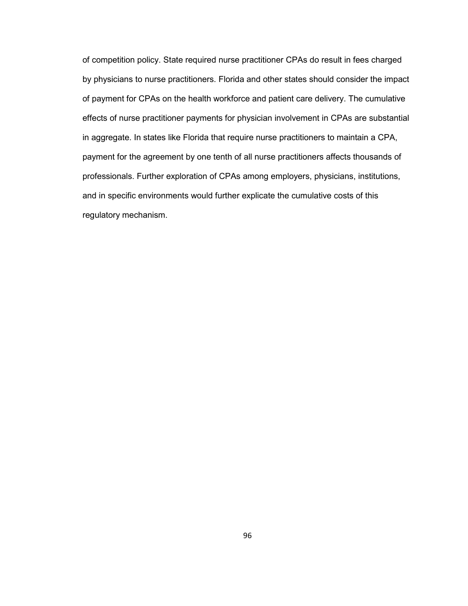of competition policy. State required nurse practitioner CPAs do result in fees charged by physicians to nurse practitioners. Florida and other states should consider the impact of payment for CPAs on the health workforce and patient care delivery. The cumulative effects of nurse practitioner payments for physician involvement in CPAs are substantial in aggregate. In states like Florida that require nurse practitioners to maintain a CPA, payment for the agreement by one tenth of all nurse practitioners affects thousands of professionals. Further exploration of CPAs among employers, physicians, institutions, and in specific environments would further explicate the cumulative costs of this regulatory mechanism.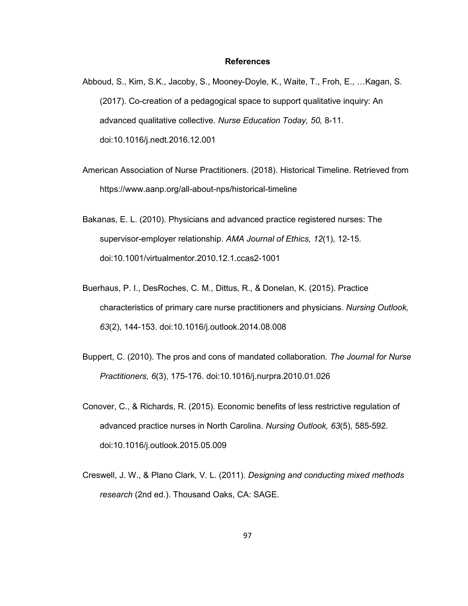#### **References**

- Abboud, S., Kim, S.K., Jacoby, S., Mooney-Doyle, K., Waite, T., Froh, E., …Kagan, S. (2017). Co-creation of a pedagogical space to support qualitative inquiry: An advanced qualitative collective. *Nurse Education Today, 50,* 8-11. doi:10.1016/j.nedt.2016.12.001
- American Association of Nurse Practitioners. (2018). Historical Timeline. Retrieved from https://www.aanp.org/all-about-nps/historical-timeline
- Bakanas, E. L. (2010). Physicians and advanced practice registered nurses: The supervisor-employer relationship. *AMA Journal of Ethics, 12*(1), 12-15. doi:10.1001/virtualmentor.2010.12.1.ccas2-1001
- Buerhaus, P. I., DesRoches, C. M., Dittus, R., & Donelan, K. (2015). Practice characteristics of primary care nurse practitioners and physicians. *Nursing Outlook, 63*(2), 144-153. doi:10.1016/j.outlook.2014.08.008
- Buppert, C. (2010). The pros and cons of mandated collaboration*. The Journal for Nurse Practitioners, 6*(3), 175-176. doi:10.1016/j.nurpra.2010.01.026
- Conover, C., & Richards, R. (2015). Economic benefits of less restrictive regulation of advanced practice nurses in North Carolina. *Nursing Outlook, 63*(5), 585-592. doi:10.1016/j.outlook.2015.05.009
- Creswell, J. W., & Plano Clark, V. L. (2011). *Designing and conducting mixed methods research* (2nd ed.). Thousand Oaks, CA: SAGE.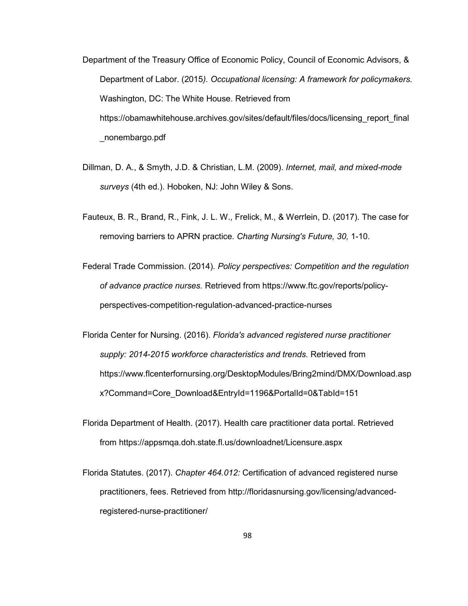- Department of the Treasury Office of Economic Policy, Council of Economic Advisors, & Department of Labor. (2015*). Occupational licensing: A framework for policymakers.* Washington, DC: The White House. Retrieved from https://obamawhitehouse.archives.gov/sites/default/files/docs/licensing\_report\_final \_nonembargo.pdf
- Dillman, D. A., & Smyth, J.D. & Christian, L.M. (2009). *Internet, mail, and mixed-mode surveys* (4th ed.). Hoboken, NJ: John Wiley & Sons.
- Fauteux, B. R., Brand, R., Fink, J. L. W., Frelick, M., & Werrlein, D. (2017). The case for removing barriers to APRN practice. *Charting Nursing's Future, 30,* 1-10.
- Federal Trade Commission. (2014). *Policy perspectives: Competition and the regulation of advance practice nurses.* Retrieved from https://www.ftc.gov/reports/policyperspectives-competition-regulation-advanced-practice-nurses
- Florida Center for Nursing. (2016). *Florida's advanced registered nurse practitioner supply: 2014-2015 workforce characteristics and trends.* Retrieved from https://www.flcenterfornursing.org/DesktopModules/Bring2mind/DMX/Download.asp x?Command=Core\_Download&EntryId=1196&PortalId=0&TabId=151
- Florida Department of Health. (2017). Health care practitioner data portal. Retrieved from https://appsmqa.doh.state.fl.us/downloadnet/Licensure.aspx
- Florida Statutes. (2017). *Chapter 464.012:* Certification of advanced registered nurse practitioners, fees. Retrieved from http://floridasnursing.gov/licensing/advancedregistered-nurse-practitioner/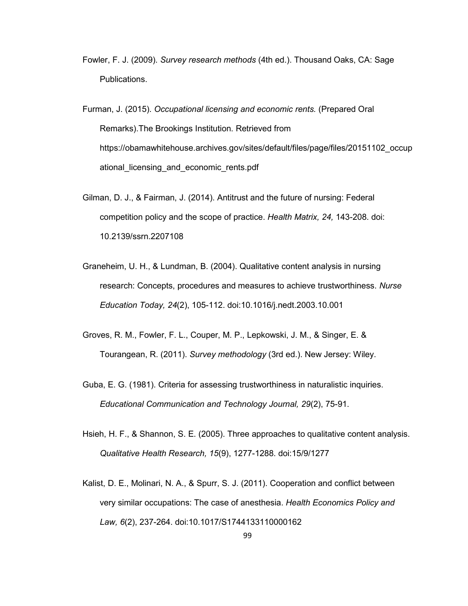- Fowler, F. J. (2009). *Survey research methods* (4th ed.). Thousand Oaks, CA: Sage Publications.
- Furman, J. (2015). *Occupational licensing and economic rents.* (Prepared Oral Remarks).The Brookings Institution. Retrieved from https://obamawhitehouse.archives.gov/sites/default/files/page/files/20151102\_occup ational\_licensing\_and\_economic\_rents.pdf
- Gilman, D. J., & Fairman, J. (2014). Antitrust and the future of nursing: Federal competition policy and the scope of practice. *Health Matrix, 24,* 143-208. doi: 10.2139/ssrn.2207108
- Graneheim, U. H., & Lundman, B. (2004). Qualitative content analysis in nursing research: Concepts, procedures and measures to achieve trustworthiness. *Nurse Education Today, 24*(2), 105-112. doi:10.1016/j.nedt.2003.10.001
- Groves, R. M., Fowler, F. L., Couper, M. P., Lepkowski, J. M., & Singer, E. & Tourangean, R. (2011). *Survey methodology* (3rd ed.). New Jersey: Wiley.
- Guba, E. G. (1981). Criteria for assessing trustworthiness in naturalistic inquiries. *Educational Communication and Technology Journal, 29*(2), 75-91.
- Hsieh, H. F., & Shannon, S. E. (2005). Three approaches to qualitative content analysis. *Qualitative Health Research, 15*(9), 1277-1288. doi:15/9/1277
- Kalist, D. E., Molinari, N. A., & Spurr, S. J. (2011). Cooperation and conflict between very similar occupations: The case of anesthesia. *Health Economics Policy and Law, 6*(2), 237-264. doi:10.1017/S1744133110000162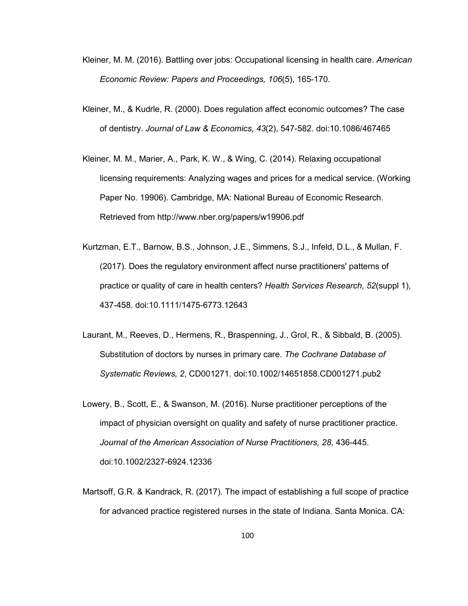- Kleiner, M. M. (2016). Battling over jobs: Occupational licensing in health care. *American Economic Review: Papers and Proceedings, 106*(5), 165-170.
- Kleiner, M., & Kudrle, R. (2000). Does regulation affect economic outcomes? The case of dentistry. *Journal of Law & Economics, 43*(2), 547-582. doi:10.1086/467465
- Kleiner, M. M., Marier, A., Park, K. W., & Wing, C. (2014). Relaxing occupational licensing requirements: Analyzing wages and prices for a medical service. (Working Paper No. 19906). Cambridge, MA: National Bureau of Economic Research. Retrieved from http://www.nber.org/papers/w19906.pdf
- Kurtzman, E.T., Barnow, B.S., Johnson, J.E., Simmens, S.J., Infeld, D.L., & Mullan, F. (2017). Does the regulatory environment affect nurse practitioners' patterns of practice or quality of care in health centers? *Health Services Research, 52*(suppl 1), 437-458. doi:10.1111/1475-6773.12643
- Laurant, M., Reeves, D., Hermens, R., Braspenning, J., Grol, R., & Sibbald, B. (2005). Substitution of doctors by nurses in primary care. *The Cochrane Database of Systematic Reviews, 2*, CD001271. doi:10.1002/14651858.CD001271.pub2
- Lowery, B., Scott, E., & Swanson, M. (2016). Nurse practitioner perceptions of the impact of physician oversight on quality and safety of nurse practitioner practice. *Journal of the American Association of Nurse Practitioners, 28*, 436-445. doi:10.1002/2327-6924.12336
- Martsoff, G.R. & Kandrack, R. (2017). The impact of establishing a full scope of practice for advanced practice registered nurses in the state of Indiana. Santa Monica. CA: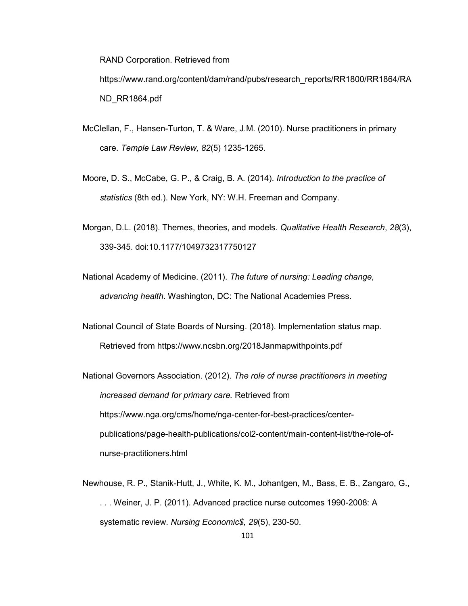RAND Corporation. Retrieved from

https://www.rand.org/content/dam/rand/pubs/research\_reports/RR1800/RR1864/RA ND\_RR1864.pdf

- McClellan, F., Hansen-Turton, T. & Ware, J.M. (2010). Nurse practitioners in primary care. *Temple Law Review, 82*(5) 1235-1265.
- Moore, D. S., McCabe, G. P., & Craig, B. A. (2014). *Introduction to the practice of statistics* (8th ed.). New York, NY: W.H. Freeman and Company.
- Morgan, D.L. (2018). Themes, theories, and models. *Qualitative Health Research*, *28*(3), 339-345. doi:10.1177/1049732317750127
- National Academy of Medicine. (2011). *The future of nursing: Leading change, advancing health*. Washington, DC: The National Academies Press.
- National Council of State Boards of Nursing. (2018). Implementation status map. Retrieved from https://www.ncsbn.org/2018Janmapwithpoints.pdf

National Governors Association. (2012). *The role of nurse practitioners in meeting increased demand for primary care.* Retrieved from https://www.nga.org/cms/home/nga-center-for-best-practices/centerpublications/page-health-publications/col2-content/main-content-list/the-role-ofnurse-practitioners.html

Newhouse, R. P., Stanik-Hutt, J., White, K. M., Johantgen, M., Bass, E. B., Zangaro, G., . . . Weiner, J. P. (2011). Advanced practice nurse outcomes 1990-2008: A systematic review. *Nursing Economic\$, 29*(5), 230-50.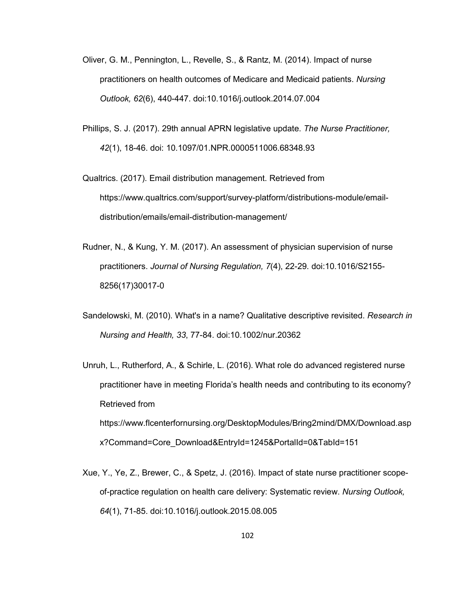- Oliver, G. M., Pennington, L., Revelle, S., & Rantz, M. (2014). Impact of nurse practitioners on health outcomes of Medicare and Medicaid patients. *Nursing Outlook, 62*(6), 440-447. doi:10.1016/j.outlook.2014.07.004
- Phillips, S. J. (2017). 29th annual APRN legislative update. *The Nurse Practitioner, 42*(1), 18-46. doi: 10.1097/01.NPR.0000511006.68348.93
- Qualtrics. (2017). Email distribution management. Retrieved from https://www.qualtrics.com/support/survey-platform/distributions-module/emaildistribution/emails/email-distribution-management/
- Rudner, N., & Kung, Y. M. (2017). An assessment of physician supervision of nurse practitioners. *Journal of Nursing Regulation, 7*(4), 22-29. doi:10.1016/S2155- 8256(17)30017-0
- Sandelowski, M. (2010). What's in a name? Qualitative descriptive revisited. *Research in Nursing and Health, 33*, 77-84. doi:10.1002/nur.20362
- Unruh, L., Rutherford, A., & Schirle, L. (2016). What role do advanced registered nurse practitioner have in meeting Florida's health needs and contributing to its economy? Retrieved from https://www.flcenterfornursing.org/DesktopModules/Bring2mind/DMX/Download.asp x?Command=Core\_Download&EntryId=1245&PortalId=0&TabId=151
- Xue, Y., Ye, Z., Brewer, C., & Spetz, J. (2016). Impact of state nurse practitioner scopeof-practice regulation on health care delivery: Systematic review. *Nursing Outlook, 64*(1), 71-85. doi:10.1016/j.outlook.2015.08.005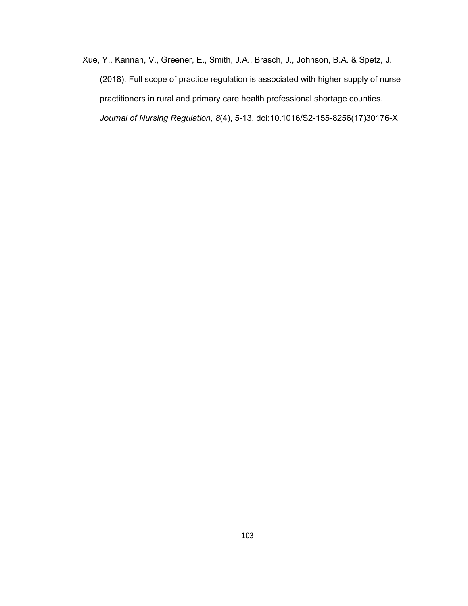Xue, Y., Kannan, V., Greener, E., Smith, J.A., Brasch, J., Johnson, B.A. & Spetz, J. (2018). Full scope of practice regulation is associated with higher supply of nurse practitioners in rural and primary care health professional shortage counties. *Journal of Nursing Regulation, 8*(4), 5-13. doi:10.1016/S2-155-8256(17)30176-X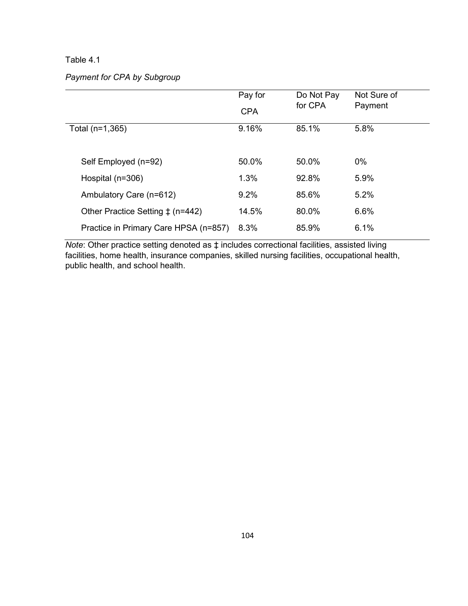## Table 4.1

# *Payment for CPA by Subgroup*

|                                       | Pay for    | Do Not Pay | Not Sure of |
|---------------------------------------|------------|------------|-------------|
|                                       | <b>CPA</b> | for CPA    | Payment     |
| Total (n=1,365)                       | 9.16%      | 85.1%      | 5.8%        |
|                                       |            |            |             |
| Self Employed (n=92)                  | 50.0%      | 50.0%      | $0\%$       |
| Hospital (n=306)                      | 1.3%       | 92.8%      | 5.9%        |
| Ambulatory Care (n=612)               | 9.2%       | 85.6%      | 5.2%        |
| Other Practice Setting $\pm$ (n=442)  | 14.5%      | 80.0%      | 6.6%        |
| Practice in Primary Care HPSA (n=857) | 8.3%       | 85.9%      | 6.1%        |

*Note*: Other practice setting denoted as ‡ includes correctional facilities, assisted living facilities, home health, insurance companies, skilled nursing facilities, occupational health, public health, and school health.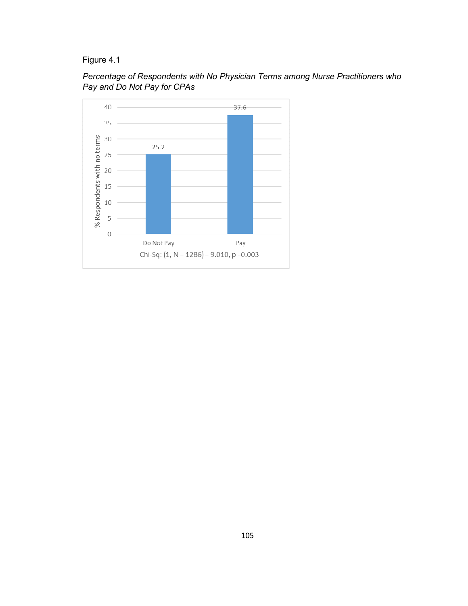Figure 4.1



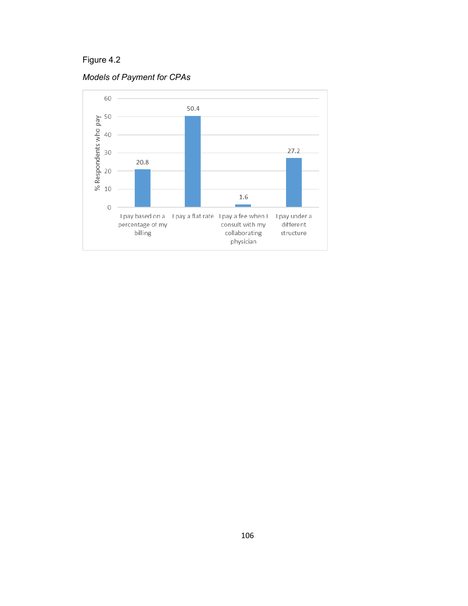Figure 4.2



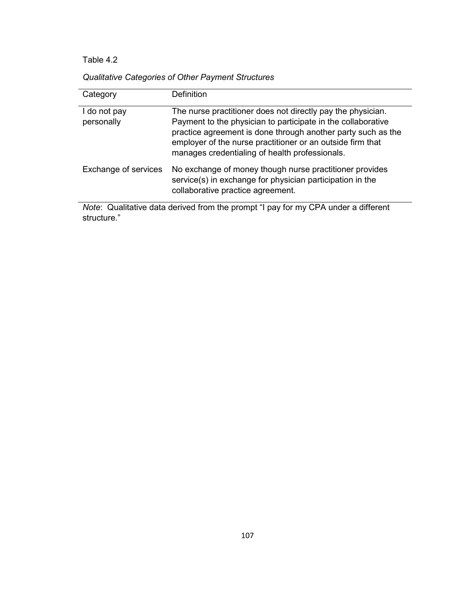# Table 4.2

| Category                   | Definition                                                                                                                                                                                                                                                                                                  |
|----------------------------|-------------------------------------------------------------------------------------------------------------------------------------------------------------------------------------------------------------------------------------------------------------------------------------------------------------|
| I do not pay<br>personally | The nurse practitioner does not directly pay the physician.<br>Payment to the physician to participate in the collaborative<br>practice agreement is done through another party such as the<br>employer of the nurse practitioner or an outside firm that<br>manages credentialing of health professionals. |
| Exchange of services       | No exchange of money though nurse practitioner provides<br>service(s) in exchange for physician participation in the<br>collaborative practice agreement.<br>ALL $\alpha$ then the contract of the contract $\alpha$ is $\alpha$ and $\alpha$ is the contract of $\alpha$                                   |

*Note*: Qualitative data derived from the prompt "I pay for my CPA under a different structure."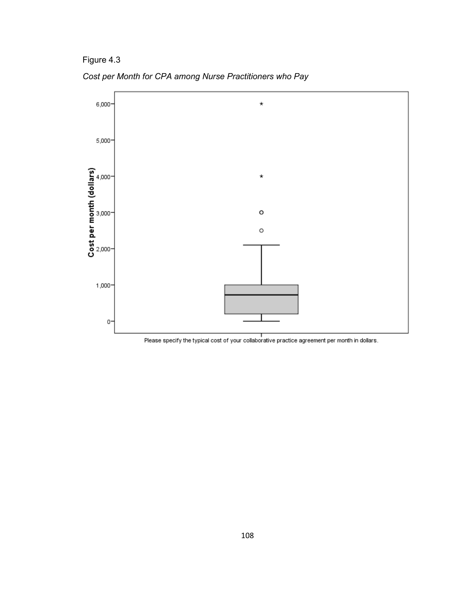Figure 4.3





Please specify the typical cost of your collaborative practice agreement per month in dollars.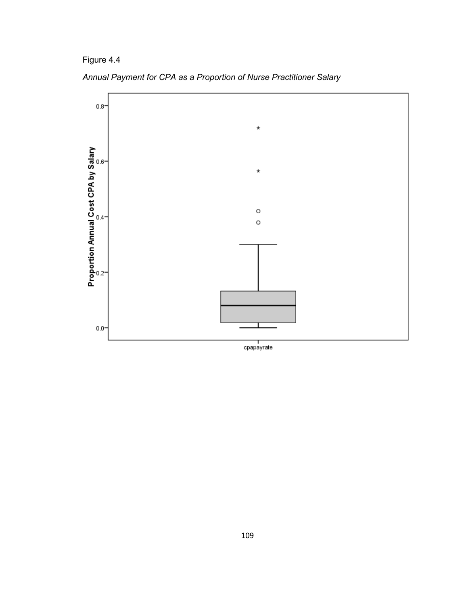Figure 4.4



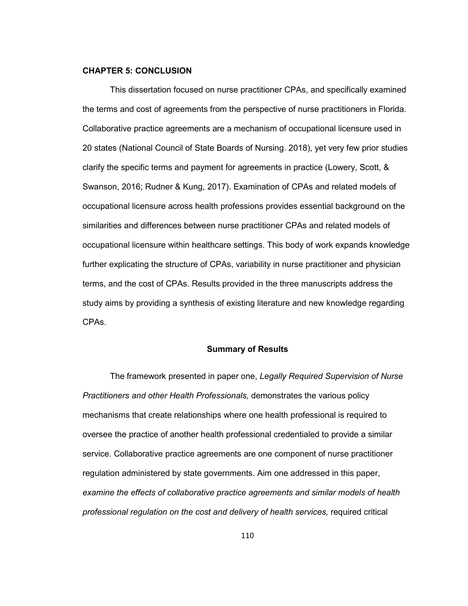#### **CHAPTER 5: CONCLUSION**

This dissertation focused on nurse practitioner CPAs, and specifically examined the terms and cost of agreements from the perspective of nurse practitioners in Florida. Collaborative practice agreements are a mechanism of occupational licensure used in 20 states (National Council of State Boards of Nursing. 2018), yet very few prior studies clarify the specific terms and payment for agreements in practice (Lowery, Scott, & Swanson, 2016; Rudner & Kung, 2017). Examination of CPAs and related models of occupational licensure across health professions provides essential background on the similarities and differences between nurse practitioner CPAs and related models of occupational licensure within healthcare settings. This body of work expands knowledge further explicating the structure of CPAs, variability in nurse practitioner and physician terms, and the cost of CPAs. Results provided in the three manuscripts address the study aims by providing a synthesis of existing literature and new knowledge regarding CPAs.

#### **Summary of Results**

The framework presented in paper one, *Legally Required Supervision of Nurse Practitioners and other Health Professionals,* demonstrates the various policy mechanisms that create relationships where one health professional is required to oversee the practice of another health professional credentialed to provide a similar service. Collaborative practice agreements are one component of nurse practitioner regulation administered by state governments. Aim one addressed in this paper, *examine the effects of collaborative practice agreements and similar models of health professional regulation on the cost and delivery of health services,* required critical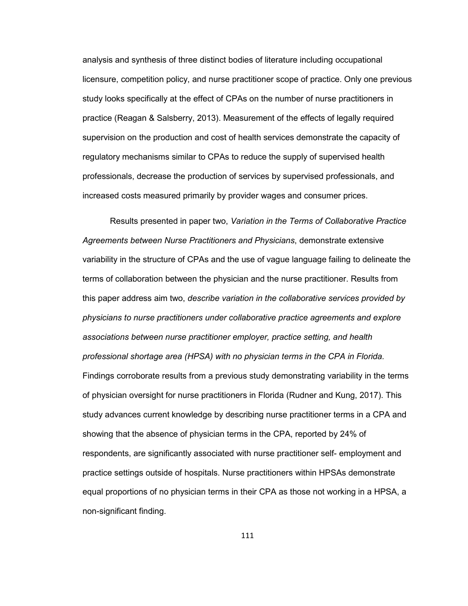analysis and synthesis of three distinct bodies of literature including occupational licensure, competition policy, and nurse practitioner scope of practice. Only one previous study looks specifically at the effect of CPAs on the number of nurse practitioners in practice (Reagan & Salsberry, 2013). Measurement of the effects of legally required supervision on the production and cost of health services demonstrate the capacity of regulatory mechanisms similar to CPAs to reduce the supply of supervised health professionals, decrease the production of services by supervised professionals, and increased costs measured primarily by provider wages and consumer prices.

 Results presented in paper two, *Variation in the Terms of Collaborative Practice Agreements between Nurse Practitioners and Physicians*, demonstrate extensive variability in the structure of CPAs and the use of vague language failing to delineate the terms of collaboration between the physician and the nurse practitioner. Results from this paper address aim two, *describe variation in the collaborative services provided by physicians to nurse practitioners under collaborative practice agreements and explore associations between nurse practitioner employer, practice setting, and health professional shortage area (HPSA) with no physician terms in the CPA in Florida.* Findings corroborate results from a previous study demonstrating variability in the terms of physician oversight for nurse practitioners in Florida (Rudner and Kung, 2017). This study advances current knowledge by describing nurse practitioner terms in a CPA and showing that the absence of physician terms in the CPA, reported by 24% of respondents, are significantly associated with nurse practitioner self- employment and practice settings outside of hospitals. Nurse practitioners within HPSAs demonstrate equal proportions of no physician terms in their CPA as those not working in a HPSA, a non-significant finding.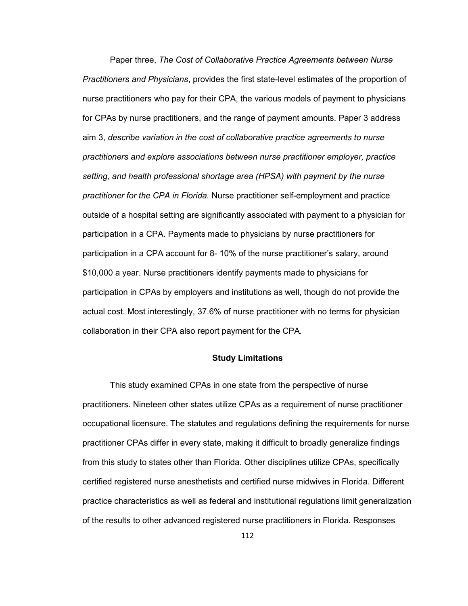Paper three, *The Cost of Collaborative Practice Agreements between Nurse Practitioners and Physicians*, provides the first state-level estimates of the proportion of nurse practitioners who pay for their CPA, the various models of payment to physicians for CPAs by nurse practitioners, and the range of payment amounts. Paper 3 address aim 3, *describe variation in the cost of collaborative practice agreements to nurse practitioners and explore associations between nurse practitioner employer, practice setting, and health professional shortage area (HPSA) with payment by the nurse practitioner for the CPA in Florida.* Nurse practitioner self-employment and practice outside of a hospital setting are significantly associated with payment to a physician for participation in a CPA. Payments made to physicians by nurse practitioners for participation in a CPA account for 8- 10% of the nurse practitioner's salary, around \$10,000 a year. Nurse practitioners identify payments made to physicians for participation in CPAs by employers and institutions as well, though do not provide the actual cost. Most interestingly, 37.6% of nurse practitioner with no terms for physician collaboration in their CPA also report payment for the CPA*.* 

## **Study Limitations**

This study examined CPAs in one state from the perspective of nurse practitioners. Nineteen other states utilize CPAs as a requirement of nurse practitioner occupational licensure. The statutes and regulations defining the requirements for nurse practitioner CPAs differ in every state, making it difficult to broadly generalize findings from this study to states other than Florida. Other disciplines utilize CPAs, specifically certified registered nurse anesthetists and certified nurse midwives in Florida. Different practice characteristics as well as federal and institutional regulations limit generalization of the results to other advanced registered nurse practitioners in Florida. Responses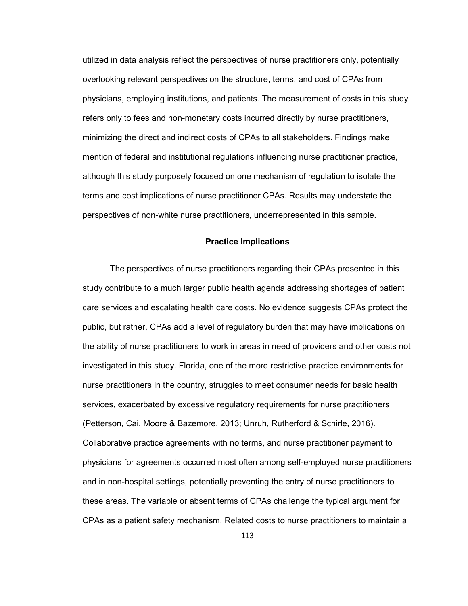utilized in data analysis reflect the perspectives of nurse practitioners only, potentially overlooking relevant perspectives on the structure, terms, and cost of CPAs from physicians, employing institutions, and patients. The measurement of costs in this study refers only to fees and non-monetary costs incurred directly by nurse practitioners, minimizing the direct and indirect costs of CPAs to all stakeholders. Findings make mention of federal and institutional regulations influencing nurse practitioner practice, although this study purposely focused on one mechanism of regulation to isolate the terms and cost implications of nurse practitioner CPAs. Results may understate the perspectives of non-white nurse practitioners, underrepresented in this sample.

## **Practice Implications**

The perspectives of nurse practitioners regarding their CPAs presented in this study contribute to a much larger public health agenda addressing shortages of patient care services and escalating health care costs. No evidence suggests CPAs protect the public, but rather, CPAs add a level of regulatory burden that may have implications on the ability of nurse practitioners to work in areas in need of providers and other costs not investigated in this study. Florida, one of the more restrictive practice environments for nurse practitioners in the country, struggles to meet consumer needs for basic health services, exacerbated by excessive regulatory requirements for nurse practitioners (Petterson, Cai, Moore & Bazemore, 2013; Unruh, Rutherford & Schirle, 2016). Collaborative practice agreements with no terms, and nurse practitioner payment to physicians for agreements occurred most often among self-employed nurse practitioners and in non-hospital settings, potentially preventing the entry of nurse practitioners to these areas. The variable or absent terms of CPAs challenge the typical argument for CPAs as a patient safety mechanism. Related costs to nurse practitioners to maintain a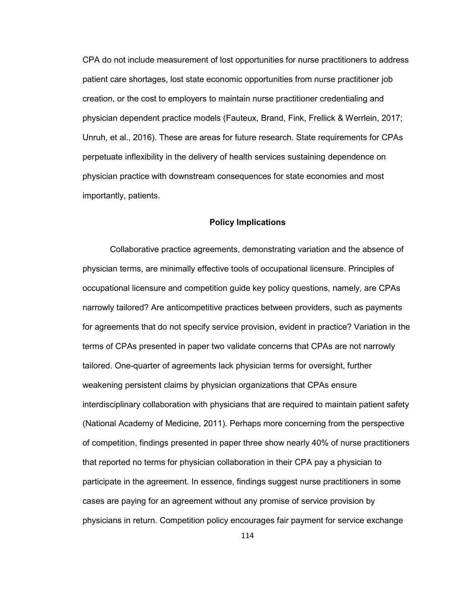CPA do not include measurement of lost opportunities for nurse practitioners to address patient care shortages, lost state economic opportunities from nurse practitioner job creation, or the cost to employers to maintain nurse practitioner credentialing and physician dependent practice models (Fauteux, Brand, Fink, Frellick & Werrlein, 2017; Unruh, et al., 2016). These are areas for future research. State requirements for CPAs perpetuate inflexibility in the delivery of health services sustaining dependence on physician practice with downstream consequences for state economies and most importantly, patients.

#### **Policy Implications**

Collaborative practice agreements, demonstrating variation and the absence of physician terms, are minimally effective tools of occupational licensure. Principles of occupational licensure and competition guide key policy questions, namely, are CPAs narrowly tailored? Are anticompetitive practices between providers, such as payments for agreements that do not specify service provision, evident in practice? Variation in the terms of CPAs presented in paper two validate concerns that CPAs are not narrowly tailored. One-quarter of agreements lack physician terms for oversight, further weakening persistent claims by physician organizations that CPAs ensure interdisciplinary collaboration with physicians that are required to maintain patient safety (National Academy of Medicine, 2011). Perhaps more concerning from the perspective of competition, findings presented in paper three show nearly 40% of nurse practitioners that reported no terms for physician collaboration in their CPA pay a physician to participate in the agreement. In essence, findings suggest nurse practitioners in some cases are paying for an agreement without any promise of service provision by physicians in return. Competition policy encourages fair payment for service exchange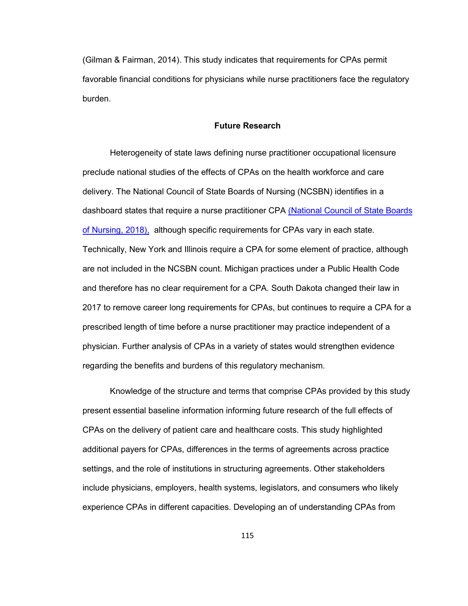(Gilman & Fairman, 2014). This study indicates that requirements for CPAs permit favorable financial conditions for physicians while nurse practitioners face the regulatory burden.

#### **Future Research**

Heterogeneity of state laws defining nurse practitioner occupational licensure preclude national studies of the effects of CPAs on the health workforce and care delivery. The National Council of State Boards of Nursing (NCSBN) identifies in a dashboard states that require a nurse practitioner CPA (National Council of State Boards of Nursing, 2018), although specific requirements for CPAs vary in each state. Technically, New York and Illinois require a CPA for some element of practice, although are not included in the NCSBN count. Michigan practices under a Public Health Code and therefore has no clear requirement for a CPA. South Dakota changed their law in 2017 to remove career long requirements for CPAs, but continues to require a CPA for a prescribed length of time before a nurse practitioner may practice independent of a physician. Further analysis of CPAs in a variety of states would strengthen evidence regarding the benefits and burdens of this regulatory mechanism.

Knowledge of the structure and terms that comprise CPAs provided by this study present essential baseline information informing future research of the full effects of CPAs on the delivery of patient care and healthcare costs. This study highlighted additional payers for CPAs, differences in the terms of agreements across practice settings, and the role of institutions in structuring agreements. Other stakeholders include physicians, employers, health systems, legislators, and consumers who likely experience CPAs in different capacities. Developing an of understanding CPAs from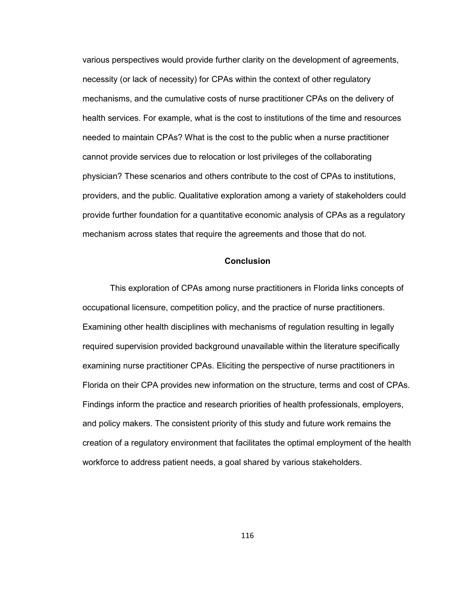various perspectives would provide further clarity on the development of agreements, necessity (or lack of necessity) for CPAs within the context of other regulatory mechanisms, and the cumulative costs of nurse practitioner CPAs on the delivery of health services. For example, what is the cost to institutions of the time and resources needed to maintain CPAs? What is the cost to the public when a nurse practitioner cannot provide services due to relocation or lost privileges of the collaborating physician? These scenarios and others contribute to the cost of CPAs to institutions, providers, and the public. Qualitative exploration among a variety of stakeholders could provide further foundation for a quantitative economic analysis of CPAs as a regulatory mechanism across states that require the agreements and those that do not.

#### **Conclusion**

This exploration of CPAs among nurse practitioners in Florida links concepts of occupational licensure, competition policy, and the practice of nurse practitioners. Examining other health disciplines with mechanisms of regulation resulting in legally required supervision provided background unavailable within the literature specifically examining nurse practitioner CPAs. Eliciting the perspective of nurse practitioners in Florida on their CPA provides new information on the structure, terms and cost of CPAs. Findings inform the practice and research priorities of health professionals, employers, and policy makers. The consistent priority of this study and future work remains the creation of a regulatory environment that facilitates the optimal employment of the health workforce to address patient needs, a goal shared by various stakeholders.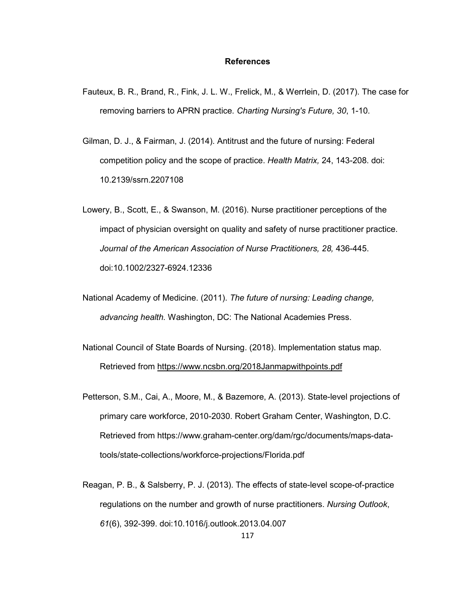#### **References**

- Fauteux, B. R., Brand, R., Fink, J. L. W., Frelick, M., & Werrlein, D. (2017). The case for removing barriers to APRN practice. *Charting Nursing's Future, 30*, 1-10.
- Gilman, D. J., & Fairman, J. (2014). Antitrust and the future of nursing: Federal competition policy and the scope of practice. *Health Matrix,* 24, 143-208. doi: 10.2139/ssrn.2207108
- Lowery, B., Scott, E., & Swanson, M. (2016). Nurse practitioner perceptions of the impact of physician oversight on quality and safety of nurse practitioner practice. *Journal of the American Association of Nurse Practitioners, 28,* 436-445. doi:10.1002/2327-6924.12336
- National Academy of Medicine. (2011). *The future of nursing: Leading change, advancing health.* Washington, DC: The National Academies Press.
- National Council of State Boards of Nursing. (2018). Implementation status map. Retrieved from https://www.ncsbn.org/2018Janmapwithpoints.pdf
- Petterson, S.M., Cai, A., Moore, M., & Bazemore, A. (2013). State-level projections of primary care workforce, 2010-2030. Robert Graham Center, Washington, D.C. Retrieved from https://www.graham-center.org/dam/rgc/documents/maps-datatools/state-collections/workforce-projections/Florida.pdf
- Reagan, P. B., & Salsberry, P. J. (2013). The effects of state-level scope-of-practice regulations on the number and growth of nurse practitioners. *Nursing Outlook*, *61*(6), 392-399. doi:10.1016/j.outlook.2013.04.007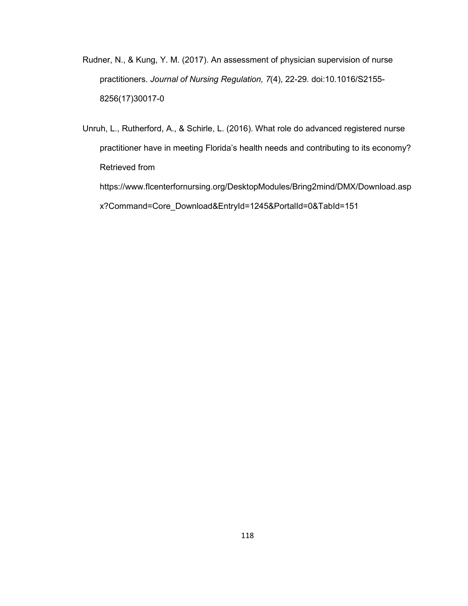- Rudner, N., & Kung, Y. M. (2017). An assessment of physician supervision of nurse practitioners. *Journal of Nursing Regulation, 7*(4), 22-29. doi:10.1016/S2155- 8256(17)30017-0
- Unruh, L., Rutherford, A., & Schirle, L. (2016). What role do advanced registered nurse practitioner have in meeting Florida's health needs and contributing to its economy? Retrieved from https://www.flcenterfornursing.org/DesktopModules/Bring2mind/DMX/Download.asp x?Command=Core\_Download&EntryId=1245&PortalId=0&TabId=151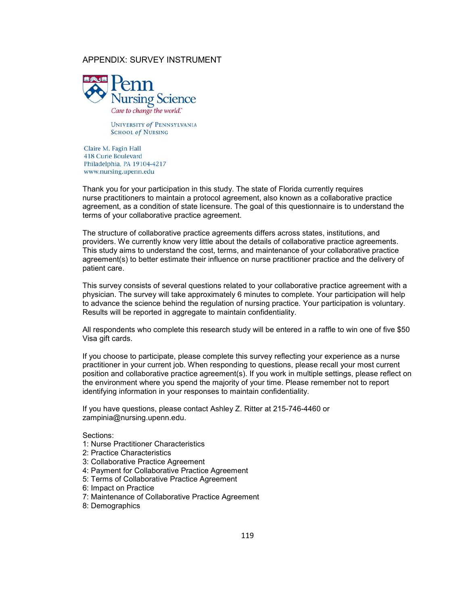## APPENDIX: SURVEY INSTRUMENT



**UNIVERSITY of PENNSYLVANIA SCHOOL of NURSING** 

Claire M. Fagin Hall 418 Curie Boulevard Philadelphia, PA 19104-4217 www.nursing.upenn.edu

Thank you for your participation in this study. The state of Florida currently requires nurse practitioners to maintain a protocol agreement, also known as a collaborative practice agreement, as a condition of state licensure. The goal of this questionnaire is to understand the terms of your collaborative practice agreement.

The structure of collaborative practice agreements differs across states, institutions, and providers. We currently know very little about the details of collaborative practice agreements. This study aims to understand the cost, terms, and maintenance of your collaborative practice agreement(s) to better estimate their influence on nurse practitioner practice and the delivery of patient care.

This survey consists of several questions related to your collaborative practice agreement with a physician. The survey will take approximately 6 minutes to complete. Your participation will help to advance the science behind the regulation of nursing practice. Your participation is voluntary. Results will be reported in aggregate to maintain confidentiality.

All respondents who complete this research study will be entered in a raffle to win one of five \$50 Visa gift cards.

If you choose to participate, please complete this survey reflecting your experience as a nurse practitioner in your current job. When responding to questions, please recall your most current position and collaborative practice agreement(s). If you work in multiple settings, please reflect on the environment where you spend the majority of your time. Please remember not to report identifying information in your responses to maintain confidentiality.

If you have questions, please contact Ashley Z. Ritter at 215-746-4460 or zampinia@nursing.upenn.edu.

Sections:

- 1: Nurse Practitioner Characteristics
- 2: Practice Characteristics
- 3: Collaborative Practice Agreement
- 4: Payment for Collaborative Practice Agreement
- 5: Terms of Collaborative Practice Agreement
- 6: Impact on Practice
- 7: Maintenance of Collaborative Practice Agreement
- 8: Demographics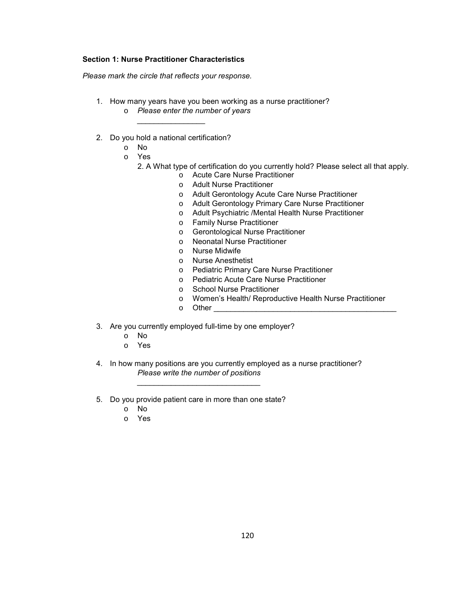#### **Section 1: Nurse Practitioner Characteristics**

*Please mark the circle that reflects your response.*

- 1. How many years have you been working as a nurse practitioner? o *Please enter the number of years*
- 2. Do you hold a national certification?

*\_\_\_\_\_\_\_\_\_\_\_\_\_\_\_\_* 

- o No
	- o Yes
		- 2. A What type of certification do you currently hold? Please select all that apply.
			- o Acute Care Nurse Practitioner
			- o Adult Nurse Practitioner
			- o Adult Gerontology Acute Care Nurse Practitioner
			- o Adult Gerontology Primary Care Nurse Practitioner
			- o Adult Psychiatric /Mental Health Nurse Practitioner
			- o Family Nurse Practitioner
			- o Gerontological Nurse Practitioner
			- o Neonatal Nurse Practitioner
			- o Nurse Midwife
			- o Nurse Anesthetist
			- o Pediatric Primary Care Nurse Practitioner
			- o Pediatric Acute Care Nurse Practitioner
			- o School Nurse Practitioner
			- o Women's Health/ Reproductive Health Nurse Practitioner
			- $\circ$  Other
- 3. Are you currently employed full-time by one employer?
	- o No
	- o Yes
- 4. In how many positions are you currently employed as a nurse practitioner? *Please write the number of positions*
- 5. Do you provide patient care in more than one state?

*\_\_\_\_\_\_\_\_\_\_\_\_\_\_\_\_\_\_\_\_\_\_\_\_\_\_\_\_\_* 

- o No
- o Yes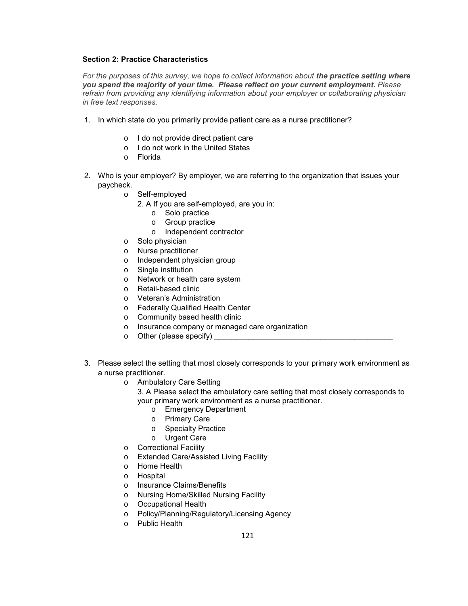#### **Section 2: Practice Characteristics**

*For the purposes of this survey, we hope to collect information about the practice setting where you spend the majority of your time. Please reflect on your current employment. Please refrain from providing any identifying information about your employer or collaborating physician in free text responses.* 

- 1. In which state do you primarily provide patient care as a nurse practitioner?
	- o I do not provide direct patient care
	- o I do not work in the United States
	- o Florida
- 2. Who is your employer? By employer, we are referring to the organization that issues your paycheck.
	- o Self-employed
		- 2. A If you are self-employed, are you in:
			- o Solo practice
			- o Group practice
			- o Independent contractor
	- o Solo physician
	- o Nurse practitioner
	- o Independent physician group
	- o Single institution
	- o Network or health care system
	- o Retail-based clinic
	- o Veteran's Administration
	- o Federally Qualified Health Center
	- o Community based health clinic
	- o Insurance company or managed care organization
	- $\circ$  Other (please specify)  $\qquad \qquad$
- 3. Please select the setting that most closely corresponds to your primary work environment as a nurse practitioner.
	- o Ambulatory Care Setting
		- 3. A Please select the ambulatory care setting that most closely corresponds to your primary work environment as a nurse practitioner.
			- o Emergency Department
			- o Primary Care
			- o Specialty Practice
			- o Urgent Care
	- o Correctional Facility
	- o Extended Care/Assisted Living Facility
	- o Home Health
	- o Hospital
	- o Insurance Claims/Benefits
	- o Nursing Home/Skilled Nursing Facility
	- o Occupational Health
	- o Policy/Planning/Regulatory/Licensing Agency
	- o Public Health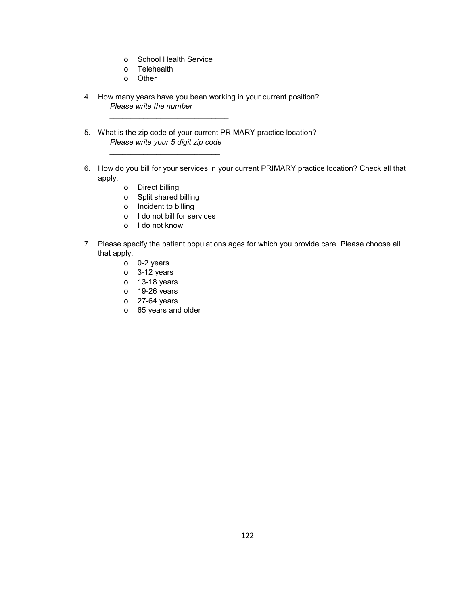- o School Health Service
- o Telehealth

 *\_\_\_\_\_\_\_\_\_\_\_\_\_\_\_\_\_\_\_\_\_\_\_\_\_\_\_\_* 

- $\circ$  Other
- 4. How many years have you been working in your current position?  *Please write the number*
- 5. What is the zip code of your current PRIMARY practice location? *Please write your 5 digit zip code*
- 6. How do you bill for your services in your current PRIMARY practice location? Check all that apply.
	- o Direct billing

 *\_\_\_\_\_\_\_\_\_\_\_\_\_\_\_\_\_\_\_\_\_\_\_\_\_\_* 

- o Split shared billing
- o Incident to billing
- o I do not bill for services
- o I do not know
- 7. Please specify the patient populations ages for which you provide care. Please choose all that apply.
	- o 0-2 years
	- o 3-12 years
	- o 13-18 years
	- o 19-26 years
	- o 27-64 years
	- o 65 years and older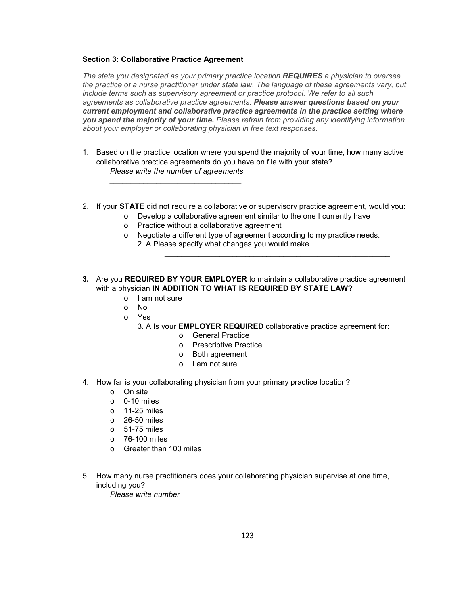#### **Section 3: Collaborative Practice Agreement**

*The state you designated as your primary practice location REQUIRES a physician to oversee the practice of a nurse practitioner under state law. The language of these agreements vary, but include terms such as supervisory agreement or practice protocol. We refer to all such agreements as collaborative practice agreements. Please answer questions based on your current employment and collaborative practice agreements in the practice setting where you spend the majority of your time. Please refrain from providing any identifying information about your employer or collaborating physician in free text responses.* 

- 1. Based on the practice location where you spend the majority of your time, how many active collaborative practice agreements do you have on file with your state? *Please write the number of agreements*
- 2. If your **STATE** did not require a collaborative or supervisory practice agreement, would you:
	- o Develop a collaborative agreement similar to the one I currently have
	- o Practice without a collaborative agreement

*\_\_\_\_\_\_\_\_\_\_\_\_\_\_\_\_\_\_\_\_\_\_\_\_\_\_\_\_\_\_\_* 

o Negotiate a different type of agreement according to my practice needs.

 *\_\_\_\_\_\_\_\_\_\_\_\_\_\_\_\_\_\_\_\_\_\_\_\_\_\_\_\_\_\_\_\_\_\_\_\_\_\_\_\_\_\_\_\_\_\_\_\_\_\_\_\_\_ \_\_\_\_\_\_\_\_\_\_\_\_\_\_\_\_\_\_\_\_\_\_\_\_\_\_\_\_\_\_\_\_\_\_\_\_\_\_\_\_\_\_\_\_\_\_\_\_\_\_\_\_\_* 

- 2. A Please specify what changes you would make.
- **3.** Are you **REQUIRED BY YOUR EMPLOYER** to maintain a collaborative practice agreement with a physician **IN ADDITION TO WHAT IS REQUIRED BY STATE LAW?**
	- o I am not sure
	- o No
	- o Yes
		- 3. A Is your **EMPLOYER REQUIRED** collaborative practice agreement for:
			- o General Practice
			- o Prescriptive Practice
			- o Both agreement
			- o I am not sure
- 4. How far is your collaborating physician from your primary practice location?
	- o On site
	- o 0-10 miles
	- $\circ$  11-25 miles
	- o 26-50 miles
	- o 51-75 miles
	- o 76-100 miles
	- o Greater than 100 miles

*\_\_\_\_\_\_\_\_\_\_\_\_\_\_\_\_\_\_\_\_\_\_* 

5. How many nurse practitioners does your collaborating physician supervise at one time, including you?

*Please write number*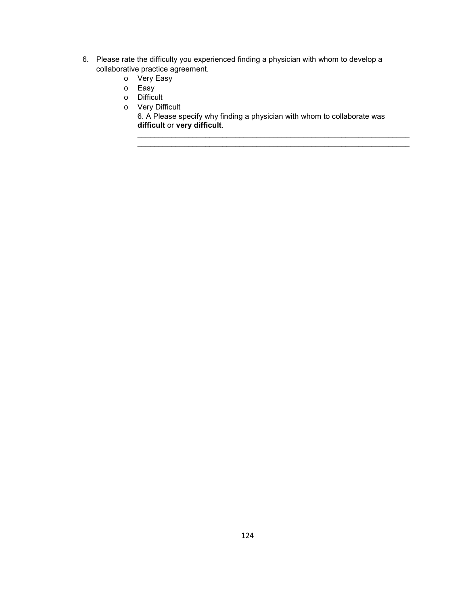- 6. Please rate the difficulty you experienced finding a physician with whom to develop a collaborative practice agreement.
	- o Very Easy
	- o Easy
	- o Difficult
	- o Very Difficult

6. A Please specify why finding a physician with whom to collaborate was **difficult** or **very difficult**.

\_\_\_\_\_\_\_\_\_\_\_\_\_\_\_\_\_\_\_\_\_\_\_\_\_\_\_\_\_\_\_\_\_\_\_\_\_\_\_\_\_\_\_\_\_\_\_\_\_\_\_\_\_\_\_\_\_\_\_\_\_\_\_\_ \_\_\_\_\_\_\_\_\_\_\_\_\_\_\_\_\_\_\_\_\_\_\_\_\_\_\_\_\_\_\_\_\_\_\_\_\_\_\_\_\_\_\_\_\_\_\_\_\_\_\_\_\_\_\_\_\_\_\_\_\_\_\_\_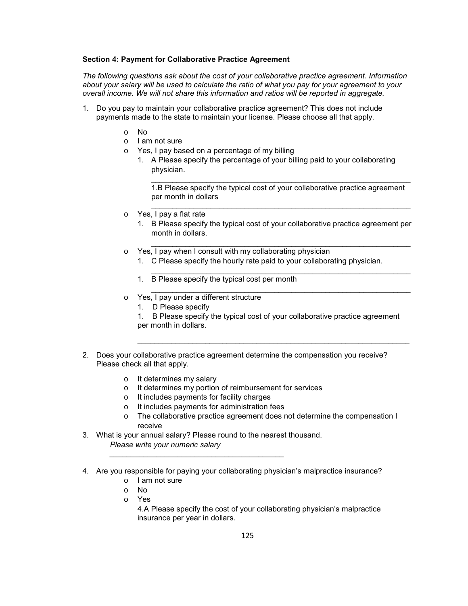#### **Section 4: Payment for Collaborative Practice Agreement**

*The following questions ask about the cost of your collaborative practice agreement. Information about your salary will be used to calculate the ratio of what you pay for your agreement to your overall income. We will not share this information and ratios will be reported in aggregate.* 

- 1. Do you pay to maintain your collaborative practice agreement? This does not include payments made to the state to maintain your license. Please choose all that apply.
	- o No
	- o I am not sure
	- o Yes, I pay based on a percentage of my billing
		- 1. A Please specify the percentage of your billing paid to your collaborating physician.

 $\_$  , and the set of the set of the set of the set of the set of the set of the set of the set of the set of the set of the set of the set of the set of the set of the set of the set of the set of the set of the set of th 1.B Please specify the typical cost of your collaborative practice agreement per month in dollars

 $\_$  , and the set of the set of the set of the set of the set of the set of the set of the set of the set of the set of the set of the set of the set of the set of the set of the set of the set of the set of the set of th

 $\_$  , and the set of the set of the set of the set of the set of the set of the set of the set of the set of the set of the set of the set of the set of the set of the set of the set of the set of the set of the set of th

 $\_$  , and the set of the set of the set of the set of the set of the set of the set of the set of the set of the set of the set of the set of the set of the set of the set of the set of the set of the set of the set of th

 $\_$  , and the set of the set of the set of the set of the set of the set of the set of the set of the set of the set of the set of the set of the set of the set of the set of the set of the set of the set of the set of th

- o Yes, I pay a flat rate
	- 1. B Please specify the typical cost of your collaborative practice agreement per month in dollars.
- o Yes, I pay when I consult with my collaborating physician
	- 1. C Please specify the hourly rate paid to your collaborating physician.
	- 1. B Please specify the typical cost per month
- o Yes, I pay under a different structure
	- 1. D Please specify
	- 1. B Please specify the typical cost of your collaborative practice agreement per month in dollars.

\_\_\_\_\_\_\_\_\_\_\_\_\_\_\_\_\_\_\_\_\_\_\_\_\_\_\_\_\_\_\_\_\_\_\_\_\_\_\_\_\_\_\_\_\_\_\_\_\_\_\_\_\_\_\_\_\_\_\_\_\_\_\_\_

- 2. Does your collaborative practice agreement determine the compensation you receive? Please check all that apply.
	- o It determines my salary
	- o It determines my portion of reimbursement for services
	- o It includes payments for facility charges
	- o It includes payments for administration fees
	- o The collaborative practice agreement does not determine the compensation I receive
- 3. What is your annual salary? Please round to the nearest thousand. *Please write your numeric salary*

*\_\_\_\_\_\_\_\_\_\_\_\_\_\_\_\_\_\_\_\_\_\_\_\_\_\_\_\_\_\_\_\_\_\_\_\_\_\_\_\_\_* 

- 4. Are you responsible for paying your collaborating physician's malpractice insurance?
	- o I am not sure
	- o No
	- o Yes

4.A Please specify the cost of your collaborating physician's malpractice insurance per year in dollars.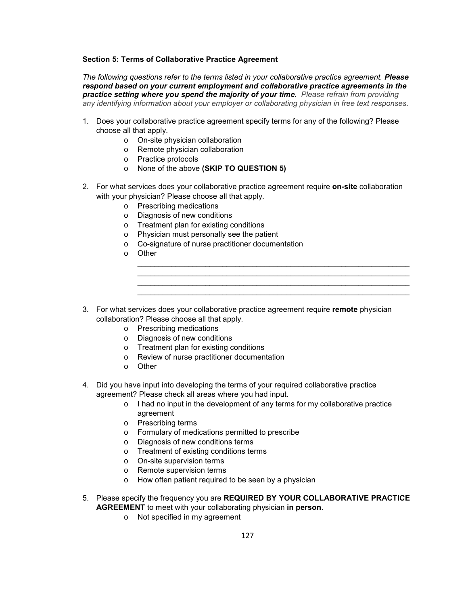#### **Section 5: Terms of Collaborative Practice Agreement**

*The following questions refer to the terms listed in your collaborative practice agreement. Please respond based on your current employment and collaborative practice agreements in the practice setting where you spend the majority of your time. Please refrain from providing any identifying information about your employer or collaborating physician in free text responses.* 

- 1. Does your collaborative practice agreement specify terms for any of the following? Please choose all that apply.
	- o On-site physician collaboration
	- o Remote physician collaboration
	- o Practice protocols
	- o None of the above **(SKIP TO QUESTION 5)**
- 2. For what services does your collaborative practice agreement require **on-site** collaboration with your physician? Please choose all that apply.
	- o Prescribing medications
	- o Diagnosis of new conditions
	- o Treatment plan for existing conditions
	- o Physician must personally see the patient
	- o Co-signature of nurse practitioner documentation
	- o Other
- 3. For what services does your collaborative practice agreement require **remote** physician collaboration? Please choose all that apply.
	- o Prescribing medications
	- o Diagnosis of new conditions
	- o Treatment plan for existing conditions
	- o Review of nurse practitioner documentation
	- o Other
- 4. Did you have input into developing the terms of your required collaborative practice agreement? Please check all areas where you had input.
	- o I had no input in the development of any terms for my collaborative practice agreement

 $\_$  ,  $\_$  ,  $\_$  ,  $\_$  ,  $\_$  ,  $\_$  ,  $\_$  ,  $\_$  ,  $\_$  ,  $\_$  ,  $\_$  ,  $\_$  ,  $\_$  ,  $\_$  ,  $\_$  ,  $\_$  ,  $\_$  ,  $\_$  ,  $\_$  ,  $\_$ \_\_\_\_\_\_\_\_\_\_\_\_\_\_\_\_\_\_\_\_\_\_\_\_\_\_\_\_\_\_\_\_\_\_\_\_\_\_\_\_\_\_\_\_\_\_\_\_\_\_\_\_\_\_\_\_\_\_\_\_\_\_\_\_  $\_$  ,  $\_$  ,  $\_$  ,  $\_$  ,  $\_$  ,  $\_$  ,  $\_$  ,  $\_$  ,  $\_$  ,  $\_$  ,  $\_$  ,  $\_$  ,  $\_$  ,  $\_$  ,  $\_$  ,  $\_$  ,  $\_$  ,  $\_$  ,  $\_$  ,  $\_$ \_\_\_\_\_\_\_\_\_\_\_\_\_\_\_\_\_\_\_\_\_\_\_\_\_\_\_\_\_\_\_\_\_\_\_\_\_\_\_\_\_\_\_\_\_\_\_\_\_\_\_\_\_\_\_\_\_\_\_\_\_\_\_\_

- o Prescribing terms
- o Formulary of medications permitted to prescribe
- o Diagnosis of new conditions terms
- o Treatment of existing conditions terms
- o On-site supervision terms
- o Remote supervision terms
- o How often patient required to be seen by a physician
- 5. Please specify the frequency you are **REQUIRED BY YOUR COLLABORATIVE PRACTICE AGREEMENT** to meet with your collaborating physician **in person**.
	- o Not specified in my agreement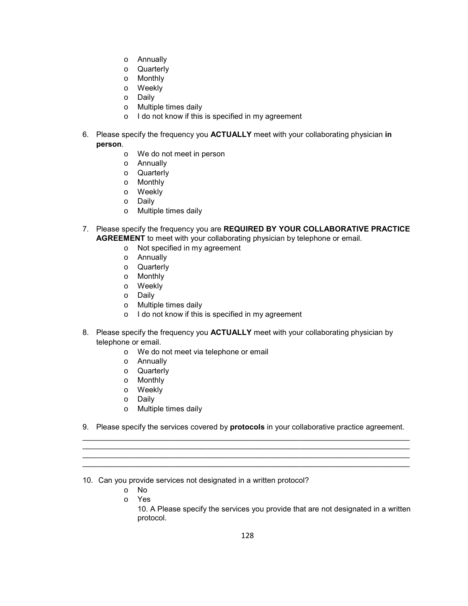- o Annually
- o Quarterly
- o Monthly
- o Weekly
- o Daily
- o Multiple times daily
- o I do not know if this is specified in my agreement
- 6. Please specify the frequency you **ACTUALLY** meet with your collaborating physician **in person**.
	- o We do not meet in person
	- o Annually
	- o Quarterly
	- o Monthly
	- o Weekly
	- o Daily
	- o Multiple times daily
- 7. Please specify the frequency you are **REQUIRED BY YOUR COLLABORATIVE PRACTICE AGREEMENT** to meet with your collaborating physician by telephone or email.
	- o Not specified in my agreement
	- o Annually
	- o Quarterly
	- o Monthly
	- o Weekly
	- o Daily
	- o Multiple times daily
	- o I do not know if this is specified in my agreement
- 8. Please specify the frequency you **ACTUALLY** meet with your collaborating physician by telephone or email.
	- o We do not meet via telephone or email
	- o Annually
	- o Quarterly
	- o Monthly
	- o Weekly
	- o Daily
	- o Multiple times daily
- 9. Please specify the services covered by **protocols** in your collaborative practice agreement. \_\_\_\_\_\_\_\_\_\_\_\_\_\_\_\_\_\_\_\_\_\_\_\_\_\_\_\_\_\_\_\_\_\_\_\_\_\_\_\_\_\_\_\_\_\_\_\_\_\_\_\_\_\_\_\_\_\_\_\_\_\_\_\_\_\_\_\_\_\_\_\_\_\_\_\_\_

\_\_\_\_\_\_\_\_\_\_\_\_\_\_\_\_\_\_\_\_\_\_\_\_\_\_\_\_\_\_\_\_\_\_\_\_\_\_\_\_\_\_\_\_\_\_\_\_\_\_\_\_\_\_\_\_\_\_\_\_\_\_\_\_\_\_\_\_\_\_\_\_\_\_\_\_\_ \_\_\_\_\_\_\_\_\_\_\_\_\_\_\_\_\_\_\_\_\_\_\_\_\_\_\_\_\_\_\_\_\_\_\_\_\_\_\_\_\_\_\_\_\_\_\_\_\_\_\_\_\_\_\_\_\_\_\_\_\_\_\_\_\_\_\_\_\_\_\_\_\_\_\_\_\_ \_\_\_\_\_\_\_\_\_\_\_\_\_\_\_\_\_\_\_\_\_\_\_\_\_\_\_\_\_\_\_\_\_\_\_\_\_\_\_\_\_\_\_\_\_\_\_\_\_\_\_\_\_\_\_\_\_\_\_\_\_\_\_\_\_\_\_\_\_\_\_\_\_\_\_\_\_

10. Can you provide services not designated in a written protocol?

- o No
- o Yes

10. A Please specify the services you provide that are not designated in a written protocol.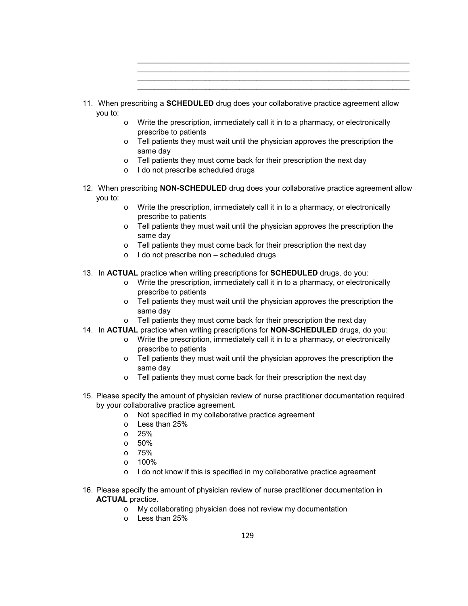- 11. When prescribing a **SCHEDULED** drug does your collaborative practice agreement allow you to:
	- o Write the prescription, immediately call it in to a pharmacy, or electronically prescribe to patients

\_\_\_\_\_\_\_\_\_\_\_\_\_\_\_\_\_\_\_\_\_\_\_\_\_\_\_\_\_\_\_\_\_\_\_\_\_\_\_\_\_\_\_\_\_\_\_\_\_\_\_\_\_\_\_\_\_\_\_\_\_\_\_\_  $\_$  ,  $\_$  ,  $\_$  ,  $\_$  ,  $\_$  ,  $\_$  ,  $\_$  ,  $\_$  ,  $\_$  ,  $\_$  ,  $\_$  ,  $\_$  ,  $\_$  ,  $\_$  ,  $\_$  ,  $\_$  ,  $\_$  ,  $\_$  ,  $\_$  ,  $\_$  $\_$  ,  $\_$  ,  $\_$  ,  $\_$  ,  $\_$  ,  $\_$  ,  $\_$  ,  $\_$  ,  $\_$  ,  $\_$  ,  $\_$  ,  $\_$  ,  $\_$  ,  $\_$  ,  $\_$  ,  $\_$  ,  $\_$  ,  $\_$  ,  $\_$  ,  $\_$ \_\_\_\_\_\_\_\_\_\_\_\_\_\_\_\_\_\_\_\_\_\_\_\_\_\_\_\_\_\_\_\_\_\_\_\_\_\_\_\_\_\_\_\_\_\_\_\_\_\_\_\_\_\_\_\_\_\_\_\_\_\_\_\_

- $\circ$  Tell patients they must wait until the physician approves the prescription the same day
- o Tell patients they must come back for their prescription the next day
- o I do not prescribe scheduled drugs
- 12. When prescribing **NON-SCHEDULED** drug does your collaborative practice agreement allow you to:
	- o Write the prescription, immediately call it in to a pharmacy, or electronically prescribe to patients
	- o Tell patients they must wait until the physician approves the prescription the same day
	- o Tell patients they must come back for their prescription the next day
	- o I do not prescribe non scheduled drugs
- 13. In **ACTUAL** practice when writing prescriptions for **SCHEDULED** drugs, do you:
	- o Write the prescription, immediately call it in to a pharmacy, or electronically prescribe to patients
	- o Tell patients they must wait until the physician approves the prescription the same day
	- o Tell patients they must come back for their prescription the next day
- 14. In **ACTUAL** practice when writing prescriptions for **NON-SCHEDULED** drugs, do you:
	- $\circ$  Write the prescription, immediately call it in to a pharmacy, or electronically prescribe to patients
		- $\circ$  Tell patients they must wait until the physician approves the prescription the same day
		- o Tell patients they must come back for their prescription the next day
- 15. Please specify the amount of physician review of nurse practitioner documentation required by your collaborative practice agreement.
	- o Not specified in my collaborative practice agreement
	- o Less than 25%
	- o 25%
	- o 50%
	- o 75%
	- o 100%
	- o I do not know if this is specified in my collaborative practice agreement
- 16. Please specify the amount of physician review of nurse practitioner documentation in **ACTUAL** practice.
	- o My collaborating physician does not review my documentation
	- o Less than 25%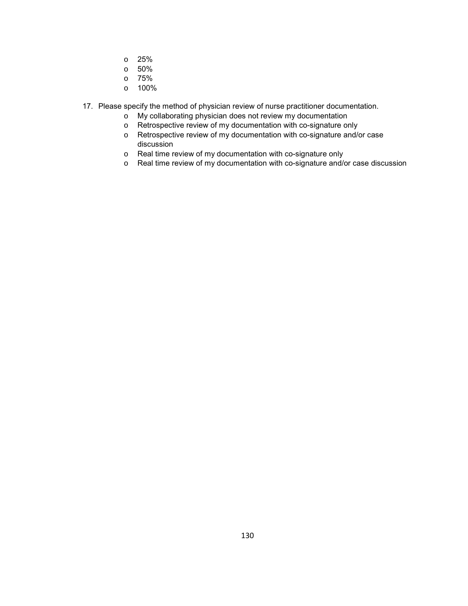- o 25%
- o 50%
- o 75%
- o 100%
- 17. Please specify the method of physician review of nurse practitioner documentation.
	- o My collaborating physician does not review my documentation
	- o Retrospective review of my documentation with co-signature only
	- o Retrospective review of my documentation with co-signature and/or case discussion
	- o Real time review of my documentation with co-signature only
	- o Real time review of my documentation with co-signature and/or case discussion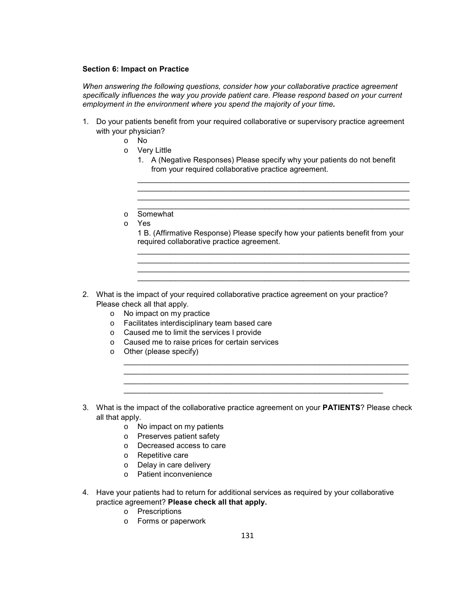## **Section 6: Impact on Practice**

*When answering the following questions, consider how your collaborative practice agreement specifically influences the way you provide patient care. Please respond based on your current employment in the environment where you spend the majority of your time.* 

- 1. Do your patients benefit from your required collaborative or supervisory practice agreement with your physician?
	- o No
	- o Very Little
		- 1. A (Negative Responses) Please specify why your patients do not benefit from your required collaborative practice agreement.

 $\_$  ,  $\_$  ,  $\_$  ,  $\_$  ,  $\_$  ,  $\_$  ,  $\_$  ,  $\_$  ,  $\_$  ,  $\_$  ,  $\_$  ,  $\_$  ,  $\_$  ,  $\_$  ,  $\_$  ,  $\_$  ,  $\_$  ,  $\_$  ,  $\_$  ,  $\_$ 

\_\_\_\_\_\_\_\_\_\_\_\_\_\_\_\_\_\_\_\_\_\_\_\_\_\_\_\_\_\_\_\_\_\_\_\_\_\_\_\_\_\_\_\_\_\_\_\_\_\_\_\_\_\_\_\_\_\_\_\_\_\_\_\_ \_\_\_\_\_\_\_\_\_\_\_\_\_\_\_\_\_\_\_\_\_\_\_\_\_\_\_\_\_\_\_\_\_\_\_\_\_\_\_\_\_\_\_\_\_\_\_\_\_\_\_\_\_\_\_\_\_\_\_\_\_\_\_\_

- o Somewhat
- o Yes

1 B. (Affirmative Response) Please specify how your patients benefit from your required collaborative practice agreement. \_\_\_\_\_\_\_\_\_\_\_\_\_\_\_\_\_\_\_\_\_\_\_\_\_\_\_\_\_\_\_\_\_\_\_\_\_\_\_\_\_\_\_\_\_\_\_\_\_\_\_\_\_\_\_\_\_\_\_\_\_\_\_\_

\_\_\_\_\_\_\_\_\_\_\_\_\_\_\_\_\_\_\_\_\_\_\_\_\_\_\_\_\_\_\_\_\_\_\_\_\_\_\_\_\_\_\_\_\_\_\_\_\_\_\_\_\_\_\_\_\_\_\_\_\_\_\_\_ \_\_\_\_\_\_\_\_\_\_\_\_\_\_\_\_\_\_\_\_\_\_\_\_\_\_\_\_\_\_\_\_\_\_\_\_\_\_\_\_\_\_\_\_\_\_\_\_\_\_\_\_\_\_\_\_\_\_\_\_\_\_\_\_ \_\_\_\_\_\_\_\_\_\_\_\_\_\_\_\_\_\_\_\_\_\_\_\_\_\_\_\_\_\_\_\_\_\_\_\_\_\_\_\_\_\_\_\_\_\_\_\_\_\_\_\_\_\_\_\_\_\_\_\_\_\_\_\_

- 2. What is the impact of your required collaborative practice agreement on your practice? Please check all that apply.
	- o No impact on my practice
	- o Facilitates interdisciplinary team based care
	- o Caused me to limit the services I provide
	- o Caused me to raise prices for certain services
	- o Other (please specify)
- 3. What is the impact of the collaborative practice agreement on your **PATIENTS**? Please check all that apply.

 $\_$  , and the set of the set of the set of the set of the set of the set of the set of the set of the set of the set of the set of the set of the set of the set of the set of the set of the set of the set of the set of th \_\_\_\_\_\_\_\_\_\_\_\_\_\_\_\_\_\_\_\_\_\_\_\_\_\_\_\_\_\_\_\_\_\_\_\_\_\_\_\_\_\_\_\_\_\_\_\_\_\_\_\_\_\_\_\_\_\_\_\_\_\_\_\_\_\_\_ \_\_\_\_\_\_\_\_\_\_\_\_\_\_\_\_\_\_\_\_\_\_\_\_\_\_\_\_\_\_\_\_\_\_\_\_\_\_\_\_\_\_\_\_\_\_\_\_\_\_\_\_\_\_\_\_\_\_\_\_\_\_\_\_\_\_\_  $\_$  ,  $\_$  ,  $\_$  ,  $\_$  ,  $\_$  ,  $\_$  ,  $\_$  ,  $\_$  ,  $\_$  ,  $\_$  ,  $\_$  ,  $\_$  ,  $\_$  ,  $\_$  ,  $\_$  ,  $\_$  ,  $\_$ 

- o No impact on my patients
- o Preserves patient safety
- o Decreased access to care
- o Repetitive care
- o Delay in care delivery
- o Patient inconvenience
- 4. Have your patients had to return for additional services as required by your collaborative practice agreement? **Please check all that apply.**
	- o Prescriptions
	- o Forms or paperwork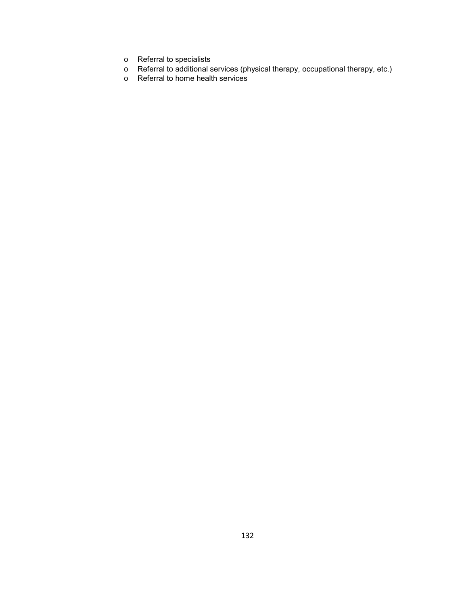- o Referral to specialists
- o Referral to additional services (physical therapy, occupational therapy, etc.)
- o Referral to home health services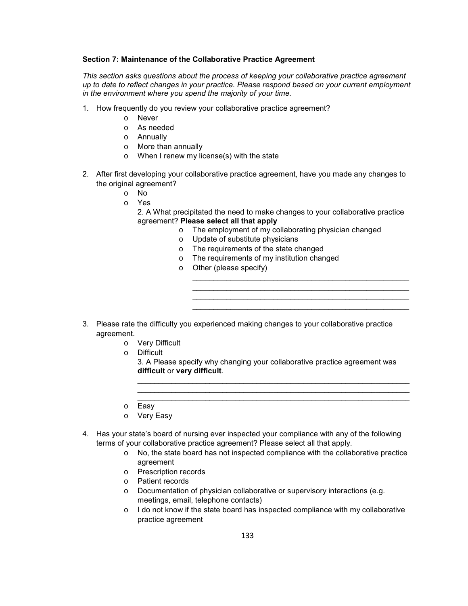## **Section 7: Maintenance of the Collaborative Practice Agreement**

*This section asks questions about the process of keeping your collaborative practice agreement up to date to reflect changes in your practice. Please respond based on your current employment in the environment where you spend the majority of your time.* 

- 1. How frequently do you review your collaborative practice agreement?
	- o Never
	- o As needed
	- o Annually
	- o More than annually
	- o When I renew my license(s) with the state
- 2. After first developing your collaborative practice agreement, have you made any changes to the original agreement?
	- o No
	- o Yes
		- 2. A What precipitated the need to make changes to your collaborative practice agreement? **Please select all that apply**
			- o The employment of my collaborating physician changed

\_\_\_\_\_\_\_\_\_\_\_\_\_\_\_\_\_\_\_\_\_\_\_\_\_\_\_\_\_\_\_\_\_\_\_\_\_\_\_\_\_\_\_\_\_\_\_\_\_\_\_ \_\_\_\_\_\_\_\_\_\_\_\_\_\_\_\_\_\_\_\_\_\_\_\_\_\_\_\_\_\_\_\_\_\_\_\_\_\_\_\_\_\_\_\_\_\_\_\_\_\_\_ \_\_\_\_\_\_\_\_\_\_\_\_\_\_\_\_\_\_\_\_\_\_\_\_\_\_\_\_\_\_\_\_\_\_\_\_\_\_\_\_\_\_\_\_\_\_\_\_\_\_\_ \_\_\_\_\_\_\_\_\_\_\_\_\_\_\_\_\_\_\_\_\_\_\_\_\_\_\_\_\_\_\_\_\_\_\_\_\_\_\_\_\_\_\_\_\_\_\_\_\_\_\_

- o Update of substitute physicians
- o The requirements of the state changed
- o The requirements of my institution changed
- o Other (please specify)
- 3. Please rate the difficulty you experienced making changes to your collaborative practice agreement.
	- o Very Difficult
	- o Difficult

3. A Please specify why changing your collaborative practice agreement was **difficult** or **very difficult**.

\_\_\_\_\_\_\_\_\_\_\_\_\_\_\_\_\_\_\_\_\_\_\_\_\_\_\_\_\_\_\_\_\_\_\_\_\_\_\_\_\_\_\_\_\_\_\_\_\_\_\_\_\_\_\_\_\_\_\_\_\_\_\_\_  $\_$  ,  $\_$  ,  $\_$  ,  $\_$  ,  $\_$  ,  $\_$  ,  $\_$  ,  $\_$  ,  $\_$  ,  $\_$  ,  $\_$  ,  $\_$  ,  $\_$  ,  $\_$  ,  $\_$  ,  $\_$  ,  $\_$  ,  $\_$  ,  $\_$  ,  $\_$ \_\_\_\_\_\_\_\_\_\_\_\_\_\_\_\_\_\_\_\_\_\_\_\_\_\_\_\_\_\_\_\_\_\_\_\_\_\_\_\_\_\_\_\_\_\_\_\_\_\_\_\_\_\_\_\_\_\_\_\_\_\_\_\_

- o Easy
- o Very Easy
- 4. Has your state's board of nursing ever inspected your compliance with any of the following terms of your collaborative practice agreement? Please select all that apply.
	- $\circ$  No, the state board has not inspected compliance with the collaborative practice agreement
	- o Prescription records
	- o Patient records
	- o Documentation of physician collaborative or supervisory interactions (e.g. meetings, email, telephone contacts)
	- o I do not know if the state board has inspected compliance with my collaborative practice agreement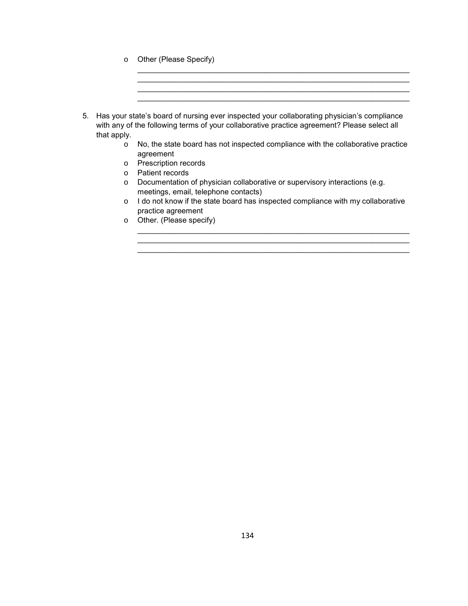o Other (Please Specify)

| 5. Has your state's board of nursing ever inspected your collaborating physician's compliance<br>with any of the following terms of your collaborative practice agreement? Please select all |
|----------------------------------------------------------------------------------------------------------------------------------------------------------------------------------------------|
| that apply.                                                                                                                                                                                  |

o No, the state board has not inspected compliance with the collaborative practice agreement

\_\_\_\_\_\_\_\_\_\_\_\_\_\_\_\_\_\_\_\_\_\_\_\_\_\_\_\_\_\_\_\_\_\_\_\_\_\_\_\_\_\_\_\_\_\_\_\_\_\_\_\_\_\_\_\_\_\_\_\_\_\_\_\_ \_\_\_\_\_\_\_\_\_\_\_\_\_\_\_\_\_\_\_\_\_\_\_\_\_\_\_\_\_\_\_\_\_\_\_\_\_\_\_\_\_\_\_\_\_\_\_\_\_\_\_\_\_\_\_\_\_\_\_\_\_\_\_\_

 $\_$  ,  $\_$  ,  $\_$  ,  $\_$  ,  $\_$  ,  $\_$  ,  $\_$  ,  $\_$  ,  $\_$  ,  $\_$  ,  $\_$  ,  $\_$  ,  $\_$  ,  $\_$  ,  $\_$  ,  $\_$  ,  $\_$  ,  $\_$  ,  $\_$  ,  $\_$ 

- o Prescription records
- o Patient records
- o Documentation of physician collaborative or supervisory interactions (e.g. meetings, email, telephone contacts)
- o I do not know if the state board has inspected compliance with my collaborative practice agreement

 $\_$  , and the set of the set of the set of the set of the set of the set of the set of the set of the set of the set of the set of the set of the set of the set of the set of the set of the set of the set of the set of th  $\mathcal{L}_\text{max}$  $\_$  , and the state of the state of the state of the state of the state of the state of the state of the state of the state of the state of the state of the state of the state of the state of the state of the state of the

o Other. (Please specify)